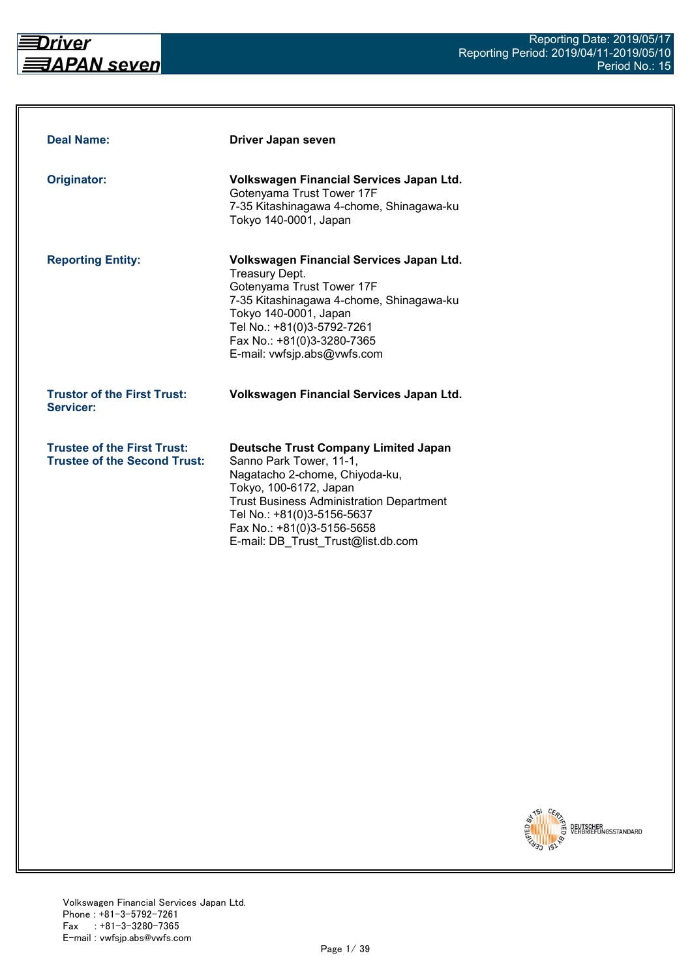

| <b>Deal Name:</b>                                                         | Driver Japan seven                                                                                                                                                                                                                                                                      |
|---------------------------------------------------------------------------|-----------------------------------------------------------------------------------------------------------------------------------------------------------------------------------------------------------------------------------------------------------------------------------------|
| Originator:                                                               | Volkswagen Financial Services Japan Ltd.<br>Gotenyama Trust Tower 17F<br>7-35 Kitashinagawa 4-chome, Shinagawa-ku<br>Tokyo 140-0001, Japan                                                                                                                                              |
| <b>Reporting Entity:</b>                                                  | Volkswagen Financial Services Japan Ltd.<br><b>Treasury Dept.</b><br>Gotenyama Trust Tower 17F<br>7-35 Kitashinagawa 4-chome, Shinagawa-ku<br>Tokyo 140-0001, Japan<br>Tel No.: +81(0)3-5792-7261<br>Fax No.: +81(0)3-3280-7365<br>E-mail: vwfsjp.abs@vwfs.com                          |
| <b>Trustor of the First Trust:</b><br>Servicer:                           | Volkswagen Financial Services Japan Ltd.                                                                                                                                                                                                                                                |
| <b>Trustee of the First Trust:</b><br><b>Trustee of the Second Trust:</b> | <b>Deutsche Trust Company Limited Japan</b><br>Sanno Park Tower, 11-1,<br>Nagatacho 2-chome, Chiyoda-ku,<br>Tokyo, 100-6172, Japan<br><b>Trust Business Administration Department</b><br>Tel No.: +81(0)3-5156-5637<br>Fax No.: +81(0)3-5156-5658<br>E-mail: DB Trust Trust@list.db.com |

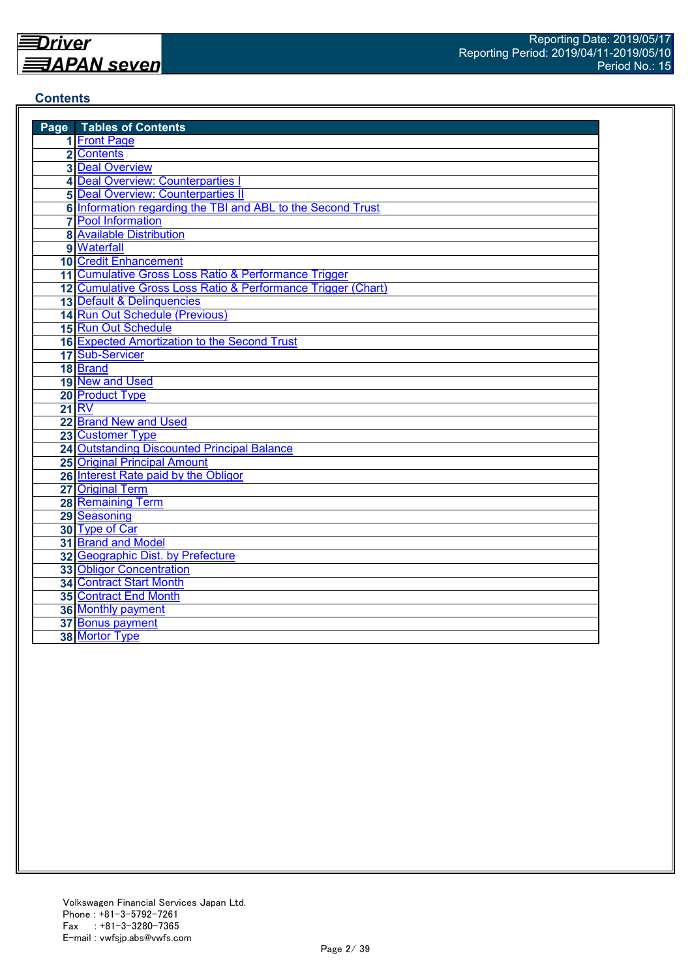#### **Contents**

| <b>Page</b> Tables of Contents                               |
|--------------------------------------------------------------|
| 1 Front Page                                                 |
| 2 Contents                                                   |
| <b>3 Deal Overview</b>                                       |
| 4 Deal Overview: Counterparties I                            |
| <b>5</b> Deal Overview: Counterparties II                    |
| 6 Information regarding the TBI and ABL to the Second Trust  |
| <b>7</b> Pool Information                                    |
| <b>8 Available Distribution</b>                              |
| 9 Waterfall                                                  |
| <b>10 Credit Enhancement</b>                                 |
| 11 Cumulative Gross Loss Ratio & Performance Trigger         |
| 12 Cumulative Gross Loss Ratio & Performance Trigger (Chart) |
| 13 Default & Delinquencies                                   |
| 14 Run Out Schedule (Previous)                               |
| 15 Run Out Schedule                                          |
| 16 Expected Amortization to the Second Trust                 |
| 17 Sub-Servicer                                              |
| 18 Brand                                                     |
| 19 New and Used                                              |
| 20 Product Type                                              |
| <b>21 RV</b>                                                 |
| 22 Brand New and Used                                        |
| 23 Customer Type                                             |
| 24 Outstanding Discounted Principal Balance                  |
| <b>25 Original Principal Amount</b>                          |
| 26 Interest Rate paid by the Obligor                         |
| 27 Original Term                                             |
| 28 Remaining Term                                            |
| 29 Seasoning                                                 |
| 30 Type of Car                                               |
| 31 Brand and Model                                           |
| 32 Geographic Dist. by Prefecture                            |
| <b>33 Obligor Concentration</b>                              |
| <b>34 Contract Start Month</b>                               |
| 35 Contract End Month                                        |
| <b>36 Monthly payment</b>                                    |
| 37 Bonus payment                                             |
| 38 Mortor Type                                               |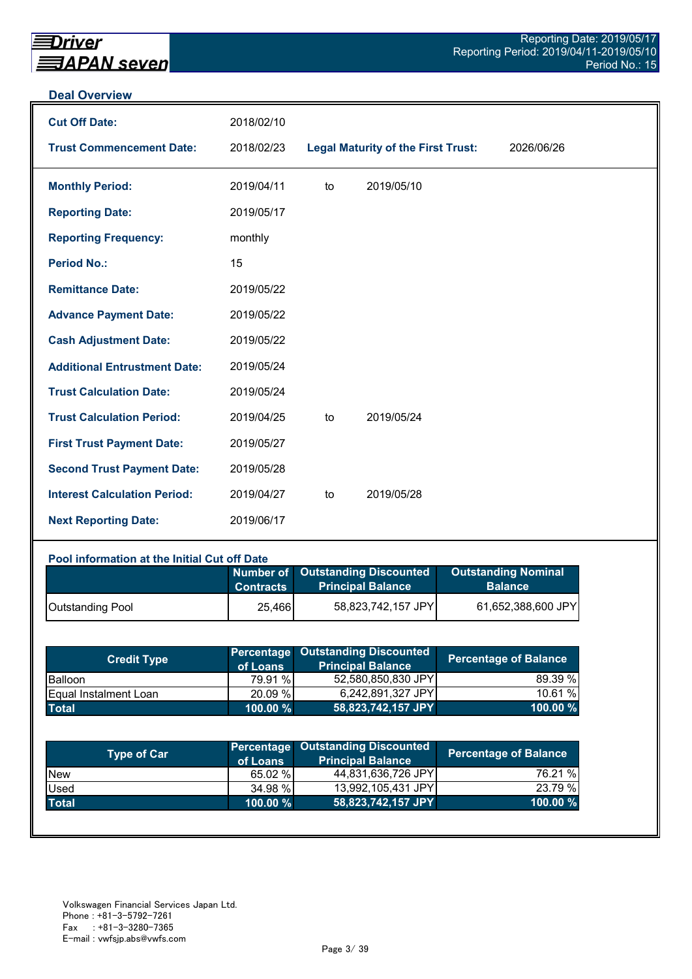#### **Deal Overview**

| <b>Cut Off Date:</b>                | 2018/02/10 |    |                                           |            |
|-------------------------------------|------------|----|-------------------------------------------|------------|
| <b>Trust Commencement Date:</b>     | 2018/02/23 |    | <b>Legal Maturity of the First Trust:</b> | 2026/06/26 |
| <b>Monthly Period:</b>              | 2019/04/11 | to | 2019/05/10                                |            |
| <b>Reporting Date:</b>              | 2019/05/17 |    |                                           |            |
| <b>Reporting Frequency:</b>         | monthly    |    |                                           |            |
| <b>Period No.:</b>                  | 15         |    |                                           |            |
| <b>Remittance Date:</b>             | 2019/05/22 |    |                                           |            |
| <b>Advance Payment Date:</b>        | 2019/05/22 |    |                                           |            |
| <b>Cash Adjustment Date:</b>        | 2019/05/22 |    |                                           |            |
| <b>Additional Entrustment Date:</b> | 2019/05/24 |    |                                           |            |
| <b>Trust Calculation Date:</b>      | 2019/05/24 |    |                                           |            |
| <b>Trust Calculation Period:</b>    | 2019/04/25 | to | 2019/05/24                                |            |
| <b>First Trust Payment Date:</b>    | 2019/05/27 |    |                                           |            |
| <b>Second Trust Payment Date:</b>   | 2019/05/28 |    |                                           |            |
| <b>Interest Calculation Period:</b> | 2019/04/27 | to | 2019/05/28                                |            |
| <b>Next Reporting Date:</b>         | 2019/06/17 |    |                                           |            |

#### **Pool information at the Initial Cut off Date**

|                         | <b>Contracts</b> | Number of Outstanding Discounted<br><b>Principal Balance</b> | <b>Outstanding Nominal</b><br><b>Balance</b> |
|-------------------------|------------------|--------------------------------------------------------------|----------------------------------------------|
| <b>Outstanding Pool</b> | 25,466           | 58,823,742,157 JPY                                           | 61,652,388,600 JPY                           |

| <b>Credit Type</b>            | of Loans    | <b>Percentage Outstanding Discounted</b><br><b>Principal Balance</b> | <b>Percentage of Balance</b> |
|-------------------------------|-------------|----------------------------------------------------------------------|------------------------------|
| <b>Balloon</b>                | 79.91 %     | 52,580,850,830 JPY                                                   | 89.39 %                      |
| <b>IEqual Instalment Loan</b> | 20.09 %     | 6,242,891,327 JPY                                                    | 10.61%                       |
| <b>Total</b>                  | $100.00 \%$ | 58,823,742,157 JPY                                                   | 100.00 $%$                   |

| <b>Type of Car</b> | of Loans    | Percentage Outstanding Discounted<br><b>Principal Balance</b> | <b>Percentage of Balance</b> |
|--------------------|-------------|---------------------------------------------------------------|------------------------------|
| <b>New</b>         | 65.02 %     | 44,831,636,726 JPY                                            | 76.21 %                      |
| Used               | 34.98 %     | 13,992,105,431 JPY                                            | 23.79 %                      |
| <b>Total</b>       | $100.00 \%$ | 58,823,742,157 JPY                                            | 100.00 %                     |
|                    |             |                                                               |                              |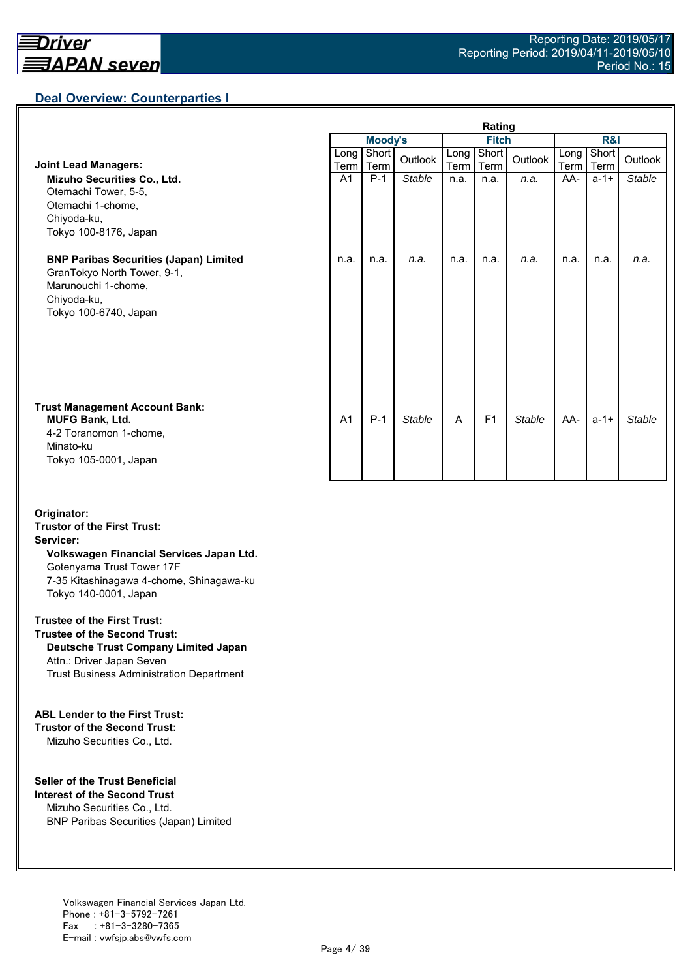## **Deal Overview: Counterparties I**

|                                                                                                                                             | Rating         |                |               |              |                |               |                     |               |               |
|---------------------------------------------------------------------------------------------------------------------------------------------|----------------|----------------|---------------|--------------|----------------|---------------|---------------------|---------------|---------------|
|                                                                                                                                             |                | <b>Moody's</b> |               | <b>Fitch</b> |                |               | <b>R&amp;I</b>      |               |               |
| <b>Joint Lead Managers:</b>                                                                                                                 | Long  <br>Term | Short<br>Term  | Outlook       | Long<br>Term | Short<br>Term  | Outlook       | Long<br><b>Term</b> | Short<br>Term | Outlook       |
| Mizuho Securities Co., Ltd.<br>Otemachi Tower, 5-5,<br>Otemachi 1-chome,<br>Chiyoda-ku,<br>Tokyo 100-8176, Japan                            | A <sub>1</sub> | $P-1$          | <b>Stable</b> | n.a.         | n.a.           | n.a.          | AA-                 | $a - 1 +$     | <b>Stable</b> |
| <b>BNP Paribas Securities (Japan) Limited</b><br>GranTokyo North Tower, 9-1,<br>Marunouchi 1-chome,<br>Chiyoda-ku,<br>Tokyo 100-6740, Japan | n.a.           | n.a.           | n.a.          | n.a.         | n.a.           | n.a.          | n.a.                | n.a.          | n.a.          |
| <b>Trust Management Account Bank:</b><br><b>MUFG Bank, Ltd.</b><br>4-2 Toranomon 1-chome,<br>Minato-ku<br>Tokyo 105-0001, Japan             | A <sub>1</sub> | $P-1$          | <b>Stable</b> | A            | F <sub>1</sub> | <b>Stable</b> | AA-                 | $a - 1 +$     | Stable        |

#### **Originator: Trustor of the First Trust: Servicer: Volkswagen Financial Services Japan Ltd.** Gotenyama Trust Tower 17F 7-35 Kitashinagawa 4-chome, Shinagawa-ku Tokyo 140-0001, Japan

#### **Trustee of the First Trust:**

**Trustee of the Second Trust: Deutsche Trust Company Limited Japan** Attn.: Driver Japan Seven Trust Business Administration Department

#### **ABL Lender to the First Trust:**

**Trustor of the Second Trust:** Mizuho Securities Co., Ltd.

#### **Seller of the Trust Beneficial**

**Interest of the Second Trust** Mizuho Securities Co., Ltd. BNP Paribas Securities (Japan) Limited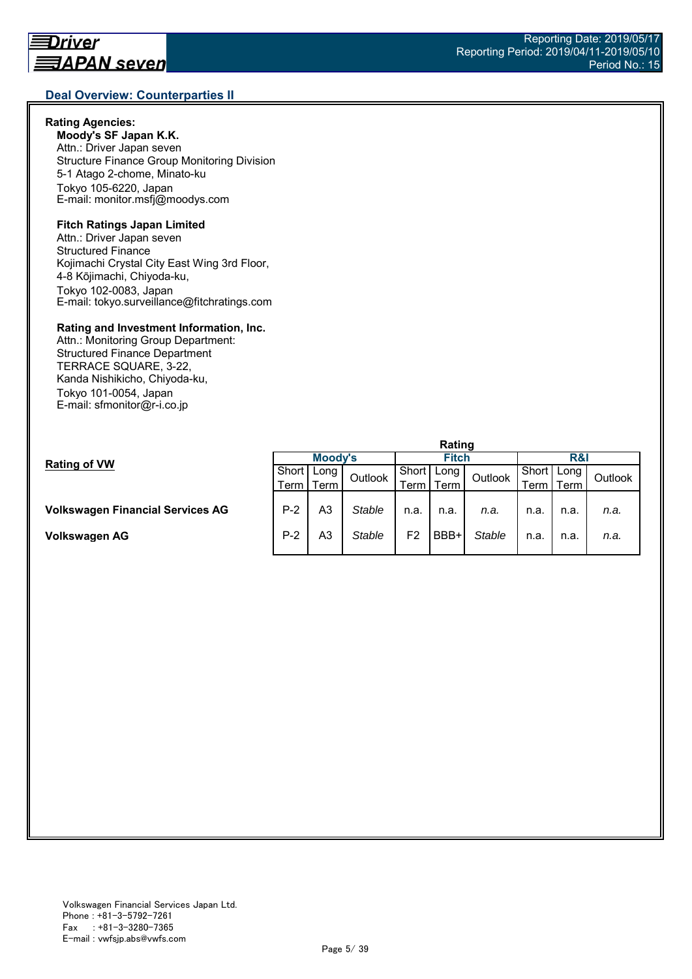#### **Rating Agencies:**

**Moody's SF Japan K.K.** Attn.: Driver Japan seven Structure Finance Group Monitoring Division 5-1 Atago 2-chome, Minato-ku Tokyo 105-6220, Japan E-mail: monitor.msfj@moodys.com

#### **Fitch Ratings Japan Limited**

Attn.: Driver Japan seven Structured Finance Kojimachi Crystal City East Wing 3rd Floor, 4-8 Kōjimachi, Chiyoda-ku, Tokyo 102-0083, Japan E-mail: tokyo.surveillance@fitchratings.com

#### **Rating and Investment Information, Inc.**

Attn.: Monitoring Group Department: Structured Finance Department TERRACE SQUARE, 3-22, Kanda Nishikicho, Chiyoda-ku, Tokyo 101-0054, Japan E-mail: sfmonitor@r-i.co.jp

|                                         | Rating  |             |         |              |      |               |                |      |         |  |
|-----------------------------------------|---------|-------------|---------|--------------|------|---------------|----------------|------|---------|--|
| <b>Rating of VW</b>                     | Moody's |             |         | <b>Fitch</b> |      |               | <b>R&amp;I</b> |      |         |  |
|                                         | Short I | Long        | Outlook | Short        | Long | Outlook       | Short          | Long | Outlook |  |
|                                         |         | Term I Term |         | Term .       | Term |               | Term           | Геrm |         |  |
|                                         |         |             |         |              |      |               |                |      |         |  |
| <b>Volkswagen Financial Services AG</b> | $P-2$   | A3          | Stable  | n.a.         | n.a. | n.a.          | n.a.           | n.a. | n.a.    |  |
|                                         |         |             |         |              |      |               |                |      |         |  |
| Volkswagen AG                           | $P-2$   | A3          | Stable  | F2           | BBB+ | <b>Stable</b> | n.a.           | n.a. | n.a.    |  |
|                                         |         |             |         |              |      |               |                |      |         |  |

#### Reporting Date: 2019/05/17 Reporting Period: 2019/04/11-2019/05/10 Period No.: 15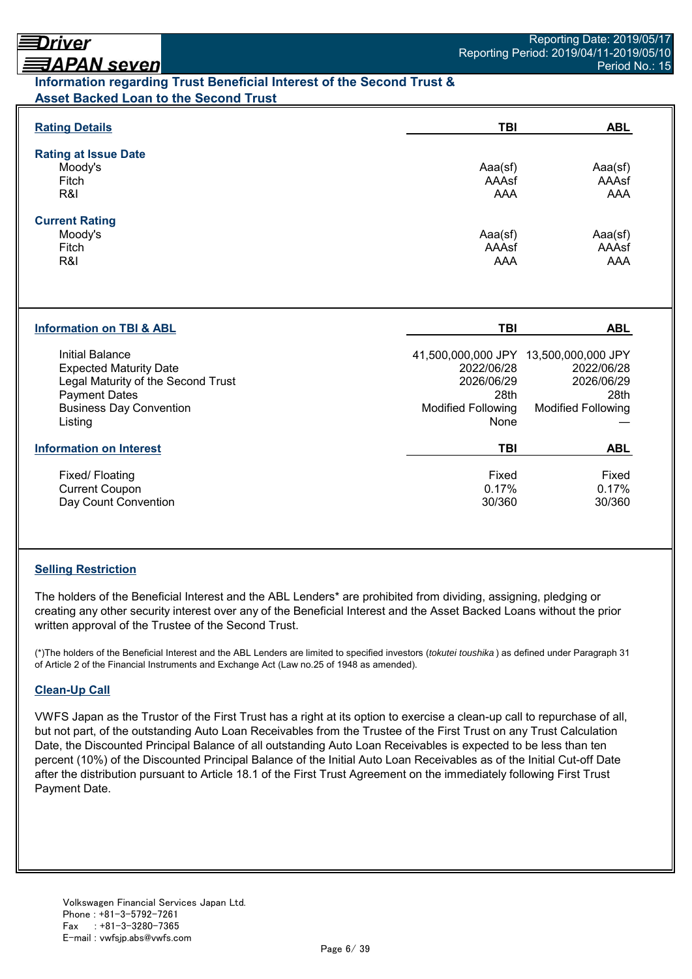## <u> ヨAPAN seven</u> **Information regarding Trust Beneficial Interest of the Second Trust & Asset Backed Loan to the Second Trust**

| <b>Rating Details</b>                                                                                                                                       | <b>TBI</b>                                                            | <b>ABL</b>                                                                                             |
|-------------------------------------------------------------------------------------------------------------------------------------------------------------|-----------------------------------------------------------------------|--------------------------------------------------------------------------------------------------------|
| <b>Rating at Issue Date</b><br>Moody's<br>Fitch<br>R&I                                                                                                      | Aaa(sf)<br>AAAsf<br>AAA                                               | Aaa(sf)<br>AAAsf<br>AAA                                                                                |
| <b>Current Rating</b><br>Moody's<br>Fitch<br>R&I                                                                                                            | Aaa(sf)<br>AAAsf<br><b>AAA</b>                                        | Aaa(sf)<br>AAAsf<br><b>AAA</b>                                                                         |
| <b>Information on TBI &amp; ABL</b>                                                                                                                         | <b>TBI</b>                                                            | <b>ABL</b>                                                                                             |
| Initial Balance<br><b>Expected Maturity Date</b><br>Legal Maturity of the Second Trust<br><b>Payment Dates</b><br><b>Business Day Convention</b><br>Listing | 2022/06/28<br>2026/06/29<br>28th<br><b>Modified Following</b><br>None | 41,500,000,000 JPY 13,500,000,000 JPY<br>2022/06/28<br>2026/06/29<br>28th<br><b>Modified Following</b> |
| <b>Information on Interest</b>                                                                                                                              | <b>TBI</b>                                                            | <b>ABL</b>                                                                                             |
| Fixed/Floating<br><b>Current Coupon</b><br>Day Count Convention                                                                                             | Fixed<br>0.17%<br>30/360                                              | Fixed<br>0.17%<br>30/360                                                                               |

## **Selling Restriction**

The holders of the Beneficial Interest and the ABL Lenders\* are prohibited from dividing, assigning, pledging or creating any other security interest over any of the Beneficial Interest and the Asset Backed Loans without the prior written approval of the Trustee of the Second Trust.

(\*)The holders of the Beneficial Interest and the ABL Lenders are limited to specified investors (*tokutei toushika* ) as defined under Paragraph 31 of Article 2 of the Financial Instruments and Exchange Act (Law no.25 of 1948 as amended).

## **Clean-Up Call**

VWFS Japan as the Trustor of the First Trust has a right at its option to exercise a clean-up call to repurchase of all, but not part, of the outstanding Auto Loan Receivables from the Trustee of the First Trust on any Trust Calculation Date, the Discounted Principal Balance of all outstanding Auto Loan Receivables is expected to be less than ten percent (10%) of the Discounted Principal Balance of the Initial Auto Loan Receivables as of the Initial Cut-off Date after the distribution pursuant to Article 18.1 of the First Trust Agreement on the immediately following First Trust Payment Date.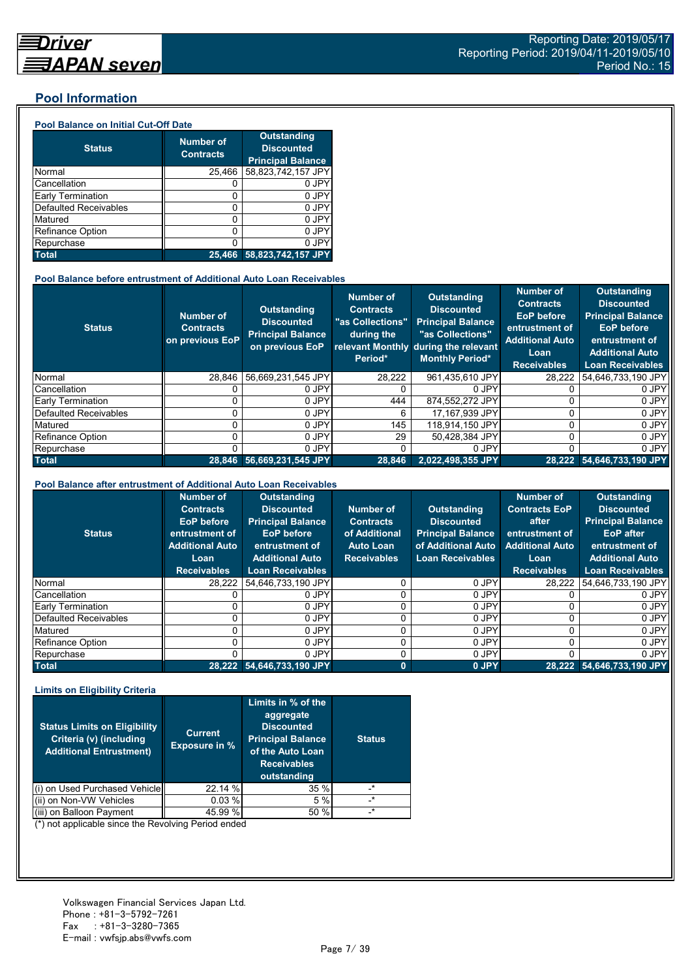#### **Pool Information**

#### **Pool Balance on Initial Cut-Off Date**

| <b>Status</b>                | <b>Number of</b><br><b>Contracts</b> | <b>Outstanding</b><br><b>Discounted</b><br><b>Principal Balance</b> |
|------------------------------|--------------------------------------|---------------------------------------------------------------------|
| Normal                       | 25,466                               | 58,823,742,157 JPY                                                  |
| Cancellation                 |                                      | 0 JPY                                                               |
| Early Termination            | 0                                    | 0 JPY                                                               |
| <b>Defaulted Receivables</b> | 0                                    | 0 JPY                                                               |
| Matured                      | ი                                    | 0 JPY                                                               |
| <b>Refinance Option</b>      | 0                                    | 0 JPY                                                               |
| Repurchase                   |                                      | 0 JPY                                                               |
| <b>Total</b>                 | 25.466                               | 58,823,742,157 JPY                                                  |

#### **Pool Balance before entrustment of Additional Auto Loan Receivables**

| <b>Status</b>            | <b>Number of</b><br><b>Contracts</b><br>on previous EoP | <b>Outstanding</b><br><b>Discounted</b><br><b>Principal Balance</b><br>on previous EoP | <b>Number of</b><br><b>Contracts</b><br>"as Collections"<br>during the<br>Period* | Outstanding<br><b>Discounted</b><br><b>Principal Balance</b><br>"as Collections"<br>relevant Monthly during the relevant<br><b>Monthly Period*</b> | <b>Number of</b><br><b>Contracts</b><br><b>EoP</b> before<br>entrustment of<br><b>Additional Auto</b><br>Loan<br><b>Receivables</b> | <b>Outstanding</b><br><b>Discounted</b><br><b>Principal Balance</b><br><b>EoP</b> before<br>entrustment of<br><b>Additional Auto</b><br><b>Loan Receivables</b> |
|--------------------------|---------------------------------------------------------|----------------------------------------------------------------------------------------|-----------------------------------------------------------------------------------|----------------------------------------------------------------------------------------------------------------------------------------------------|-------------------------------------------------------------------------------------------------------------------------------------|-----------------------------------------------------------------------------------------------------------------------------------------------------------------|
| Normal                   | 28.846                                                  | 56,669,231,545 JPY                                                                     | 28,222                                                                            | 961,435,610 JPY                                                                                                                                    | 28,222                                                                                                                              | 54,646,733,190 JPY                                                                                                                                              |
| Cancellation             |                                                         | 0 JPY                                                                                  |                                                                                   | 0 JPY                                                                                                                                              |                                                                                                                                     | 0 JPY                                                                                                                                                           |
| <b>Early Termination</b> |                                                         | 0 JPY                                                                                  | 444                                                                               | 874.552.272 JPY                                                                                                                                    |                                                                                                                                     | 0 JPY                                                                                                                                                           |
| Defaulted Receivables    |                                                         | 0 JPY                                                                                  | 6                                                                                 | 17,167,939 JPY                                                                                                                                     |                                                                                                                                     | 0 JPY                                                                                                                                                           |
| Matured                  |                                                         | 0 JPY                                                                                  | 145                                                                               | 118.914.150 JPY                                                                                                                                    |                                                                                                                                     | 0 JPY                                                                                                                                                           |
| <b>Refinance Option</b>  |                                                         | 0 JPY                                                                                  | 29                                                                                | 50.428.384 JPY                                                                                                                                     | U                                                                                                                                   | 0 JPY                                                                                                                                                           |
| Repurchase               |                                                         | 0 JPY                                                                                  |                                                                                   | 0 JPY                                                                                                                                              | U                                                                                                                                   | 0 JPY                                                                                                                                                           |
| <b>Total</b>             |                                                         | 28.846 56.669.231.545 JPY                                                              | 28,846                                                                            | 2.022.498.355 JPY                                                                                                                                  |                                                                                                                                     | 28,222 54,646,733,190 JPY                                                                                                                                       |

#### **Pool Balance after entrustment of Additional Auto Loan Receivables**

| <b>Status</b>            | <b>Number of</b><br><b>Contracts</b><br>EoP before<br>entrustment of<br><b>Additional Auto</b><br>Loan<br><b>Receivables</b> | <b>Outstanding</b><br><b>Discounted</b><br><b>Principal Balance</b><br><b>EoP</b> before<br>entrustment of<br><b>Additional Auto</b><br><b>Loan Receivables</b> | Number of<br><b>Contracts</b><br>of Additional<br><b>Auto Loan</b><br><b>Receivables</b> | <b>Outstanding</b><br><b>Discounted</b><br><b>Principal Balance</b><br>of Additional Auto<br><b>Loan Receivables</b> | <b>Number of</b><br><b>Contracts EoP</b><br>after<br>entrustment of<br><b>Additional Auto</b><br>Loan<br><b>Receivables</b> | <b>Outstanding</b><br><b>Discounted</b><br><b>Principal Balance</b><br><b>EoP</b> after<br>entrustment of<br><b>Additional Auto</b><br><b>Loan Receivables</b> |
|--------------------------|------------------------------------------------------------------------------------------------------------------------------|-----------------------------------------------------------------------------------------------------------------------------------------------------------------|------------------------------------------------------------------------------------------|----------------------------------------------------------------------------------------------------------------------|-----------------------------------------------------------------------------------------------------------------------------|----------------------------------------------------------------------------------------------------------------------------------------------------------------|
| Normal                   | 28.222                                                                                                                       | 54.646.733.190 JPY                                                                                                                                              |                                                                                          | 0 JPY                                                                                                                | 28.222                                                                                                                      | 54,646,733,190 JPY                                                                                                                                             |
| Cancellation             |                                                                                                                              | 0 JPY                                                                                                                                                           |                                                                                          | 0 JPY                                                                                                                |                                                                                                                             | 0 JPY                                                                                                                                                          |
| <b>Early Termination</b> |                                                                                                                              | 0 JPY                                                                                                                                                           |                                                                                          | 0 JPY                                                                                                                |                                                                                                                             | 0 JPY                                                                                                                                                          |
| Defaulted Receivables    |                                                                                                                              | 0 JPY                                                                                                                                                           |                                                                                          | 0 JPY                                                                                                                |                                                                                                                             | 0 JPY                                                                                                                                                          |
| Matured                  |                                                                                                                              | 0 JPY                                                                                                                                                           |                                                                                          | 0 JPY                                                                                                                | 0                                                                                                                           | 0 JPY                                                                                                                                                          |
| Refinance Option         |                                                                                                                              | 0 JPY                                                                                                                                                           |                                                                                          | 0 JPY                                                                                                                | 0                                                                                                                           | 0 JPY                                                                                                                                                          |
| Repurchase               |                                                                                                                              | 0 JPY                                                                                                                                                           |                                                                                          | 0 JPY                                                                                                                |                                                                                                                             | 0 JPY                                                                                                                                                          |
| <b>Total</b>             |                                                                                                                              | 28,222 54,646,733,190 JPY                                                                                                                                       | $\bf{0}$                                                                                 | 0 JPY                                                                                                                |                                                                                                                             | 28,222 54,646,733,190 JPY                                                                                                                                      |

#### **Limits on Eligibility Criteria**

| <b>Status Limits on Eligibility</b><br>Criteria (v) (including<br><b>Additional Entrustment)</b> | <b>Current</b><br><b>Exposure in %</b> | Limits in % of the<br>aggregate<br><b>Discounted</b><br><b>Principal Balance</b><br>of the Auto Loan<br><b>Receivables</b><br>outstanding | <b>Status</b> |
|--------------------------------------------------------------------------------------------------|----------------------------------------|-------------------------------------------------------------------------------------------------------------------------------------------|---------------|
| on Used Purchased Vehicle                                                                        | 22.14 %                                | 35%                                                                                                                                       | $^\star$      |
| (ii) on Non-VW Vehicles                                                                          | 0.03%                                  | 5 %                                                                                                                                       | $\star$       |
| on Balloon Payment                                                                               | 45.99 %                                | 50 %                                                                                                                                      | $\star$       |

(\*) not applicable since the Revolving Period ended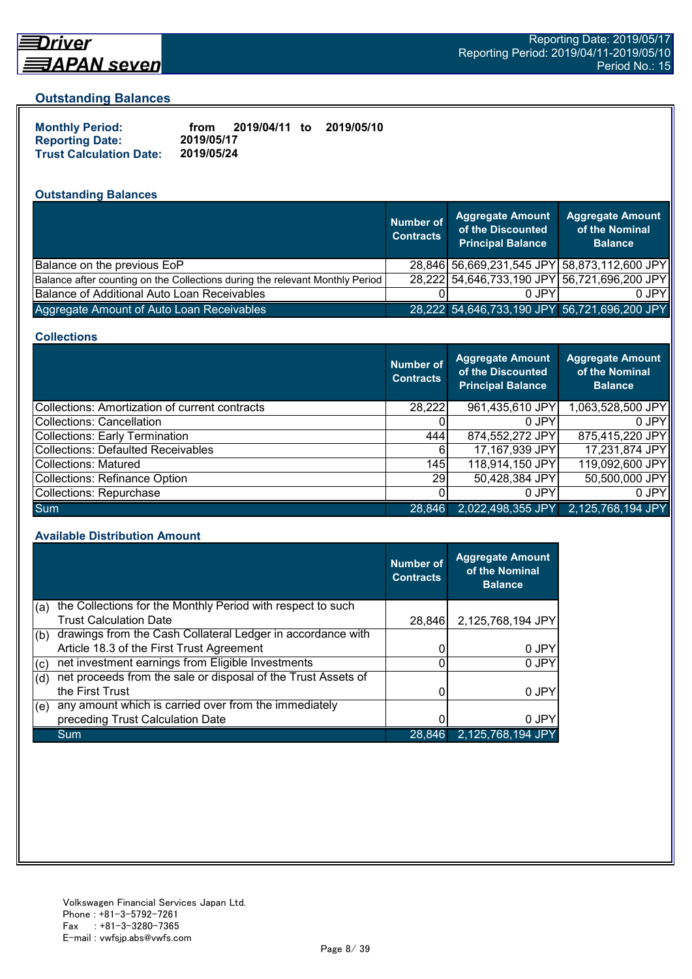

# Driver <u> ヨAPAN seven</u>

#### **Outstanding Balances**

| <b>Monthly Period:</b>         | from       | 2019/04/11 to | 2019/05/10 |
|--------------------------------|------------|---------------|------------|
| <b>Reporting Date:</b>         | 2019/05/17 |               |            |
| <b>Trust Calculation Date:</b> | 2019/05/24 |               |            |

## **Outstanding Balances**

|                                                                              | <b>Number of</b><br><b>Contracts</b> | <b>Aggregate Amount</b><br>of the Discounted<br><b>Principal Balance</b> | <b>Aggregate Amount</b><br>of the Nominal<br><b>Balance</b> |
|------------------------------------------------------------------------------|--------------------------------------|--------------------------------------------------------------------------|-------------------------------------------------------------|
| Balance on the previous EoP                                                  |                                      |                                                                          | 28,846 56,669,231,545 JPY 58,873,112,600 JPY                |
| Balance after counting on the Collections during the relevant Monthly Period |                                      |                                                                          | 28,222 54,646,733,190 JPY 56,721,696,200 JPY                |
| Balance of Additional Auto Loan Receivables                                  |                                      | 0 JPY                                                                    | 0 JPY                                                       |
| Aggregate Amount of Auto Loan Receivables                                    |                                      |                                                                          | 28,222 54,646,733,190 JPY 56,721,696,200 JPY                |

#### **Collections**

|                                                | Number of<br><b>Contracts</b> | Aggregate Amount<br>of the Discounted<br><b>Principal Balance</b> | <b>Aggregate Amount</b><br>of the Nominal<br><b>Balance</b> |
|------------------------------------------------|-------------------------------|-------------------------------------------------------------------|-------------------------------------------------------------|
| Collections: Amortization of current contracts | 28,222                        | 961,435,610 JPY                                                   | 1,063,528,500 JPY                                           |
| Collections: Cancellation                      |                               | 0 JPY                                                             | $0$ JPY                                                     |
| Collections: Early Termination                 | 444                           | 874,552,272 JPY                                                   | 875,415,220 JPY                                             |
| Collections: Defaulted Receivables             | 6                             | 17,167,939 JPY                                                    | 17,231,874 JPY                                              |
| Collections: Matured                           | 145                           | 118,914,150 JPY                                                   | 119,092,600 JPY                                             |
| Collections: Refinance Option                  | 29                            | 50,428,384 JPY                                                    | 50,500,000 JPY                                              |
| Collections: Repurchase                        |                               | $0$ JPY                                                           | 0 JPY                                                       |
| Sum                                            | 28.846                        | 2,022,498,355 JPY                                                 | 2,125,768,194 JPY                                           |

#### **Available Distribution Amount**

|     |                                                               | <b>Number of</b><br><b>Contracts</b> | <b>Aggregate Amount</b><br>of the Nominal<br><b>Balance</b> |
|-----|---------------------------------------------------------------|--------------------------------------|-------------------------------------------------------------|
| (a) | the Collections for the Monthly Period with respect to such   |                                      |                                                             |
|     | <b>Trust Calculation Date</b>                                 | 28.846                               | 2,125,768,194 JPY                                           |
| (b) | drawings from the Cash Collateral Ledger in accordance with   |                                      |                                                             |
|     | Article 18.3 of the First Trust Agreement                     |                                      | 0 JPY                                                       |
| (c) | net investment earnings from Eligible Investments             | ი                                    | 0 JPY                                                       |
| (d) | net proceeds from the sale or disposal of the Trust Assets of |                                      |                                                             |
|     | the First Trust                                               |                                      | 0 JPY                                                       |
| (e) | any amount which is carried over from the immediately         |                                      |                                                             |
|     | preceding Trust Calculation Date                              |                                      | 0 JPY                                                       |
|     | Sum                                                           | 28,846                               | 2,125,768,194 JPY                                           |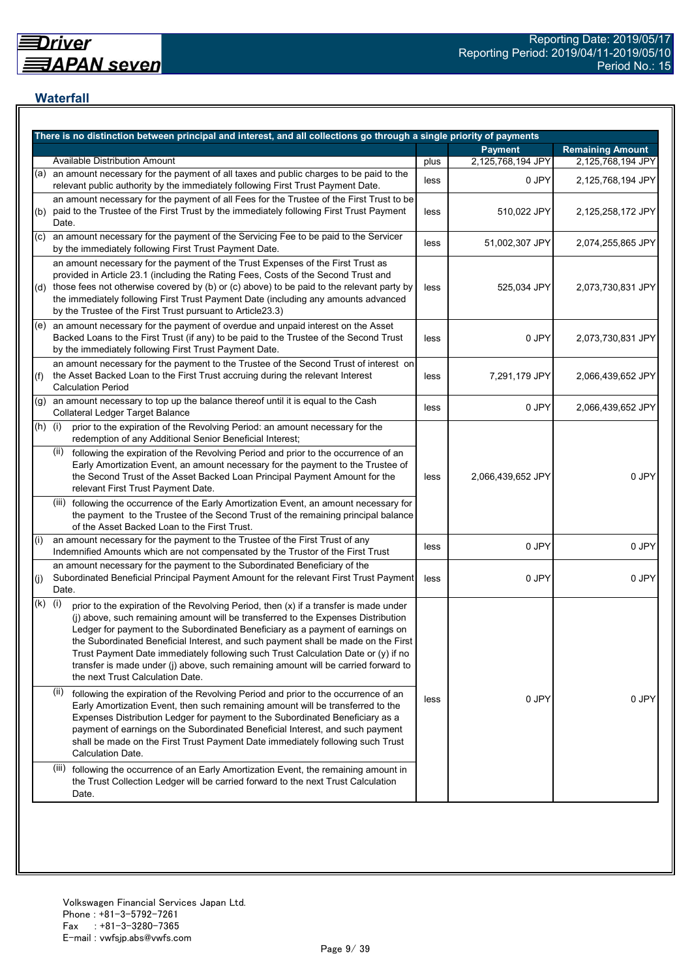## **Waterfall**

|           | There is no distinction between principal and interest, and all collections go through a single priority of payments                                                                                                                                                                                                                                                                                                                                                                                                                                                    |      |                   |                         |
|-----------|-------------------------------------------------------------------------------------------------------------------------------------------------------------------------------------------------------------------------------------------------------------------------------------------------------------------------------------------------------------------------------------------------------------------------------------------------------------------------------------------------------------------------------------------------------------------------|------|-------------------|-------------------------|
|           |                                                                                                                                                                                                                                                                                                                                                                                                                                                                                                                                                                         |      | <b>Payment</b>    | <b>Remaining Amount</b> |
|           | <b>Available Distribution Amount</b>                                                                                                                                                                                                                                                                                                                                                                                                                                                                                                                                    | plus | 2,125,768,194 JPY | 2,125,768,194 JPY       |
| (a)       | an amount necessary for the payment of all taxes and public charges to be paid to the<br>relevant public authority by the immediately following First Trust Payment Date.                                                                                                                                                                                                                                                                                                                                                                                               | less | 0 JPY             | 2,125,768,194 JPY       |
| (b)       | an amount necessary for the payment of all Fees for the Trustee of the First Trust to be<br>paid to the Trustee of the First Trust by the immediately following First Trust Payment<br>Date.                                                                                                                                                                                                                                                                                                                                                                            | less | 510,022 JPY       | 2,125,258,172 JPY       |
| (C)       | an amount necessary for the payment of the Servicing Fee to be paid to the Servicer<br>by the immediately following First Trust Payment Date.                                                                                                                                                                                                                                                                                                                                                                                                                           | less | 51,002,307 JPY    | 2,074,255,865 JPY       |
|           | an amount necessary for the payment of the Trust Expenses of the First Trust as<br>provided in Article 23.1 (including the Rating Fees, Costs of the Second Trust and<br>(d) those fees not otherwise covered by (b) or (c) above) to be paid to the relevant party by<br>the immediately following First Trust Payment Date (including any amounts advanced<br>by the Trustee of the First Trust pursuant to Article23.3)                                                                                                                                              | less | 525,034 JPY       | 2,073,730,831 JPY       |
|           | (e) an amount necessary for the payment of overdue and unpaid interest on the Asset<br>Backed Loans to the First Trust (if any) to be paid to the Trustee of the Second Trust<br>by the immediately following First Trust Payment Date.                                                                                                                                                                                                                                                                                                                                 | less | 0 JPY             | 2,073,730,831 JPY       |
| (f)       | an amount necessary for the payment to the Trustee of the Second Trust of interest on<br>the Asset Backed Loan to the First Trust accruing during the relevant Interest<br><b>Calculation Period</b>                                                                                                                                                                                                                                                                                                                                                                    | less | 7,291,179 JPY     | 2,066,439,652 JPY       |
| (g)       | an amount necessary to top up the balance thereof until it is equal to the Cash<br>Collateral Ledger Target Balance                                                                                                                                                                                                                                                                                                                                                                                                                                                     | less | 0 JPY             | 2,066,439,652 JPY       |
| $(h)$ (i) | prior to the expiration of the Revolving Period: an amount necessary for the<br>redemption of any Additional Senior Beneficial Interest;                                                                                                                                                                                                                                                                                                                                                                                                                                |      |                   |                         |
|           | following the expiration of the Revolving Period and prior to the occurrence of an<br>(ii)<br>Early Amortization Event, an amount necessary for the payment to the Trustee of<br>the Second Trust of the Asset Backed Loan Principal Payment Amount for the<br>relevant First Trust Payment Date.                                                                                                                                                                                                                                                                       | less | 2,066,439,652 JPY | 0 JPY                   |
|           | (iii) following the occurrence of the Early Amortization Event, an amount necessary for<br>the payment to the Trustee of the Second Trust of the remaining principal balance<br>of the Asset Backed Loan to the First Trust.                                                                                                                                                                                                                                                                                                                                            |      |                   |                         |
| (i)       | an amount necessary for the payment to the Trustee of the First Trust of any<br>Indemnified Amounts which are not compensated by the Trustor of the First Trust                                                                                                                                                                                                                                                                                                                                                                                                         | less | 0 JPY             | 0 JPY                   |
| (j)       | an amount necessary for the payment to the Subordinated Beneficiary of the<br>Subordinated Beneficial Principal Payment Amount for the relevant First Trust Payment<br>Date.                                                                                                                                                                                                                                                                                                                                                                                            | less | 0 JPY             | 0 JPY                   |
| (k)       | (i)<br>prior to the expiration of the Revolving Period, then (x) if a transfer is made under<br>(j) above, such remaining amount will be transferred to the Expenses Distribution<br>Ledger for payment to the Subordinated Beneficiary as a payment of earnings on<br>the Subordinated Beneficial Interest, and such payment shall be made on the First<br>Trust Payment Date immediately following such Trust Calculation Date or (y) if no<br>transfer is made under (j) above, such remaining amount will be carried forward to<br>the next Trust Calculation Date. |      |                   |                         |
|           | (ii)<br>following the expiration of the Revolving Period and prior to the occurrence of an<br>Early Amortization Event, then such remaining amount will be transferred to the<br>Expenses Distribution Ledger for payment to the Subordinated Beneficiary as a<br>payment of earnings on the Subordinated Beneficial Interest, and such payment<br>shall be made on the First Trust Payment Date immediately following such Trust<br>Calculation Date.                                                                                                                  | less | 0 JPY             | 0 JPY                   |
|           | (iii)<br>following the occurrence of an Early Amortization Event, the remaining amount in<br>the Trust Collection Ledger will be carried forward to the next Trust Calculation<br>Date.                                                                                                                                                                                                                                                                                                                                                                                 |      |                   |                         |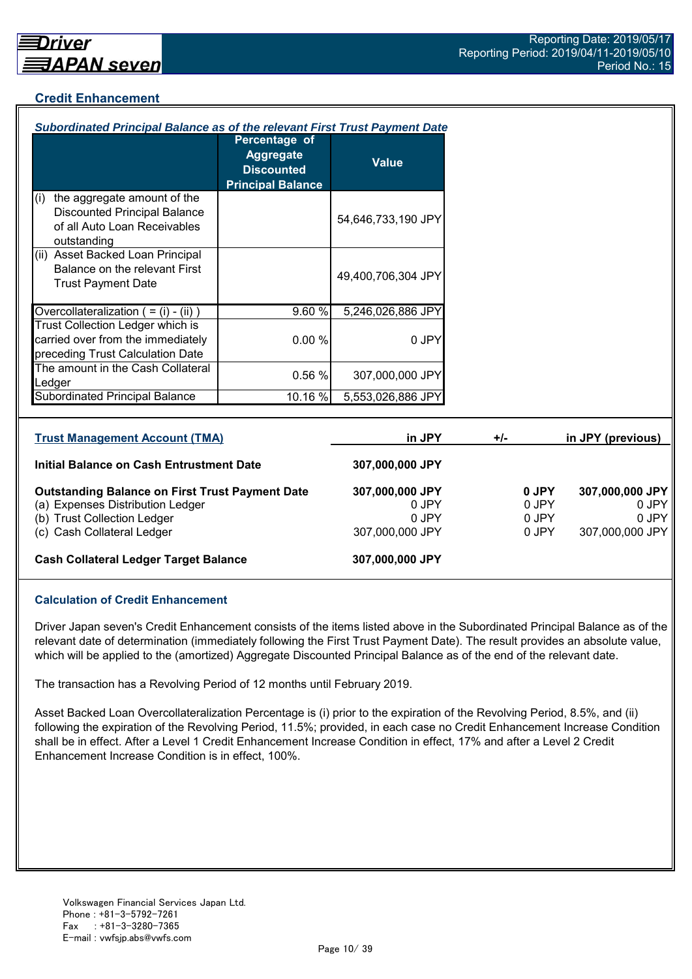## **Credit Enhancement**

| Subordinated Principal Balance as of the relevant First Trust Payment Date                                                |                                                                                    |                                   |       |                         |                                   |
|---------------------------------------------------------------------------------------------------------------------------|------------------------------------------------------------------------------------|-----------------------------------|-------|-------------------------|-----------------------------------|
|                                                                                                                           | Percentage of<br><b>Aggregate</b><br><b>Discounted</b><br><b>Principal Balance</b> | <b>Value</b>                      |       |                         |                                   |
| the aggregate amount of the<br>(i)<br><b>Discounted Principal Balance</b><br>of all Auto Loan Receivables<br>outstanding  |                                                                                    | 54,646,733,190 JPY                |       |                         |                                   |
| (ii) Asset Backed Loan Principal<br>Balance on the relevant First<br><b>Trust Payment Date</b>                            |                                                                                    | 49,400,706,304 JPY                |       |                         |                                   |
| Overcollateralization $( = (i) - (ii))$                                                                                   | 9.60%                                                                              | 5,246,026,886 JPY                 |       |                         |                                   |
| Trust Collection Ledger which is<br>carried over from the immediately<br>preceding Trust Calculation Date                 | 0.00%                                                                              | 0 JPY                             |       |                         |                                   |
| The amount in the Cash Collateral<br>Ledger                                                                               | 0.56 %                                                                             | 307,000,000 JPY                   |       |                         |                                   |
| Subordinated Principal Balance                                                                                            | 10.16 %                                                                            | 5,553,026,886 JPY                 |       |                         |                                   |
| <b>Trust Management Account (TMA)</b>                                                                                     |                                                                                    | in JPY                            | $+/-$ |                         | in JPY (previous)                 |
| Initial Balance on Cash Entrustment Date                                                                                  |                                                                                    | 307,000,000 JPY                   |       |                         |                                   |
| <b>Outstanding Balance on First Trust Payment Date</b><br>(a) Expenses Distribution Ledger<br>(b) Trust Collection Ledger |                                                                                    | 307,000,000 JPY<br>0 JPY<br>0 JPY |       | 0 JPY<br>0 JPY<br>0 JPY | 307,000,000 JPY<br>0 JPY<br>0 JPY |

(c) Cash Collateral Ledger 307,000,000 JPY 307,000,000 JPY 307,000,000 JPY

#### **Cash Collateral Ledger Target Balance 307,000,000 JPY**

#### **Calculation of Credit Enhancement**

Driver Japan seven's Credit Enhancement consists of the items listed above in the Subordinated Principal Balance as of the relevant date of determination (immediately following the First Trust Payment Date). The result provides an absolute value, which will be applied to the (amortized) Aggregate Discounted Principal Balance as of the end of the relevant date.

The transaction has a Revolving Period of 12 months until February 2019.

Asset Backed Loan Overcollateralization Percentage is (i) prior to the expiration of the Revolving Period, 8.5%, and (ii) following the expiration of the Revolving Period, 11.5%; provided, in each case no Credit Enhancement Increase Condition shall be in effect. After a Level 1 Credit Enhancement Increase Condition in effect, 17% and after a Level 2 Credit Enhancement Increase Condition is in effect, 100%.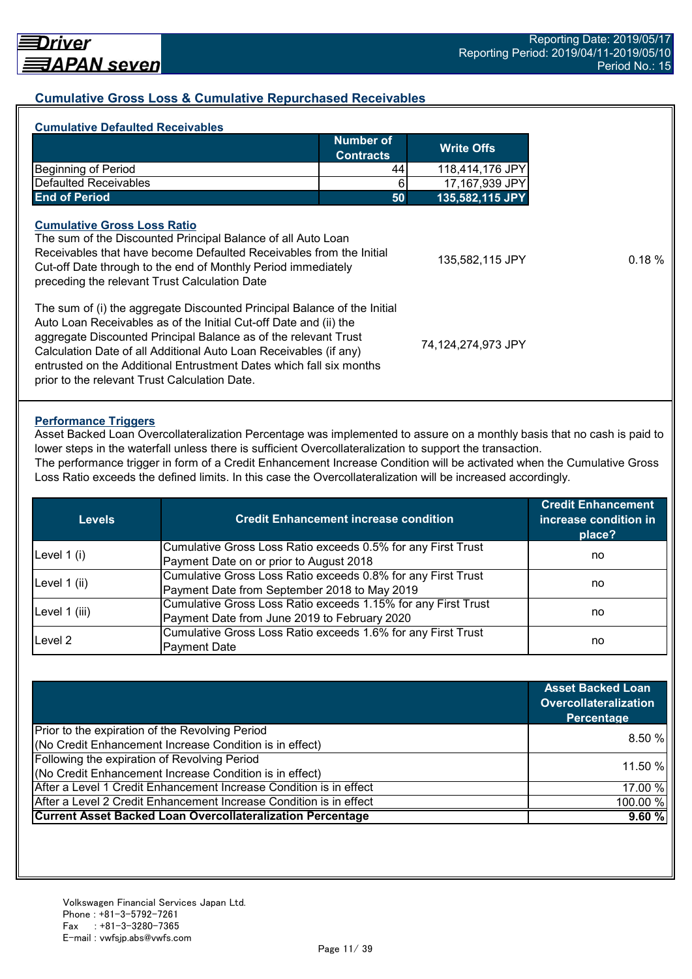#### **Cumulative Gross Loss & Cumulative Repurchased Receivables**

| <b>Number of</b><br><b>Contracts</b><br><b>Beginning of Period</b><br>Defaulted Receivables                                                                                                                                                                                                                                                                                                                   |    | <b>Write Offs</b>  |
|---------------------------------------------------------------------------------------------------------------------------------------------------------------------------------------------------------------------------------------------------------------------------------------------------------------------------------------------------------------------------------------------------------------|----|--------------------|
|                                                                                                                                                                                                                                                                                                                                                                                                               |    |                    |
|                                                                                                                                                                                                                                                                                                                                                                                                               | 44 | 118,414,176 JPY    |
|                                                                                                                                                                                                                                                                                                                                                                                                               | 6  | 17,167,939 JPY     |
| <b>End of Period</b>                                                                                                                                                                                                                                                                                                                                                                                          | 50 | 135,582,115 JPY    |
| <b>Cumulative Gross Loss Ratio</b><br>The sum of the Discounted Principal Balance of all Auto Loan<br>Receivables that have become Defaulted Receivables from the Initial<br>Cut-off Date through to the end of Monthly Period immediately<br>preceding the relevant Trust Calculation Date                                                                                                                   |    | 135,582,115 JPY    |
| The sum of (i) the aggregate Discounted Principal Balance of the Initial<br>Auto Loan Receivables as of the Initial Cut-off Date and (ii) the<br>aggregate Discounted Principal Balance as of the relevant Trust<br>Calculation Date of all Additional Auto Loan Receivables (if any)<br>entrusted on the Additional Entrustment Dates which fall six months<br>prior to the relevant Trust Calculation Date. |    | 74,124,274,973 JPY |

#### **Performance Triggers**

Asset Backed Loan Overcollateralization Percentage was implemented to assure on a monthly basis that no cash is paid to lower steps in the waterfall unless there is sufficient Overcollateralization to support the transaction.

The performance trigger in form of a Credit Enhancement Increase Condition will be activated when the Cumulative Gross Loss Ratio exceeds the defined limits. In this case the Overcollateralization will be increased accordingly.

| <b>Levels</b> | <b>Credit Enhancement increase condition</b>                  | <b>Credit Enhancement</b><br>increase condition in<br>place? |  |
|---------------|---------------------------------------------------------------|--------------------------------------------------------------|--|
| Level $1(i)$  | Cumulative Gross Loss Ratio exceeds 0.5% for any First Trust  |                                                              |  |
|               | Payment Date on or prior to August 2018                       | no                                                           |  |
|               | Cumulative Gross Loss Ratio exceeds 0.8% for any First Trust  |                                                              |  |
| Level 1 (ii)  | Payment Date from September 2018 to May 2019                  | no                                                           |  |
|               | Cumulative Gross Loss Ratio exceeds 1.15% for any First Trust |                                                              |  |
| Level 1 (iii) | Payment Date from June 2019 to February 2020                  | no                                                           |  |
| Level 2       | Cumulative Gross Loss Ratio exceeds 1.6% for any First Trust  |                                                              |  |
|               | <b>Payment Date</b>                                           | no                                                           |  |

|                                                                    | <b>Asset Backed Loan</b><br><b>Overcollateralization</b><br>Percentage |
|--------------------------------------------------------------------|------------------------------------------------------------------------|
| Prior to the expiration of the Revolving Period                    |                                                                        |
| (No Credit Enhancement Increase Condition is in effect)            | 8.50%                                                                  |
| Following the expiration of Revolving Period                       | 11.50 %                                                                |
| (No Credit Enhancement Increase Condition is in effect)            |                                                                        |
| After a Level 1 Credit Enhancement Increase Condition is in effect | 17.00 %                                                                |
| After a Level 2 Credit Enhancement Increase Condition is in effect | 100.00 %                                                               |
| <b>Current Asset Backed Loan Overcollateralization Percentage</b>  | 9.60%                                                                  |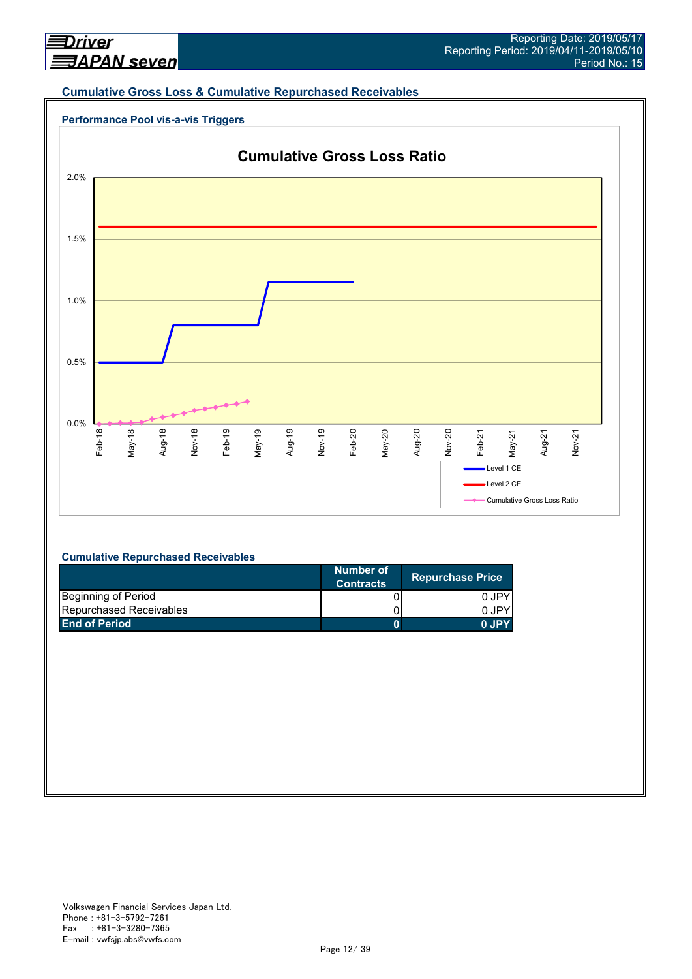#### **Cumulative Gross Loss & Cumulative Repurchased Receivables**





#### **Cumulative Repurchased Receivables**

|                                | Number of<br><b>Contracts</b> | <b>Repurchase Price</b> |
|--------------------------------|-------------------------------|-------------------------|
| Beginning of Period            |                               | 0 JPY                   |
| <b>Repurchased Receivables</b> |                               | 0 JPY                   |
| <b>End of Period</b>           |                               | 0.IPY                   |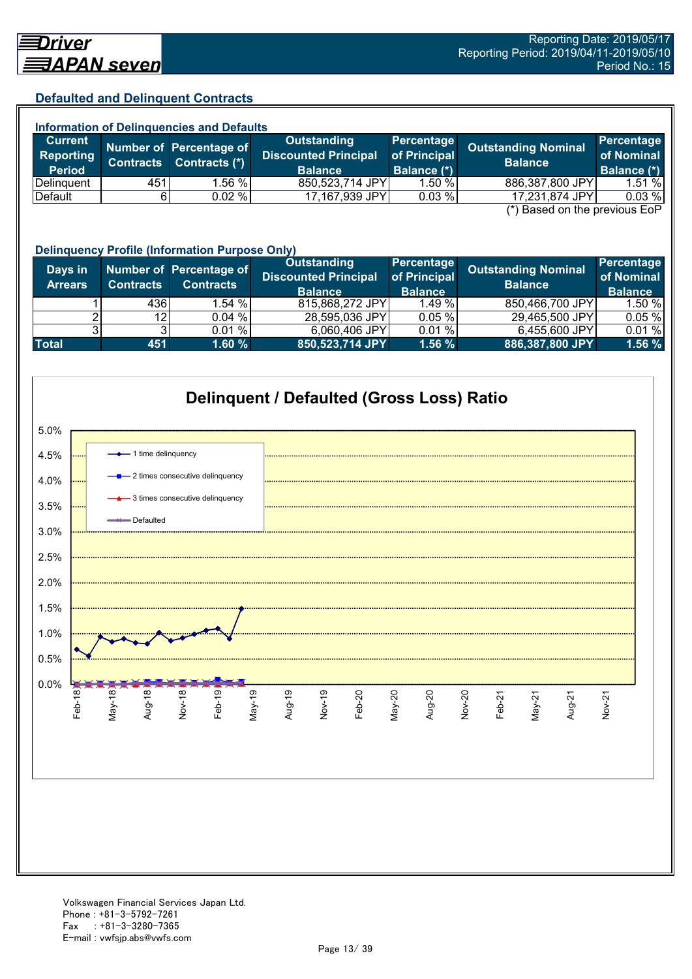#### **Defaulted and Delinquent Contracts**

| <b>Information of Delinquencies and Defaults</b> |                  |                                          |                                                   |                            |                                              |                                 |  |
|--------------------------------------------------|------------------|------------------------------------------|---------------------------------------------------|----------------------------|----------------------------------------------|---------------------------------|--|
| <b>Current</b><br>Reporting                      | <b>Contracts</b> | Number of Percentage of<br>Contracts (*) | <b>Outstanding</b><br><b>Discounted Principal</b> | Percentage<br>of Principal | <b>Outstanding Nominal</b><br><b>Balance</b> | <b>Percentage</b><br>of Nominal |  |
| <b>Period</b>                                    |                  |                                          | <b>Balance</b>                                    | Balance (*)                |                                              | Balance (*)                     |  |
| Delinguent                                       | 451              | .56 %                                    | 850,523,714 JPY                                   | 1.50%                      | 886,387,800 JPY                              | 1.51%                           |  |
| Default                                          |                  | 0.02%                                    | 17,167,939 JPY                                    | 0.03%                      | 17,231,874 JPY                               | 0.03%                           |  |
|                                                  |                  |                                          |                                                   |                            |                                              |                                 |  |

(\*) Based on the previous EoP

|                           | <b>Delinquency Profile (Information Purpose Only)</b> |                                             |                                                                     |                                              |                                              |                                            |  |
|---------------------------|-------------------------------------------------------|---------------------------------------------|---------------------------------------------------------------------|----------------------------------------------|----------------------------------------------|--------------------------------------------|--|
| Days in<br><b>Arrears</b> | <b>Contracts</b>                                      | Number of Percentage of<br><b>Contracts</b> | <b>Outstanding</b><br><b>Discounted Principal</b><br><b>Balance</b> | Percentage<br>of Principal<br><b>Balance</b> | <b>Outstanding Nominal</b><br><b>Balance</b> | Percentage<br>of Nominal<br><b>Balance</b> |  |
|                           | 436                                                   | 1.54%                                       | 815,868,272 JPY                                                     | 1.49%                                        | 850,466,700 JPY                              | 1.50%                                      |  |
|                           | 12 <sub>l</sub>                                       | 0.04%                                       | 28,595,036 JPY                                                      | 0.05%                                        | 29,465,500 JPY                               | 0.05%                                      |  |
|                           |                                                       | 0.01%                                       | 6,060,406 JPY                                                       | 0.01%                                        | 6,455,600 JPY                                | 0.01%                                      |  |
| <b>Total</b>              | 451                                                   | 1.60%                                       | 850,523,714 JPY                                                     | 1.56%                                        | 886,387,800 JPY                              | 1.56 %                                     |  |

![](_page_12_Figure_6.jpeg)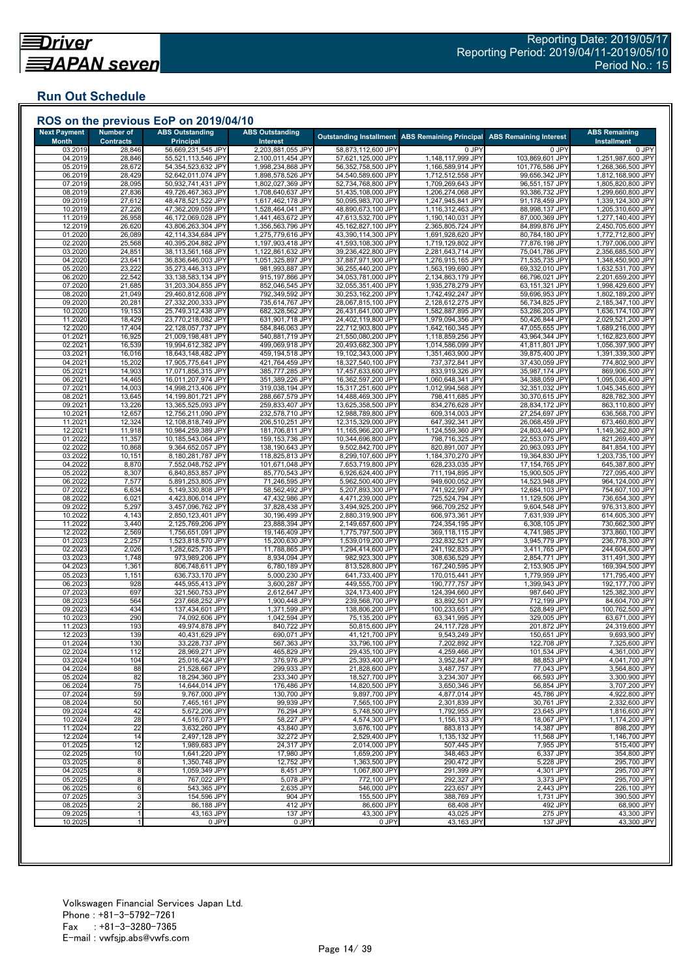## **Run Out Schedule**

| <b>Next Payment</b><br><b>Month</b> | <b>Number of</b><br><b>Contracts</b> | <b>ABS Outstanding</b><br><b>Principal</b> | <b>ABS Outstanding</b><br>Interest     |                                          | <b>Outstanding Installment ABS Remaining Principal</b> | <b>ABS Remaining Interest</b>     | <b>ABS Remaining</b><br><b>Installment</b> |
|-------------------------------------|--------------------------------------|--------------------------------------------|----------------------------------------|------------------------------------------|--------------------------------------------------------|-----------------------------------|--------------------------------------------|
| 03.2019                             | 28,846                               | 56,669,231,545 JPY                         | 2,203,881,055 JPY                      | 58,873,112,600 JPY                       | 0 JPY                                                  | 0 JPY                             | 0 JPY                                      |
| 04.2019                             | 28,846                               | 55,521,113,546 JPY                         | 2,100,011,454 JPY                      | 57,621,125,000 JPY                       | 1,148,117,999 JPY                                      | 103,869,601 JPY                   | 1,251,987,600 JPY                          |
| 05.2019<br>06.2019                  | 28,672<br>28,429                     | 54,354,523,632 JPY<br>52,642,011,074 JPY   | 1,998,234,868 JPY<br>1,898,578,526 JPY | 56,352,758,500 JPY<br>54,540,589,600 JPY | 1,166,589,914 JPY<br>1,712,512,558 JPY                 | 101,776,586 JPY<br>99,656,342 JPY | 1,268,366,500 JPY<br>1,812,168,900 JPY     |
| 07.2019                             | 28,095                               | 50,932,741,431 JPY                         | 1,802,027,369 JPY                      | 52,734,768,800 JPY                       | 1,709,269,643 JPY                                      | 96,551,157 JPY                    | 1,805,820,800 JPY                          |
| 08.2019                             | 27,836                               | 49,726,467,363 JPY                         | 1,708,640,637 JPY                      | 51,435,108,000 JPY                       | 1,206,274,068 JPY                                      | 93,386,732 JPY                    | 1,299,660,800 JPY                          |
| 09.2019<br>10.2019                  | 27,612<br>27,226                     | 48,478,521,522 JPY<br>47,362,209,059 JPY   | 1,617,462,178 JPY<br>1,528,464,041 JPY | 50,095,983,700 JPY<br>48,890,673,100 JPY | 1,247,945,841 JPY<br>1,116,312,463 JPY                 | 91,178,459 JPY<br>88,998,137 JPY  | 1,339,124,300 JPY<br>1,205,310,600 JPY     |
| 11.2019                             | 26,958                               | 46,172,069,028 JPY                         | 1,441,463,672 JPY                      | 47,613,532,700 JPY                       | 1,190,140,031 JPY                                      | 87,000,369 JPY                    | 1,277,140,400 JPY                          |
| 12.2019                             | 26,620                               | 43,806,263,304 JPY                         | 1,356,563,796 JPY                      | 45,162,827,100 JPY                       | 2,365,805,724 JPY                                      | 84,899,876 JPY                    | 2,450,705,600 JPY                          |
| 01.2020                             | 26,089                               | 42,114,334,684 JPY                         | 1,275,779,616 JPY                      | 43,390,114,300 JPY                       | 1,691,928,620 JPY                                      | 80,784,180 JPY                    | 1,772,712,800 JPY                          |
| 02.2020<br>03.2020                  | 25,568<br>24,851                     | 40,395,204,882 JPY<br>38,113,561,168 JPY   | 1,197,903,418 JPY<br>1,122,861,632 JPY | 41,593,108,300 JPY<br>39,236,422,800 JPY | 1,719,129,802 JPY<br>2,281,643,714 JPY                 | 77,876,198 JPY<br>75,041,786 JPY  | 1,797,006,000 JPY<br>2,356,685,500 JPY     |
| 04.2020                             | 23,641                               | 36,836,646,003 JPY                         | 1,051,325,897 JPY                      | 37,887,971,900 JPY                       | 1,276,915,165 JPY                                      | 71,535,735 JPY                    | 1,348,450,900 JPY                          |
| 05.2020                             | 23,222                               | 35,273,446,313 JPY                         | 981,993,887 JPY                        | 36,255,440,200 JPY                       | 1,563,199,690 JPY                                      | 69,332,010 JPY                    | 1,632,531,700 JPY                          |
| 06.2020<br>07.2020                  | 22,542<br>21,685                     | 33,138,583,134 JPY<br>31,203,304,855 JPY   | 915,197,866 JPY<br>852,046,545 JPY     | 34,053,781,000 JPY<br>32,055,351,400 JPY | 2,134,863,179 JPY<br>1,935,278,279 JPY                 | 66,796,021 JPY<br>63,151,321 JPY  | 2,201,659,200 JPY<br>1,998,429,600 JPY     |
| 08.2020                             | 21,049                               | 29,460,812,608 JPY                         | 792,349,592 JPY                        | 30,253,162,200 JPY                       | 1,742,492,247 JPY                                      | 59,696,953 JPY                    | 1,802,189,200 JPY                          |
| 09.2020                             | 20,281                               | 27,332,200,333 JPY                         | 735,614,767 JPY                        | 28,067,815,100 JPY                       | 2,128,612,275 JPY                                      | 56,734,825 JPY                    | 2,185,347,100 JPY                          |
| 10.2020                             | 19,153                               | 25,749,312,438 JPY                         | 682,328,562 JPY                        | 26,431,641,000 JPY                       | 1,582,887,895 JPY                                      | 53,286,205 JPY                    | 1,636,174,100 JPY                          |
| 11.2020<br>12.2020                  | 18,429<br>17,404                     | 23,770,218,082 JPY<br>22,128,057,737 JPY   | 631,901,718 JPY<br>584,846,063 JPY     | 24,402,119,800 JPY<br>22,712,903,800 JPY | 1,979,094,356 JPY<br>1,642,160,345 JPY                 | 50,426,844 JPY<br>47,055,655 JPY  | 2,029,521,200 JPY<br>1,689,216,000 JPY     |
| 01.2021                             | 16,925                               | 21,009,198,481 JPY                         | 540,881,719 JPY                        | 21,550,080,200 JPY                       | 1,118,859,256 JPY                                      | 43,964,344 JPY                    | 1,162,823,600 JPY                          |
| 02.2021                             | 16,539                               | 19,994,612,382 JPY                         | 499,069,918 JPY                        | 20,493,682,300 JPY                       | 1,014,586,099 JPY                                      | 41,811,801 JPY                    | 1,056,397,900 JPY                          |
| 03.202                              | 16,016                               | 18,643,148,482 JPY<br>17,905,775,641 JPY   | 459,194,518 JPY                        | 19,102,343,000 JPY                       | 1,351,463,900 JPY                                      | 39,875,400 JPY                    | 1,391,339,300 JPY                          |
| 04.202'<br>05.202                   | 15,202<br>14,903                     | 17,071,856,315 JPY                         | 421,764,459 JPY<br>385,777,285 JPY     | 18,327,540,100 JPY<br>17,457,633,600 JPY | 737,372,841 JPY<br>833,919,326 JPY                     | 37,430,059 JPY<br>35,987,174 JPY  | 774,802,900 JPY<br>869,906,500 JPY         |
| 06.2021                             | 14,465                               | 16,011,207,974 JPY                         | 351,389,226 JPY                        | 16,362,597,200 JPY                       | 1,060,648,341 JPY                                      | 34,388,059 JPY                    | 1,095,036,400 JPY                          |
| 07.202                              | 14,003                               | 14,998,213,406 JPY                         | 319,038,194 JPY                        | 15,317,251,600 JPY                       | 1,012,994,568 JPY                                      | 32,351,032 JPY                    | 1,045,345,600 JPY                          |
| 08.202<br>09.202                    | 13,645<br>13,226                     | 14,199,801,721 JPY<br>13,365,525,093 JPY   | 288,667,579 JPY<br>259,833,407 JPY     | 14,488,469,300 JPY<br>13,625,358,500 JPY | 798,411,685 JPY<br>834,276,628 JPY                     | 30,370,615 JPY<br>28,834,172 JPY  | 828,782,300 JPY<br>863,110,800 JPY         |
| 10.202                              | 12,657                               | 12,756,211,090 JPY                         | 232,578,710 JPY                        | 12,988,789,800 JPY                       | 609,314,003 JPY                                        | 27,254,697 JPY                    | 636,568,700 JPY                            |
| 11.202                              | 12,324                               | 12,108,818,749 JPY                         | 206,510,251 JPY                        | 12,315,329,000 JPY                       | 647,392,341 JPY                                        | 26,068,459 JPY                    | 673,460,800 JPY                            |
| 12.202                              | 11,918                               | 10,984,259,389 JPY                         | 181,706,811 JPY                        | 11,165,966,200 JPY                       | 1,124,559,360 JPY                                      | 24,803,440 JPY                    | 1,149,362,800 JPY                          |
| 01.202<br>02.2022                   | 11,357<br>10,868                     | 10,185,543,064 JPY<br>9,364,652,057 JPY    | 159,153,736 JPY<br>138,190,643 JPY     | 10,344,696,800 JPY<br>9,502,842,700 JPY  | 798,716,325 JPY<br>820,891,007 JPY                     | 22,553,075 JPY<br>20,963,093 JPY  | 821,269,400 JPY<br>841,854,100 JPY         |
| 03.2022                             | 10,151                               | 8,180,281,787 JPY                          | 118,825,813 JPY                        | 8,299,107,600 JPY                        | 1,184,370,270 JPY                                      | 19,364,830 JPY                    | 1,203,735,100 JPY                          |
| 04.2022                             | 8,870                                | 7,552,048,752 JPY                          | 101,671,048 JPY                        | 7,653,719,800 JPY                        | 628,233,035 JPY                                        | 17,154,765 JPY                    | 645,387,800 JPY                            |
| 05.202                              | 8,307                                | 6,840,853,857 JPY                          | 85,770,543 JPY                         | 6,926,624,400 JPY                        | 711,194,895 JPY                                        | 15,900,505 JPY                    | 727,095,400 JPY                            |
| 06.202<br>07.2022                   | 7,577<br>6,634                       | 5,891,253,805 JPY<br>5,149,330,808 JPY     | 71,246,595 JPY<br>58,562,492 JPY       | 5,962,500,400 JPY<br>5,207,893,300 JPY   | 949,600,052 JPY<br>741,922,997 JPY                     | 14,523,948 JPY<br>12,684,103 JPY  | 964,124,000 JPY<br>754,607,100 JPY         |
| 08.2022                             | 6,021                                | 4,423,806,014 JPY                          | 47,432,986 JPY                         | 4,471,239,000 JPY                        | 725,524,794 JPY                                        | 11,129,506 JPY                    | 736,654,300 JPY                            |
| 09.202                              | 5,297                                | 3,457,096,762 JPY                          | 37,828,438 JPY                         | 3,494,925,200 JPY                        | 966,709,252 JPY                                        | 9,604,548 JPY                     | 976,313,800 JPY                            |
| 10.202<br>11.2022                   | 4,143<br>3,440                       | 2,850,123,401 JPY<br>2,125,769,206 JPY     | 30,196,499 JPY<br>23,888,394 JPY       | 2,880,319,900 JPY<br>2,149,657,600 JPY   | 606,973,361 JPY<br>724,354,195 JPY                     | 7,631,939 JPY<br>6,308,105 JPY    | 614,605,300 JPY<br>730,662,300 JPY         |
| 12.2022                             | 2,569                                | 1,756,651,091 JPY                          | 19,146,409 JPY                         | 1,775,797,500 JPY                        | 369,118,115 JPY                                        | 4,741,985 JPY                     | 373,860,100 JPY                            |
| 01.2023                             | 2,257                                | 1,523,818,570 JPY                          | 15,200,630 JPY                         | 1,539,019,200 JPY                        | 232,832,521 JPY                                        | 3,945,779 JPY                     | 236,778,300 JPY                            |
| 02.2023                             | 2,026                                | 1,282,625,735 JPY                          | 11,788,865 JPY                         | 1,294,414,600 JPY                        | 241,192,835 JPY                                        | 3,411,765 JPY                     | 244,604,600 JPY                            |
| 03.2023<br>04.2023                  | 1,748<br>1,361                       | 973,989,206 JPY<br>806,748,611 JPY         | 8,934,094 JPY<br>6,780,189 JPY         | 982,923,300 JPY<br>813,528,800 JPY       | 308,636,529 JPY<br>167,240,595 JPY                     | 2,854,771 JPY<br>2,153,905 JPY    | 311,491,300 JPY<br>169,394,500 JPY         |
| 05.2023                             | 1,151                                | 636,733,170 JPY                            | 5,000,230 JPY                          | 641,733,400 JPY                          | 170,015,441 JPY                                        | 1,779,959 JPY                     | 171,795,400 JPY                            |
| 06.2023                             | 928                                  | 445,955,413 JPY                            | 3,600,287 JPY                          | 449,555,700 JPY                          | 190,777,757 JPY                                        | 1,399,943 JPY                     | 192,177,700 JPY                            |
| 07.202<br>08.2023                   | 697<br>564                           | 321,560,753 JPY<br>237,668,252 JPY         | 2,612,647 JPY<br>1,900,448 JPY         | 324,173,400 JPY<br>239,568,700 JPY       | 124,394,660 JPY<br>83,892,501 JPY                      | 987,640 JPY<br>712,199 JPY        | 125,382,300 JPY<br>84,604,700 JPY          |
| 09.2023                             | 434                                  | 137,434,601 JPY                            | 1,371,599 JPY                          | 138,806,200 JPY                          | 100,233,651 JPY                                        | 528,849 JPY                       | 100,762,500 JPY                            |
| 10.2023                             | 290                                  | 74,092,606 JPY                             | 1,042,594 JPY                          | 75,135,200 JPY                           | 63,341,995 JPY                                         | 329,005 JPY                       | 63,671,000 JPY                             |
| 11.2023                             | 193                                  | 49,974,878 JPY                             | 840,722 JPY                            | 50,815,600 JPY                           | 24,117,728 JPY                                         | 201,872 JPY                       | 24,319,600 JPY                             |
| 12.2023<br>01.2024                  | 139<br>130                           | 40,431,629 JPY<br>33,228,737 JPY           | 690,071 JPY<br>567,363 JPY             | 41,121,700 JPY<br>33,796,100 JPY         | 9,543,249 JPY<br>7,202,892 JPY                         | 150,651 JPY<br>122,708 JPY        | 9,693,900 JPY<br>7,325,600 JPY             |
| 02.2024                             | 112                                  | 28,969,271 JPY                             | 465,829 JPY                            | 29,435,100 JPY                           | 4,259,466 JPY                                          | 101,534 JPY                       | 4,361,000 JPY                              |
| 03.2024                             | 104                                  | 25,016,424 JPY                             | 376,976 JPY                            | 25,393,400 JPY                           | 3,952,847 JPY                                          | 88,853 JPY                        | 4,041,700 JPY                              |
| 04.2024                             | 88                                   | 21,528,667 JPY                             | 299,933 JPY                            | 21,828,600 JPY                           | 3,487,757 JPY                                          | 77,043 JPY                        | 3,564,800 JPY                              |
| 05.2024<br>06.2024                  | 82<br>75                             | 18,294,360 JPY<br>14,644,014 JPY           | 233,340 JPY<br>176,486 JPY             | 18,527,700 JPY<br>14,820,500 JPY         | 3,234,307 JPY<br>3,650,346 JPY                         | 66,593 JPY<br>56,854 JPY          | 3,300,900 JPY<br>3,707,200 JPY             |
| 07.2024                             | 59                                   | 9,767,000 JPY                              | 130,700 JPY                            | 9,897,700 JPY                            | 4,877,014 JPY                                          | 45,786 JPY                        | 4,922,800 JPY                              |
| 08.2024                             | 50                                   | 7,465,161 JPY                              | 99,939 JPY                             | 7,565,100 JPY                            | 2,301,839 JPY                                          | 30,761 JPY                        | 2,332,600 JPY                              |
| 09.2024<br>10.2024                  | 42<br>28                             | 5,672,206 JPY<br>4,516,073 JPY             | 76,294 JPY<br>58,227 JPY               | 5,748,500 JPY<br>4,574,300 JPY           | 1,792,955 JPY<br>1,156,133 JPY                         | 23,645 JPY<br>18,067 JPY          | 1,816,600 JPY<br>1,174,200 JPY             |
| 11.2024                             | 22                                   | 3,632,260 JPY                              | 43,840 JPY                             | 3,676,100 JPY                            | 883,813 JPY                                            | 14,387 JPY                        | 898,200 JPY                                |
| 12.2024                             | 14                                   | 2,497,128 JPY                              | 32,272 JPY                             | 2,529,400 JPY                            | 1,135,132 JPY                                          | 11,568 JPY                        | 1,146,700 JPY                              |
| 01.2025                             | 12                                   | 1,989,683 JPY                              | 24,317 JPY                             | 2,014,000 JPY                            | 507,445 JPY                                            | 7,955 JPY                         | 515,400 JPY                                |
| 02.2025<br>03.2025                  | 10<br>8                              | 1,641,220 JPY<br>1,350,748 JPY             | 17,980 JPY<br>12,752 JPY               | 1,659,200 JPY<br>1,363,500 JPY           | 348,463 JPY<br>290,472 JPY                             | 6.337 JPY<br>5,228 JPY            | 354,800 JPY<br>295,700 JPY                 |
| 04.2025                             | 8                                    | 1,059,349 JPY                              | 8,451 JPY                              | 1,067,800 JPY                            | 291,399 JPY                                            | 4,301 JPY                         | 295,700 JPY                                |
| 05.2025                             | 8                                    | 767,022 JPY                                | 5,078 JPY                              | 772,100 JPY                              | 292.327 JPY                                            | 3.373 JPY                         | 295,700 JPY                                |
| 06.2025                             | 6                                    | 543,365 JPY                                | 2,635 JPY                              | 546,000 JPY                              | 223,657 JPY                                            | 2,443 JPY                         | 226,100 JPY                                |
| 07.2025<br>08.2025                  | 3<br>$\overline{2}$                  | 154,596 JPY<br>86,188 JPY                  | 904 JPY<br>412 JPY                     | 155,500 JPY<br>86,600 JPY                | 388,769 JPY<br>68,408 JPY                              | 1,731 JPY<br>492 JPY              | 390,500 JPY<br>68,900 JPY                  |
| 09.2025                             |                                      | 43,163 JPY                                 | 137 JPY                                | 43,300 JPY                               | 43,025 JPY                                             | 275 JPY                           | 43,300 JPY                                 |
| 10.2025                             |                                      | 0 JPY                                      | 0 JPY                                  | $0$ JPY                                  | 43,163 JPY                                             | 137 JPY                           | 43,300 JPY                                 |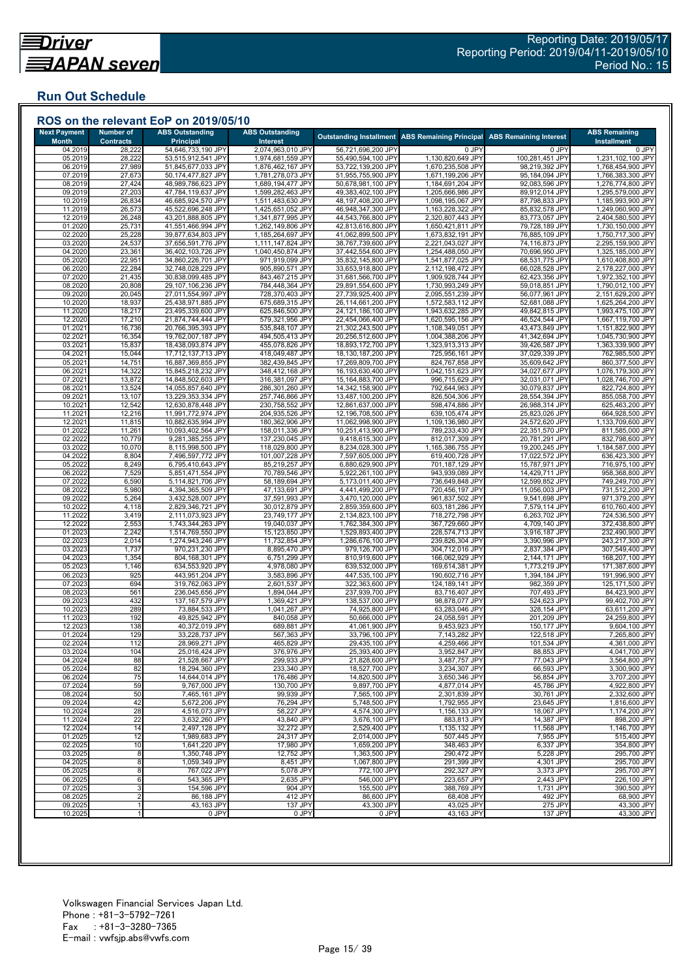## **Run Out Schedule**

| <b>Next Payment</b>     | <b>Number of</b>           | <b>ABS Outstanding</b>                   | <b>ABS Outstanding</b>                 |                                          | <b>Outstanding Installment ABS Remaining Principal</b> | <b>ABS Remaining Interest</b>    | <b>ABS Remaining</b>                   |
|-------------------------|----------------------------|------------------------------------------|----------------------------------------|------------------------------------------|--------------------------------------------------------|----------------------------------|----------------------------------------|
| <b>Month</b><br>04.2019 | <b>Contracts</b><br>28,222 | <b>Principal</b><br>54,646,733,190 JPY   | Interest<br>2,074,963,010 JPY          | 56,721,696,200 JPY                       | 0 JPY                                                  | 0 JPY                            | <b>Installment</b><br>0 JPY            |
| 05.2019                 | 28,222                     | 53,515,912,541 JPY                       | 1,974,681,559 JPY                      | 55,490,594,100 JPY                       | 1,130,820,649 JPY                                      | 100,281,451 JPY                  | 1,231,102,100 JPY                      |
| 06.2019                 | 27,989                     | 51,845,677,033 JPY                       | 1,876,462,167 JPY                      | 53,722,139,200 JPY                       | 1,670,235,508 JPY                                      | 98,219,392 JPY                   | 1,768,454,900 JPY                      |
| 07.2019                 | 27,673                     | 50,174,477,827 JPY                       | 1,781,278,073 JPY                      | 51,955,755,900 JPY                       | 1,671,199,206 JPY                                      | 95,184,094 JPY                   | 1,766,383,300 JPY                      |
| 08.2019<br>09.2019      | 27,424<br>27,203           | 48,989,786,623 JPY<br>47,784,119,637 JPY | 1,689,194,477 JPY<br>1,599,282,463 JPY | 50,678,981,100 JPY<br>49,383,402,100 JPY | 1,184,691,204 JPY<br>1,205,666,986 JPY                 | 92,083,596 JPY<br>89,912,014 JPY | 1,276,774,800 JPY<br>1,295,579,000 JPY |
| 10.2019                 | 26,834                     | 46,685,924,570 JPY                       | 1,511,483,630 JPY                      | 48,197,408,200 JPY                       | 1,098,195,067 JPY                                      | 87,798,833 JPY                   | 1,185,993,900 JPY                      |
| 11.2019                 | 26,573                     | 45,522,696,248 JPY                       | 1,425,651,052 JPY                      | 46,948,347,300 JPY                       | 1,163,228,322 JPY                                      | 85,832,578 JPY                   | 1,249,060,900 JPY                      |
| 12.2019                 | 26,248                     | 43,201,888,805 JPY                       | 1,341,877,995 JPY                      | 44,543,766,800 JPY                       | 2,320,807,443 JPY                                      | 83,773,057 JPY                   | 2,404,580,500 JPY                      |
| 01.2020                 | 25,731                     | 41,551,466,994 JPY                       | 1,262,149,806 JPY                      | 42,813,616,800 JPY                       | 1,650,421,811 JPY                                      | 79,728,189 JPY                   | 1,730,150,000 JPY                      |
| 02.2020<br>03.2020      | 25,228<br>24,537           | 39,877,634,803 JPY<br>37,656,591,776 JPY | 1,185,264,697 JPY<br>1,111,147,824 JPY | 41,062,899,500 JPY<br>38,767,739,600 JPY | 1,673,832,191 JPY<br>2,221,043,027 JPY                 | 76,885,109 JPY<br>74,116,873 JPY | 1,750,717,300 JPY<br>2,295,159,900 JPY |
| 04.2020                 | 23,361                     | 36,402,103,726 JPY                       | 1,040,450,874 JPY                      | 37,442,554,600 JPY                       | 1,254,488,050 JPY                                      | 70,696,950 JPY                   | 1,325,185,000 JPY                      |
| 05.2020                 | 22,951                     | 34,860,226,701 JPY                       | 971,919,099 JPY                        | 35,832,145,800 JPY                       | 1,541,877,025 JPY                                      | 68,531,775 JPY                   | 1,610,408,800 JPY                      |
| 06.2020                 | 22,284                     | 32,748,028,229 JPY                       | 905,890,571 JPY                        | 33,653,918,800 JPY                       | 2,112,198,472 JPY                                      | 66,028,528 JPY                   | 2,178,227,000 JPY                      |
| 07.2020                 | 21,435                     | 30,838,099,485 JPY                       | 843,467,215 JPY                        | 31,681,566,700 JPY                       | 1,909,928,744 JPY                                      | 62,423,356 JPY                   | 1,972,352,100 JPY                      |
| 08.2020<br>09.2020      | 20,808<br>20,045           | 29,107,106,236 JPY<br>27,011,554,997 JPY | 784,448,364 JPY<br>728,370,403 JPY     | 29,891,554,600 JPY<br>27,739,925,400 JPY | 1,730,993,249 JPY<br>2,095,551,239 JPY                 | 59,018,851 JPY<br>56,077,961 JPY | 1,790,012,100 JPY<br>2,151,629,200 JPY |
| 10.2020                 | 18,937                     | 25,438,971,885 JPY                       | 675,689,315 JPY                        | 26,114,661,200 JPY                       | 1,572,583,112 JPY                                      | 52,681,088 JPY                   | 1,625,264,200 JPY                      |
| 11.2020                 | 18,217                     | 23,495,339,600 JPY                       | 625,846,500 JPY                        | 24,121,186,100 JPY                       | 1,943,632,285 JPY                                      | 49,842,815 JPY                   | 1,993,475,100 JPY                      |
| 12.2020                 | 17,210                     | 21,874,744,444 JPY                       | 579,321,956 JPY                        | 22,454,066,400 JPY                       | 1,620,595,156 JPY                                      | 46,524,544 JPY                   | 1,667,119,700 JPY                      |
| 01.2021                 | 16,736                     | 20,766,395,393 JPY                       | 535,848,107 JPY                        | 21,302,243,500 JPY                       | 1,108,349,051 JPY                                      | 43,473,849 JPY                   | 1,151,822,900 JPY                      |
| 02.2021                 | 16,354                     | 19,762,007,187 JPY                       | 494,505,413 JPY                        | 20,256,512,600 JPY                       | 1,004,388,206 JPY                                      | 41,342,694 JPY                   | 1,045,730,900 JPY                      |
| 03.2021<br>04.202       | 15,837<br>15,044           | 18,438,093,874 JPY<br>17,712,137,713 JPY | 455,078,826 JPY<br>418,049,487 JPY     | 18,893,172,700 JPY<br>18,130,187,200 JPY | 1,323,913,313 JPY<br>725,956,161 JPY                   | 39,426,587 JPY<br>37,029,339 JPY | 1,363,339,900 JPY<br>762,985,500 JPY   |
| 05.202'                 | 14,751                     | 16,887,369,855 JPY                       | 382,439,845 JPY                        | 17,269,809,700 JPY                       | 824,767,858 JPY                                        | 35,609,642 JPY                   | 860,377,500 JPY                        |
| 06.202                  | 14,322                     | 15,845,218,232 JPY                       | 348,412,168 JPY                        | 16,193,630,400 JPY                       | 1,042,151,623 JPY                                      | 34,027,677 JPY                   | 1,076,179,300 JPY                      |
| 07.2021                 | 13,872                     | 14,848,502,603 JPY                       | 316,381,097 JPY                        | 15,164,883,700 JPY                       | 996,715,629 JPY                                        | 32,031,071 JPY                   | 1,028,746,700 JPY                      |
| 08.202'                 | 13,524                     | 14,055,857,640 JPY                       | 286,301,260 JPY                        | 14,342,158,900 JPY                       | 792,644,963 JPY                                        | 30,079,837 JPY                   | 822,724,800 JPY                        |
| 09.202                  | 13,107                     | 13,229,353,334 JPY<br>12,630,878,448 JPY | 257,746,866 JPY<br>230,758,552 JPY     | 13,487,100,200 JPY                       | 826,504,306 JPY<br>598,474,886 JPY                     | 28,554,394 JPY<br>26,988,314 JPY | 855,058,700 JPY<br>625,463,200 JPY     |
| 10.202<br>11.202'       | 12,542<br>12,216           | 11,991,772,974 JPY                       | 204,935,526 JPY                        | 12,861,637,000 JPY<br>12,196,708,500 JPY | 639,105,474 JPY                                        | 25,823,026 JPY                   | 664,928,500 JPY                        |
| 12.202                  | 11,815                     | 10,882,635,994 JPY                       | 180,362,906 JPY                        | 11,062,998,900 JPY                       | 1,109,136,980 JPY                                      | 24,572,620 JPY                   | 1,133,709,600 JPY                      |
| 01.2022                 | 11,261                     | 10,093,402,564 JPY                       | 158,011,336 JPY                        | 10,251,413,900 JPY                       | 789,233,430 JPY                                        | 22,351,570 JPY                   | 811,585,000 JPY                        |
| 02.202                  | 10,779                     | 9,281,385,255 JPY                        | 137,230,045 JPY                        | 9,418,615,300 JPY                        | 812,017,309 JPY                                        | 20,781,291 JPY                   | 832,798,600 JPY                        |
| 03.2022                 | 10,070                     | 8,115,998,500 JPY                        | 118,029,800 JPY                        | 8,234,028,300 JPY                        | 1,165,386,755 JPY                                      | 19,200,245 JPY                   | 1,184,587,000 JPY                      |
| 04.2022<br>05.2022      | 8,804<br>8,249             | 7,496,597,772 JPY<br>6,795,410,643 JPY   | 101,007,228 JPY<br>85,219,257 JPY      | 7,597,605,000 JPY<br>6,880,629,900 JPY   | 619,400,728 JPY<br>701,187,129 JPY                     | 17,022,572 JPY<br>15,787,971 JPY | 636,423,300 JPY<br>716,975,100 JPY     |
| 06.202                  | 7,529                      | 5,851,471,554 JPY                        | 70,789,546 JPY                         | 5,922,261,100 JPY                        | 943,939,089 JPY                                        | 14,429,711 JPY                   | 958,368,800 JPY                        |
| 07.2022                 | 6,590                      | 5,114,821,706 JPY                        | 58,189,694 JPY                         | 5,173,011,400 JPY                        | 736,649,848 JPY                                        | 12,599,852 JPY                   | 749,249,700 JPY                        |
| 08.2022                 | 5,980                      | 4,394,365,509 JPY                        | 47,133,691 JPY                         | 4,441,499,200 JPY                        | 720,456,197 JPY                                        | 11,056,003 JPY                   | 731,512,200 JPY                        |
| 09.2022                 | 5,264                      | 3,432,528,007 JPY                        | 37,591,993 JPY                         | 3,470,120,000 JPY                        | 961,837,502 JPY                                        | 9,541,698 JPY                    | 971,379,200 JPY                        |
| 10.202<br>11.202        | 4,118<br>3,419             | 2,829,346,721 JPY<br>2,111,073,923 JPY   | 30,012,879 JPY<br>23,749,177 JPY       | 2,859,359,600 JPY<br>2,134,823,100 JPY   | 603,181,286 JPY<br>718,272,798 JPY                     | 7,579,114 JPY<br>6,263,702 JPY   | 610,760,400 JPY<br>724,536,500 JPY     |
| 12.2022                 | 2,553                      | 1,743,344,263 JPY                        | 19,040,037 JPY                         | 1,762,384,300 JPY                        | 367,729,660 JPY                                        | 4,709,140 JPY                    | 372,438,800 JPY                        |
| 01.2023                 | 2,242                      | 1,514,769,550 JPY                        | 15,123,850 JPY                         | 1,529,893,400 JPY                        | 228,574,713 JPY                                        | 3,916,187 JPY                    | 232,490,900 JPY                        |
| 02.2023                 | 2,014                      | 1,274,943,246 JPY                        | 11,732,854 JPY                         | 1,286,676,100 JPY                        | 239,826,304 JPY                                        | 3,390,996 JPY                    | 243,217,300 JPY                        |
| 03.2023                 | 1,737                      | 970,231,230 JPY                          | 8,895,470 JPY                          | 979,126,700 JPY                          | 304,712,016 JPY                                        | 2,837,384 JPY                    | 307,549,400 JPY                        |
| 04.2023<br>05.2023      | 1,354<br>1,146             | 804,168,301 JPY<br>634,553,920 JPY       | 6,751,299 JPY<br>4,978,080 JPY         | 810,919,600 JPY<br>639,532,000 JPY       | 166,062,929 JPY<br>169,614,381 JPY                     | 2,144,171 JPY<br>1,773,219 JPY   | 168,207,100 JPY<br>171,387,600 JPY     |
| 06.2023                 | 925                        | 443,951,204 JPY                          | 3,583,896 JPY                          | 447,535,100 JPY                          | 190,602,716 JPY                                        | 1,394,184 JPY                    | 191,996,900 JPY                        |
| 07.2023                 | 694                        | 319,762,063 JPY                          | 2,601,537 JPY                          | 322,363,600 JPY                          | 124,189,141 JPY                                        | 982,359 JPY                      | 125,171,500 JPY                        |
| 08.202                  | 561                        | 236,045,656 JPY                          | 1,894,044 JPY                          | 237,939,700 JPY                          | 83,716,407 JPY                                         | 707,493 JPY                      | 84,423,900 JPY                         |
| 09.2023                 | 432                        | 137,167,579 JPY                          | 1,369,421 JPY                          | 138,537,000 JPY                          | 98,878,077 JPY                                         | 524,623 JPY                      | 99,402,700 JPY                         |
| 10.2023<br>11.2023      | 289<br>192                 | 73,884,533 JPY<br>49,825,942 JPY         | 1,041,267 JPY<br>840,058 JPY           | 74,925,800 JPY<br>50,666,000 JPY         | 63,283,046 JPY<br>24,058,591 JPY                       | 328,154 JPY<br>201,209 JPY       | 63,611,200 JPY<br>24,259,800 JPY       |
| 12.2023                 | 138                        | 40,372,019 JPY                           | 689,881 JPY                            | 41,061,900 JPY                           | 9,453,923 JPY                                          | 150,177 JPY                      | 9,604,100 JPY                          |
| 01.2024                 | 129                        | 33,228,737 JPY                           | 567,363 JPY                            | 33,796,100 JPY                           | 7,143,282 JPY                                          | 122,518 JPY                      | 7,265,800 JPY                          |
| 02.2024                 | 112                        | 28,969,271 JPY                           | 465,829 JPY                            | 29,435,100 JPY                           | 4,259,466 JPY                                          | 101,534 JPY                      | 4,361,000 JPY                          |
| 03.2024                 | 104                        | 25,016,424 JPY                           | 376,976 JPY                            | 25,393,400 JPY                           | 3,952,847 JPY                                          | 88,853 JPY                       | 4,041,700 JPY                          |
| 04.2024                 | 88                         | 21,528,667 JPY                           | 299,933 JPY                            | 21,828,600 JPY                           | 3,487,757 JPY                                          | 77,043 JPY                       | 3,564,800 JPY                          |
| 05.2024<br>06.2024      | 82<br>75                   | 18,294,360 JPY<br>14,644,014 JPY         | 233,340 JPY<br>176,486 JPY             | 18,527,700 JPY<br>14,820,500 JPY         | 3,234,307 JPY<br>3,650,346 JPY                         | 66,593 JPY<br>56,854 JPY         | 3,300,900 JPY<br>3,707,200 JPY         |
| 07.2024                 | 59                         | 9,767,000 JPY                            | 130,700 JPY                            | 9,897,700 JPY                            | 4,877,014 JPY                                          | 45,786 JPY                       | 4,922,800 JPY                          |
| 08.2024                 | 50                         | 7,465,161 JPY                            | 99,939 JPY                             | 7,565,100 JPY                            | 2,301,839 JPY                                          | 30,761 JPY                       | 2,332,600 JPY                          |
| 09.2024                 | 42                         | 5,672,206 JPY                            | 76,294 JPY                             | 5,748,500 JPY                            | 1,792,955 JPY                                          | 23,645 JPY                       | 1,816,600 JPY                          |
| 10.2024                 | 28                         | 4,516,073 JPY                            | 58,227 JPY                             | 4,574,300 JPY                            | 1,156,133 JPY                                          | 18,067 JPY                       | 1,174,200 JPY                          |
| 11.2024<br>12.2024      | 22<br>14                   | 3,632,260 JPY<br>2,497,128 JPY           | 43,840 JPY<br>32,272 JPY               | 3,676,100 JPY<br>2,529,400 JPY           | 883,813 JPY<br>1,135,132 JPY                           | 14,387 JPY<br>11,568 JPY         | 898,200 JPY<br>1,146,700 JPY           |
| 01.2025                 | 12                         | 1,989,683 JPY                            | 24,317 JPY                             | 2,014,000 JPY                            | 507,445 JPY                                            | 7,955 JPY                        | 515,400 JPY                            |
| 02.2025                 | 10                         | 1,641,220 JPY                            | 17,980 JPY                             | 1,659,200 JPY                            | 348,463 JPY                                            | 6,337 JPY                        | 354,800 JPY                            |
| 03.2025                 | 8                          | 1,350,748 JPY                            | 12,752 JPY                             | 1,363,500 JPY                            | 290,472 JPY                                            | 5,228 JPY                        | 295,700 JPY                            |
| 04.2025                 | 8                          | 1,059,349 JPY                            | 8,451 JPY                              | 1,067,800 JPY                            | 291,399 JPY                                            | 4,301 JPY                        | 295,700 JPY                            |
| 05.2025                 | 8                          | 767,022 JPY                              | 5,078 JPY                              | 772,100 JPY                              | 292,327 JPY                                            | 3,373 JPY                        | 295,700 JPY                            |
| 06.2025<br>07.2025      | 6<br>3                     | 543,365 JPY<br>154,596 JPY               | 2,635 JPY<br>904 JPY                   | 546,000 JPY<br>155,500 JPY               | 223.657 JPY<br>388,769 JPY                             | 2,443 JPY<br>1,731 JPY           | 226,100 JPY<br>390,500 JPY             |
| 08.2025                 | $\overline{2}$             | 86,188 JPY                               | 412 JPY                                | 86,600 JPY                               | 68,408 JPY                                             | 492 JPY                          | 68,900 JPY                             |
| 09.2025                 |                            | 43,163 JPY                               | 137 JPY                                | 43,300 JPY                               | 43,025 JPY                                             | 275 JPY                          | 43,300 JPY                             |
|                         |                            | 0 JPY                                    | 0 JPY                                  | 0 JPY                                    | 43,163 JPY                                             | 137 JPY                          | 43,300 JPY                             |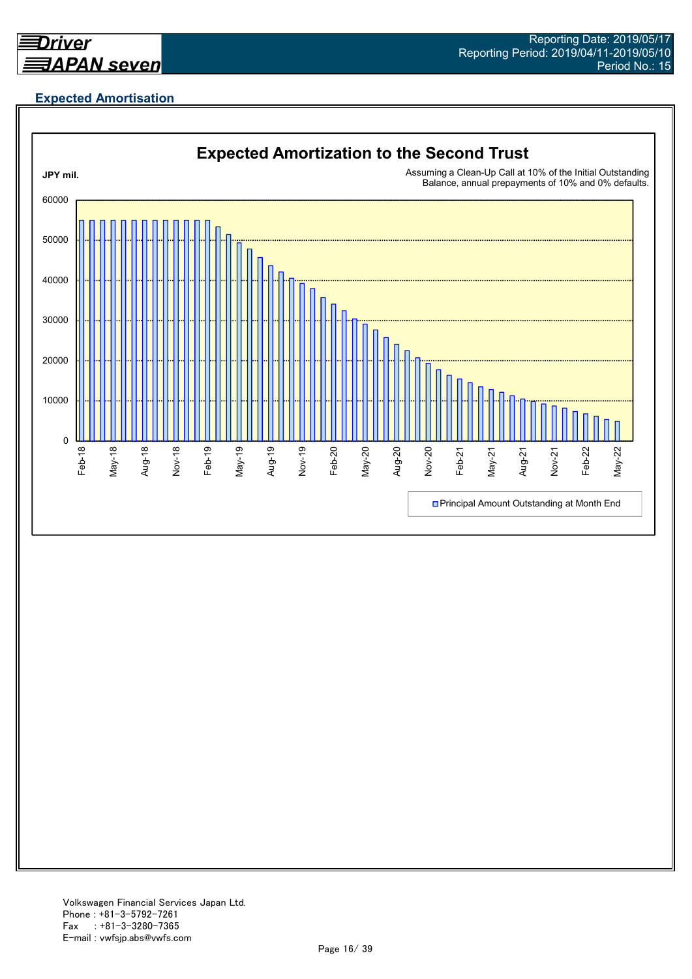![](_page_15_Picture_0.jpeg)

## **Expected Amortisation**

![](_page_15_Figure_3.jpeg)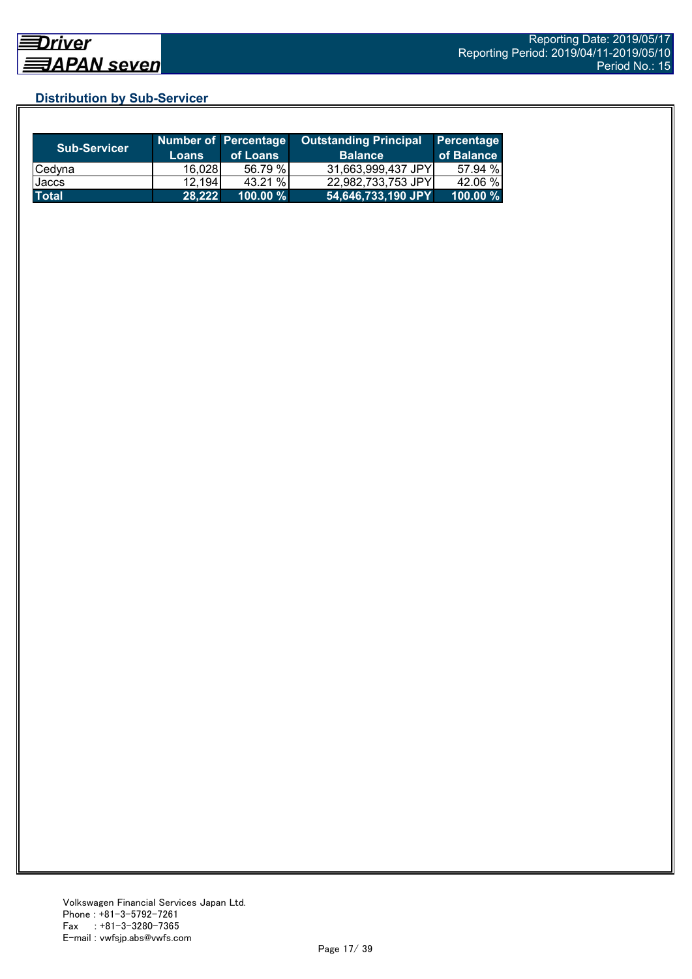## **Distribution by Sub-Servicer**

| <b>Sub-Servicer</b> | <b>Loans</b> | <b>Number of Percentage</b><br>of Loans | <b>Outstanding Principal</b><br><b>Balance</b> | Percentage<br>of Balance |
|---------------------|--------------|-----------------------------------------|------------------------------------------------|--------------------------|
| Cedyna              | 16,028       | 56.79 %                                 | 31,663,999,437 JPY                             | 57.94 %                  |
| Jaccs               | 12,194       | 43.21 %                                 | 22,982,733,753 JPY                             | 42.06 %                  |
| <b>Total</b>        | 28,222       | 100.00 %                                | 54,646,733,190 JPY                             | $100.00 \%$              |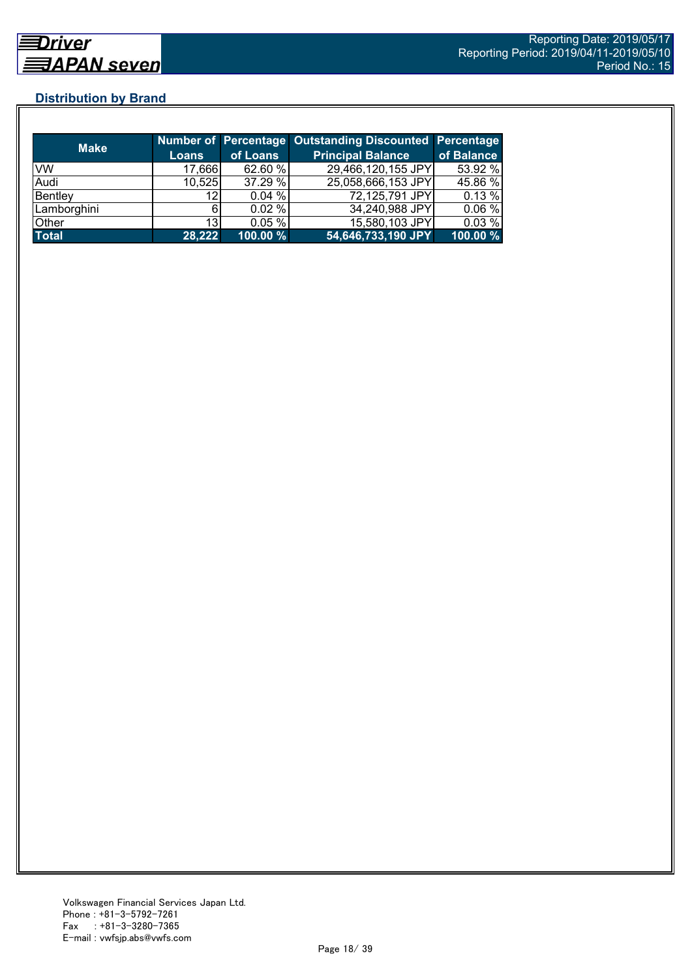## **Distribution by Brand**

| <b>Make</b>  |              |          | <b>Number of Percentage Outstanding Discounted Percentage</b> |            |
|--------------|--------------|----------|---------------------------------------------------------------|------------|
|              | <b>Loans</b> | of Loans | <b>Principal Balance</b>                                      | of Balance |
| VW           | 17,666       | 62.60 %  | 29,466,120,155 JPY                                            | 53.92 %    |
| Audi         | 10,525       | 37.29 %  | 25,058,666,153 JPY                                            | 45.86 %    |
| Bentley      | 12           | 0.04%    | 72,125,791 JPY                                                | 0.13%      |
| Lamborghini  | ีค           | 0.02%    | 34,240,988 JPY                                                | 0.06%      |
| Other        | 13           | 0.05%    | 15,580,103 JPY                                                | 0.03%      |
| <b>Total</b> | 28,222       | 100.00 % | 54,646,733,190 JPY                                            | 100.00 %   |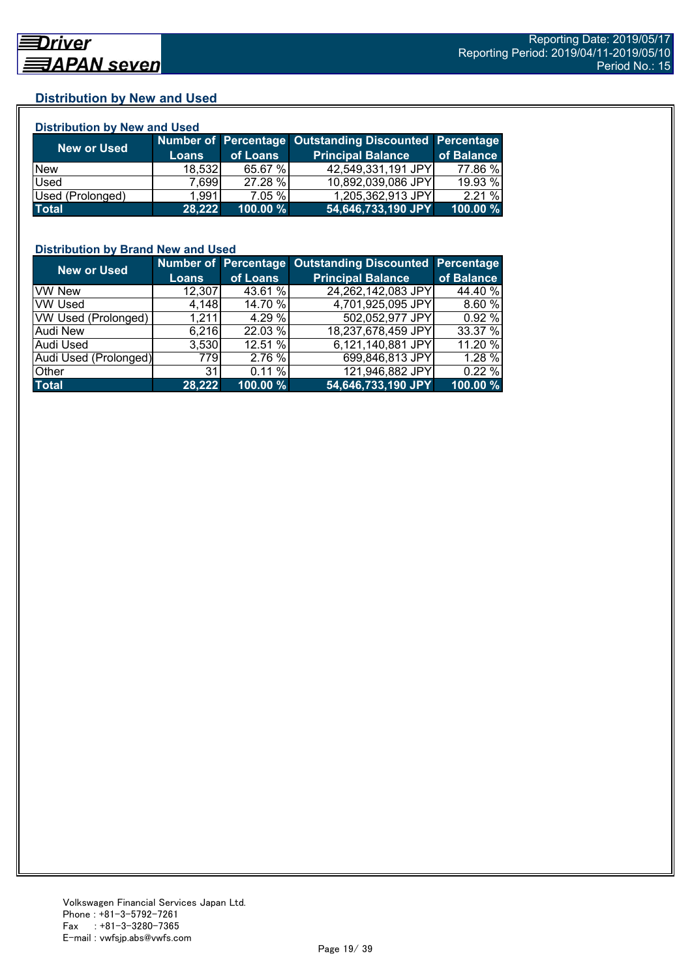## **Distribution by New and Used**

| <b>Distribution by New and Used</b> |              |          |                                                        |            |  |  |
|-------------------------------------|--------------|----------|--------------------------------------------------------|------------|--|--|
|                                     |              |          | Number of Percentage Outstanding Discounted Percentage |            |  |  |
| <b>New or Used</b>                  | <b>Loans</b> | of Loans | <b>Principal Balance</b>                               | of Balance |  |  |
| <b>New</b>                          | 18,532       | 65.67 %  | 42,549,331,191 JPY                                     | 77.86 %    |  |  |
| Used                                | 7,699        | 27.28 %  | 10,892,039,086 JPY                                     | 19.93 %    |  |  |
| Used (Prolonged)                    | 1,991        | 7.05 %   | 1,205,362,913 JPY                                      | 2.21%      |  |  |
| <b>Total</b>                        | 28.222       | 100.00 % | 54,646,733,190 JPY                                     | 100.00 %   |  |  |

## **Distribution by Brand New and Used**

| <b>New or Used</b>         |              |          | Number of Percentage Outstanding Discounted Percentage |            |
|----------------------------|--------------|----------|--------------------------------------------------------|------------|
|                            | <b>Loans</b> | of Loans | <b>Principal Balance</b>                               | of Balance |
| <b>VW New</b>              | 12,307       | 43.61 %  | 24,262,142,083 JPY                                     | 44.40 %    |
| <b>VW Used</b>             | 4,148        | 14.70 %  | 4,701,925,095 JPY                                      | 8.60%      |
| <b>VW Used (Prolonged)</b> | 1,211        | 4.29 %   | 502,052,977 JPY                                        | 0.92 %     |
| <b>Audi New</b>            | 6,216        | 22.03 %  | 18,237,678,459 JPY                                     | 33.37 %    |
| Audi Used                  | 3,530        | 12.51 %  | 6,121,140,881 JPY                                      | 11.20 %    |
| Audi Used (Prolonged)      | 779I         | 2.76 %   | 699,846,813 JPY                                        | 1.28 %     |
| Other                      | 31           | 0.11%    | 121,946,882 JPY                                        | 0.22%      |
| <b>Total</b>               | 28,222       | 100.00%  | 54,646,733,190 JPY                                     | 100.00 %   |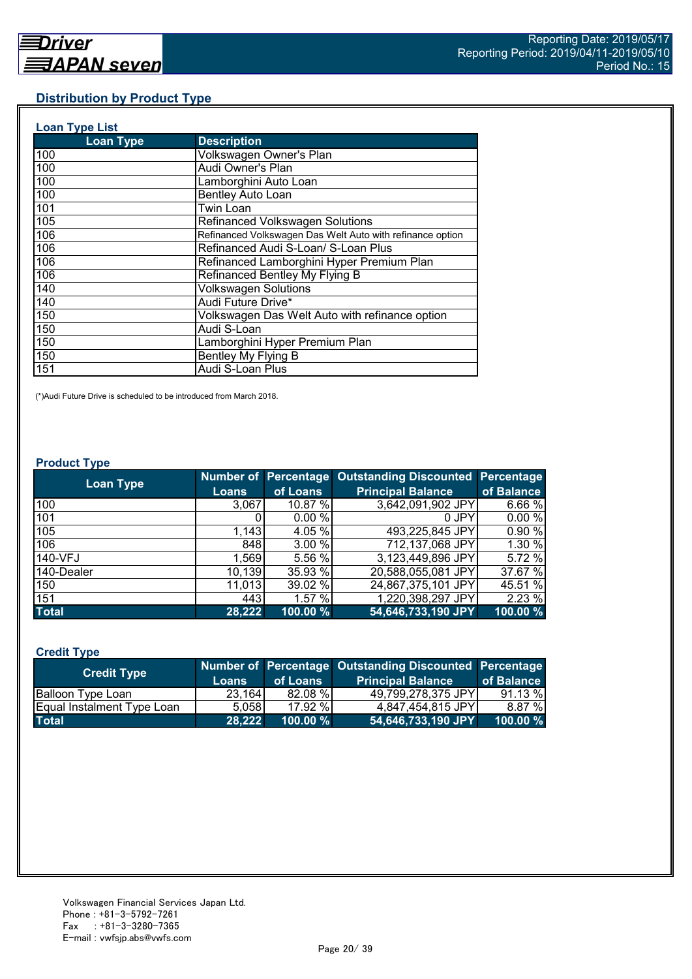## **Distribution by Product Type**

| <b>Loan Type List</b> |                                                           |
|-----------------------|-----------------------------------------------------------|
| <b>Loan Type</b>      | <b>Description</b>                                        |
| 100                   | Volkswagen Owner's Plan                                   |
| 100                   | Audi Owner's Plan                                         |
| 100                   | Lamborghini Auto Loan                                     |
| 100                   | <b>Bentley Auto Loan</b>                                  |
| 101                   | Twin Loan                                                 |
| 105                   | Refinanced Volkswagen Solutions                           |
| 106                   | Refinanced Volkswagen Das Welt Auto with refinance option |
| 106                   | Refinanced Audi S-Loan/ S-Loan Plus                       |
| 106                   | Refinanced Lamborghini Hyper Premium Plan                 |
| 106                   | Refinanced Bentley My Flying B                            |
| 140                   | <b>Volkswagen Solutions</b>                               |
| 140                   | Audi Future Drive*                                        |
| 150                   | Volkswagen Das Welt Auto with refinance option            |
| 150                   | Audi S-Loan                                               |
| 150                   | Lamborghini Hyper Premium Plan                            |
| 150                   | Bentley My Flying B                                       |
| 151                   | Audi S-Loan Plus                                          |

(\*)Audi Future Drive is scheduled to be introduced from March 2018.

#### **Product Type**

| <b>Loan Type</b> |              |          | Number of Percentage Outstanding Discounted Percentage |            |
|------------------|--------------|----------|--------------------------------------------------------|------------|
|                  | <b>Loans</b> | of Loans | <b>Principal Balance</b>                               | of Balance |
| 100              | 3,067        | 10.87 %  | 3,642,091,902 JPY                                      | 6.66%      |
| 101              |              | 0.00%    | 0 JPY                                                  | 0.00%      |
| 105              | 1,143        | 4.05 %   | 493,225,845 JPY                                        | 0.90 %     |
| 106              | 848          | 3.00 %   | 712,137,068 JPY                                        | 1.30 %     |
| 140-VFJ          | 1,569        | 5.56 %   | 3,123,449,896 JPY                                      | 5.72 %     |
| 140-Dealer       | 10,139       | 35.93 %  | 20,588,055,081 JPY                                     | 37.67 %    |
| 150              | 11,013       | 39.02 %  | 24,867,375,101 JPY                                     | 45.51 %    |
| 151              | 443          | 1.57 %   | 1,220,398,297 JPY                                      | 2.23 %     |
| <b>Total</b>     | 28,222       | 100.00 % | 54,646,733,190 JPY                                     | 100.00 %   |

## **Credit Type**

| <b>Credit Type</b>         |        |             | Number of Percentage Outstanding Discounted Percentage |            |
|----------------------------|--------|-------------|--------------------------------------------------------|------------|
|                            | Loans  | of Loans    | <b>Principal Balance</b>                               | of Balance |
| <b>Balloon Type Loan</b>   | 23,164 | 82.08 %     | 49,799,278,375 JPY                                     | 91.13%     |
| Equal Instalment Type Loan | 5.058  | 17.92 %     | 4,847,454,815 JPY                                      | 8.87 %     |
| <b>Total</b>               | 28.222 | $100.00 \%$ | 54,646,733,190 JPY                                     | 100.00 %   |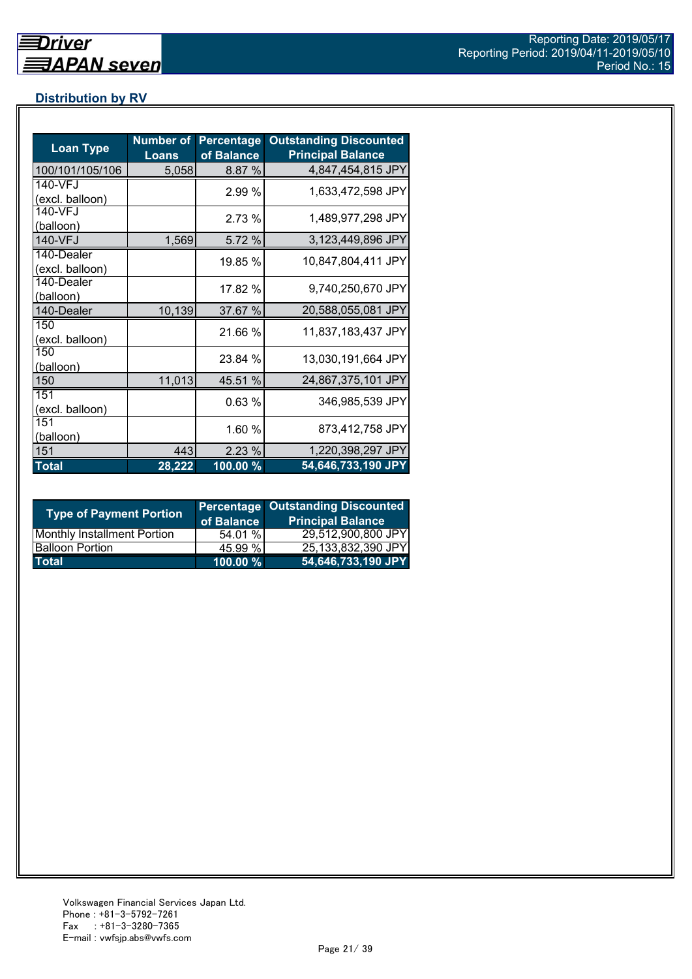## **Distribution by RV**

| <b>Loan Type</b>              | <b>Number of</b><br><b>Loans</b> | <b>Percentage</b><br>of Balance | <b>Outstanding Discounted</b><br><b>Principal Balance</b> |
|-------------------------------|----------------------------------|---------------------------------|-----------------------------------------------------------|
| 100/101/105/106               | 5,058                            | 8.87 %                          | 4,847,454,815 JPY                                         |
| 140-VFJ<br>(excl. balloon)    |                                  | 2.99 %                          | 1,633,472,598 JPY                                         |
| 140-VFJ<br>(balloon)          |                                  | 2.73 %                          | 1,489,977,298 JPY                                         |
| 140-VFJ                       | 1,569                            | 5.72 %                          | 3,123,449,896 JPY                                         |
| 140-Dealer<br>(excl. balloon) |                                  | 19.85 %                         | 10,847,804,411 JPY                                        |
| 140-Dealer<br>(balloon)       |                                  | 17.82 %                         | 9,740,250,670 JPY                                         |
| 140-Dealer                    | 10,139                           | 37.67 %                         | 20,588,055,081 JPY                                        |
| 150<br>(excl. balloon)        |                                  | 21.66 %                         | 11,837,183,437 JPY                                        |
| 150<br>(balloon)              |                                  | 23.84 %                         | 13,030,191,664 JPY                                        |
| 150                           | 11,013                           | 45.51 %                         | 24,867,375,101 JPY                                        |
| 151<br>(excl. balloon)        |                                  | 0.63%                           | 346,985,539 JPY                                           |
| 151<br>(balloon)              |                                  | 1.60 %                          | 873,412,758 JPY                                           |
| 151                           | 443                              | 2.23%                           | 1,220,398,297 JPY                                         |
| <b>Total</b>                  | 28,222                           | $100.00\%$                      | 54,646,733,190 JPY                                        |

| <b>Type of Payment Portion</b>     | of Balance | <b>Percentage Outstanding Discounted</b><br><b>Principal Balance</b> |
|------------------------------------|------------|----------------------------------------------------------------------|
| <b>Monthly Installment Portion</b> | 54.01 %    | 29,512,900,800 JPY                                                   |
| <b>Balloon Portion</b>             | 45.99 %    | 25,133,832,390 JPY                                                   |
| <b>Total</b>                       | 100.00 %   | 54,646,733,190 JPY                                                   |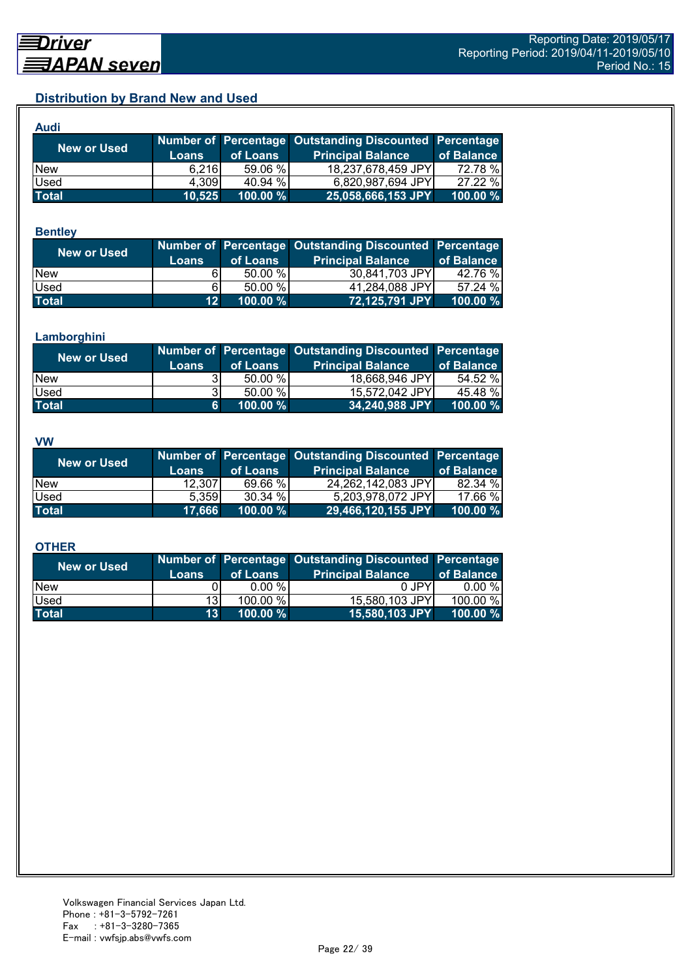## **Distribution by Brand New and Used**

| <b>Audi</b>        |        |             |                                                        |             |
|--------------------|--------|-------------|--------------------------------------------------------|-------------|
| <b>New or Used</b> |        |             | Number of Percentage Outstanding Discounted Percentage |             |
|                    | Loans  | of Loans    | <b>Principal Balance</b>                               | of Balance  |
| <b>New</b>         | 6.216  | 59.06 %     | 18,237,678,459 JPY                                     | 72.78 %     |
| Used               | 4,309  | 40.94 %     | 6,820,987,694 JPY                                      | 27.22 %     |
| <b>Total</b>       | 10,525 | $100.00 \%$ | 25,058,666,153 JPY                                     | $100.00 \%$ |

#### **Bentley**

| <b>New or Used</b> | <b>Loans</b>    | of Loans  | Number of Percentage Outstanding Discounted Percentage<br><b>Principal Balance</b> | of Balance |
|--------------------|-----------------|-----------|------------------------------------------------------------------------------------|------------|
| <b>New</b>         |                 | $50.00\%$ | 30,841,703 JPY                                                                     | 42.76 %    |
| Used               | 61              | 50.00 %   | 41,284,088 JPY                                                                     | 57.24 %    |
| <b>Total</b>       | 12 <sup>1</sup> | 100.00 %  | 72,125,791 JPY                                                                     | 100.00 %   |

#### **Lamborghini**

| New or Used  | <b>Loans</b> | of Loans | Number of Percentage Outstanding Discounted Percentage<br><b>Principal Balance</b> | of Balance |
|--------------|--------------|----------|------------------------------------------------------------------------------------|------------|
| <b>New</b>   |              | 50.00 %  | 18,668,946 JPY                                                                     | 54.52%     |
| <b>Used</b>  | 31           | 50.00 %  | 15,572,042 JPY                                                                     | 45.48 %    |
| <b>Total</b> | 61           | 100.00 % | 34,240,988 JPY                                                                     | 100.00 $%$ |

#### **VW**

| <b>New or Used</b> |              |          | Number of Percentage Outstanding Discounted Percentage |            |
|--------------------|--------------|----------|--------------------------------------------------------|------------|
|                    | <b>Loans</b> | of Loans | <b>Principal Balance</b>                               | of Balance |
| <b>New</b>         | 12,307       | 69.66 %  | 24,262,142,083 JPY                                     | 82.34 %    |
| <b>Used</b>        | 5.359        | 30.34 %  | 5,203,978,072 JPY                                      | 17.66 %    |
| <b>Total</b>       | 17.666       | 100.00 % | 29,466,120,155 JPY                                     | 100.00 %   |

#### **OTHER**

| <b>New or Used</b> | <b>Loans</b>    | of Loans | Number of Percentage Outstanding Discounted Percentage<br><b>Principal Balance</b> | of Balance |
|--------------------|-----------------|----------|------------------------------------------------------------------------------------|------------|
| <b>New</b>         |                 | 0.00 %   | 0 JPY                                                                              | $0.00 \%$  |
| Used               | 13 <sup>1</sup> | 100.00 % | 15,580,103 JPY                                                                     | 100.00 %   |
| <b>Total</b>       | 13 <sup>1</sup> | 100.00 % | 15,580,103 JPY                                                                     | 100.00 $%$ |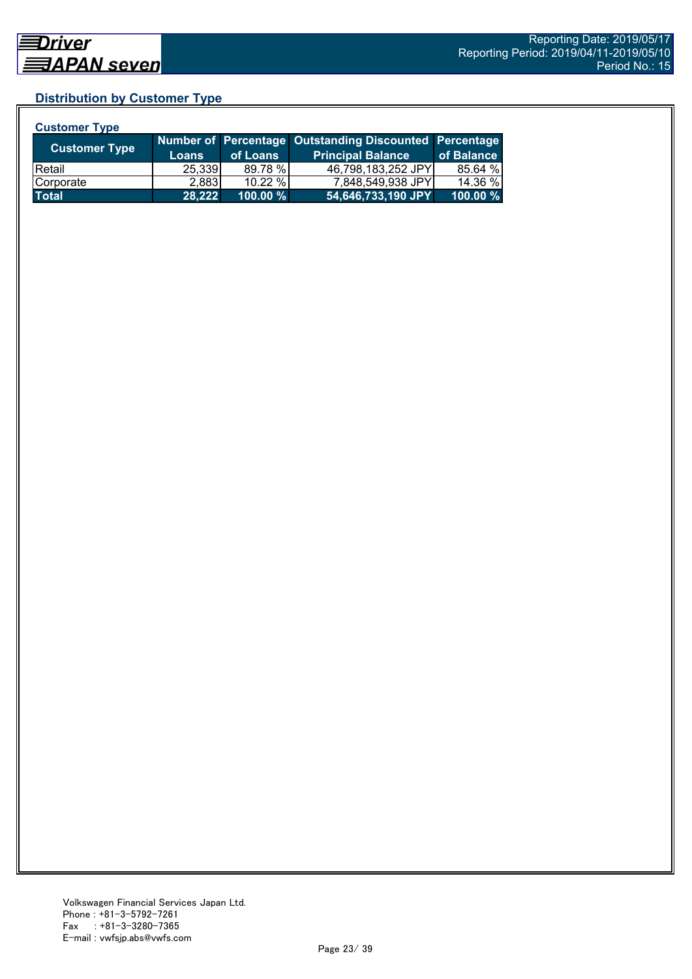## **Distribution by Customer Type**

| <b>Customer Type</b> |              |           |                                                        |            |
|----------------------|--------------|-----------|--------------------------------------------------------|------------|
| <b>Customer Type</b> |              |           | Number of Percentage Outstanding Discounted Percentage |            |
|                      | <b>Loans</b> | of Loans  | <b>Principal Balance</b>                               | of Balance |
| <b>IRetail</b>       | 25,339       | 89.78 %   | 46,798,183,252 JPY                                     | 85.64 %    |
| Corporate            | 2,883        | $10.22\%$ | 7,848,549,938 JPY                                      | 14.36 %    |
| <b>Total</b>         | 28.222       | 100.00 %  | 54,646,733,190 JPY                                     | 100.00 %   |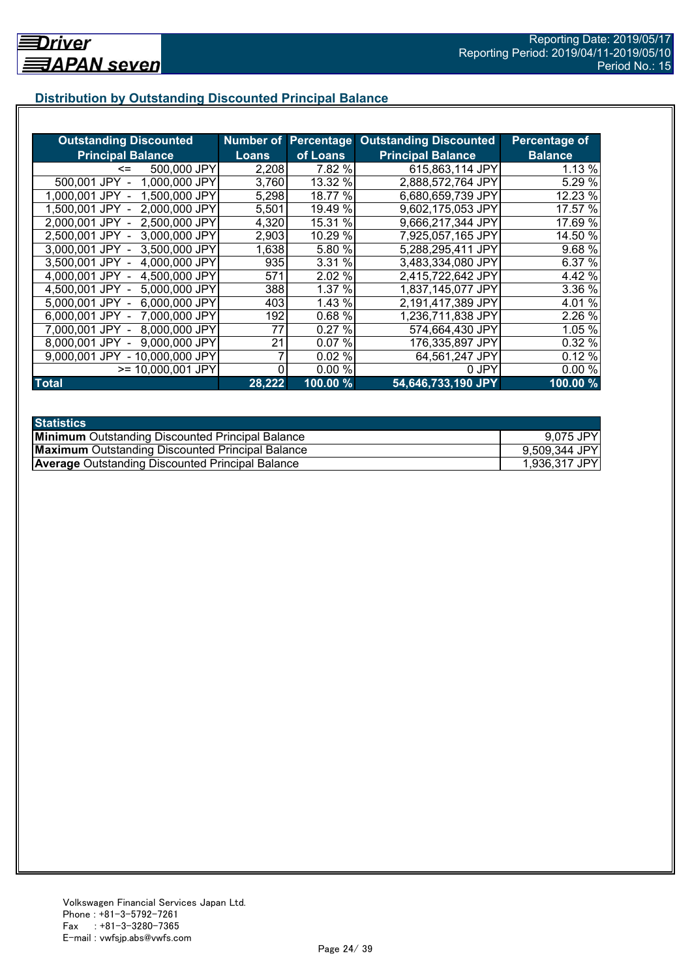## **Distribution by Outstanding Discounted Principal Balance**

| <b>Outstanding Discounted</b>     |              |          | <b>Number of Percentage Outstanding Discounted</b> | Percentage of  |
|-----------------------------------|--------------|----------|----------------------------------------------------|----------------|
| <b>Principal Balance</b>          | <b>Loans</b> | of Loans | <b>Principal Balance</b>                           | <b>Balance</b> |
| 500,000 JPY<br><=                 | 2,208        | 7.82 %   | 615,863,114 JPY                                    | 1.13 %         |
| 1,000,000 JPY<br>500,001 JPY      | 3,760        | 13.32 %  | 2,888,572,764 JPY                                  | 5.29 %         |
| 1,500,000 JPY<br>1.000.001 JPY    | 5,298        | 18.77 %  | 6,680,659,739 JPY                                  | 12.23 %        |
| 2,000,000 JPY<br>1.500.001 JPY -  | 5,501        | 19.49 %  | 9,602,175,053 JPY                                  | 17.57 %        |
| 2,500,000 JPY<br>2.000.001 JPY -  | 4,320        | 15.31 %  | 9,666,217,344 JPY                                  | 17.69 %        |
| 3,000,000 JPY<br>2,500,001 JPY -  | 2,903        | 10.29 %  | 7,925,057,165 JPY                                  | 14.50 %        |
| 3,000,001 JPY -<br>3,500,000 JPY  | 1,638        | 5.80 %   | 5,288,295,411 JPY                                  | 9.68 %         |
| 3.500,001 JPY -<br>4,000,000 JPY  | 935          | 3.31 %   | 3,483,334,080 JPY                                  | 6.37 %         |
| 4,000,001 JPY -<br>4,500,000 JPY  | 571          | 2.02 %   | 2,415,722,642 JPY                                  | 4.42 %         |
| 4,500,001 JPY -<br>5,000,000 JPY  | 388          | 1.37%    | 1,837,145,077 JPY                                  | 3.36 %         |
| 6,000,000 JPY<br>5,000,001 JPY -  | 403          | 1.43 %   | 2,191,417,389 JPY                                  | 4.01%          |
| 7,000,000 JPY<br>6,000,001 JPY -  | 192          | 0.68 %   | 1,236,711,838 JPY                                  | 2.26 %         |
| 8,000,000 JPY<br>7,000,001 JPY -  | 77           | 0.27%    | 574,664,430 JPY                                    | 1.05 %         |
| 9,000,000 JPY<br>8,000,001 JPY    | 21           | 0.07%    | 176,335,897 JPY                                    | 0.32 %         |
| - 10,000,000 JPY<br>9.000.001 JPY |              | 0.02%    | 64,561,247 JPY                                     | 0.12%          |
| >= 10,000,001 JPY                 |              | 0.00%    | 0 JPY                                              | 0.00%          |
| <b>Total</b>                      | 28,222       | 100.00 % | 54,646,733,190 JPY                                 | 100.00%        |

| <b>Statistics</b>                                       |               |
|---------------------------------------------------------|---------------|
| <b>Minimum</b> Outstanding Discounted Principal Balance | 9,075 JPY     |
| <b>Maximum</b> Outstanding Discounted Principal Balance | 9,509,344 JPY |
| <b>Average Outstanding Discounted Principal Balance</b> | 1,936,317 JPY |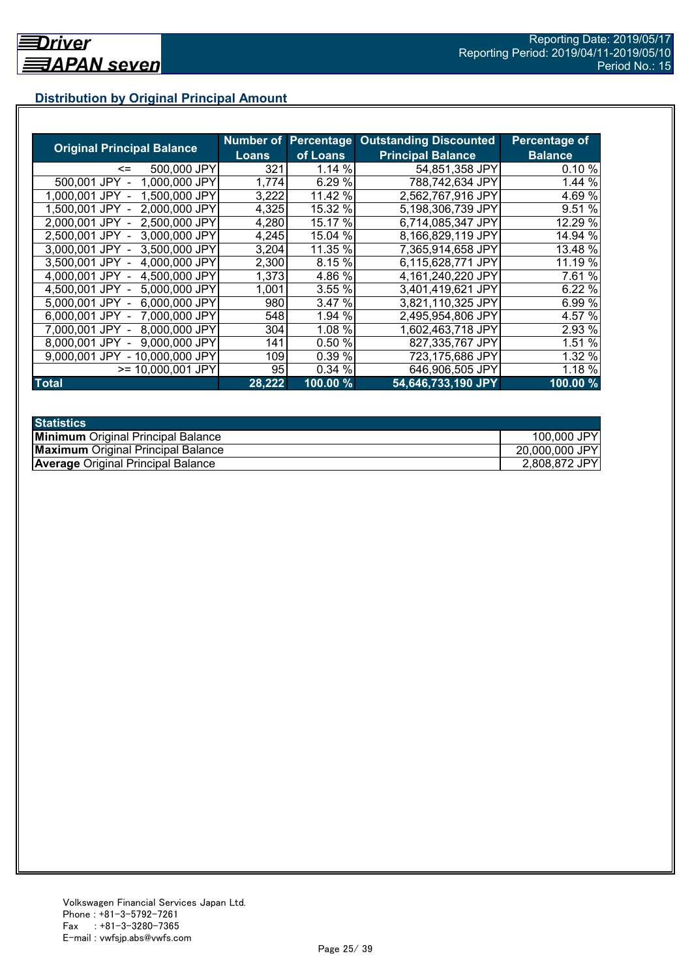## **Distribution by Original Principal Amount**

|                                   |                     |          | <b>Number of Percentage Outstanding Discounted</b> | <b>Percentage of</b> |
|-----------------------------------|---------------------|----------|----------------------------------------------------|----------------------|
| <b>Original Principal Balance</b> | <b>Loans</b>        | of Loans | <b>Principal Balance</b>                           | <b>Balance</b>       |
| 500,000 JPY<br><=                 | 321                 | 1.14 %   | 54,851,358 JPY                                     | 0.10%                |
| 500,001 JPY<br>1,000,000 JPY      | 1,774               | 6.29 %   | 788,742,634 JPY                                    | 1.44 %               |
| 1,500,000 JPY<br>1.000.001 JPY    | 3,222               | 11.42 %  | 2,562,767,916 JPY                                  | 4.69 %               |
| 2,000,000 JPY<br>1.500.001 JPY    | 4,325               | 15.32 %  | 5,198,306,739 JPY                                  | 9.51 %               |
| 2,500,000 JPY<br>2.000.001 JPY    | 4,280               | 15.17 %  | 6,714,085,347 JPY                                  | 12.29 %              |
| 2,500,001 JPY<br>3.000.000 JPY    | 4,245               | 15.04 %  | 8,166,829,119 JPY                                  | 14.94 %              |
| 3.000.001 JPY<br>3.500,000 JPY    | 3,204               | 11.35 %  | 7,365,914,658 JPY                                  | 13.48 %              |
| 3,500,001 JPY<br>4,000,000 JPY    | 2,300               | 8.15 %   | 6,115,628,771 JPY                                  | 11.19 %              |
| 4,500,000 JPY<br>4.000.001 JPY    | 1,373               | 4.86 %   | 4,161,240,220 JPY                                  | 7.61 %               |
| 5,000,000 JPY<br>4,500,001 JPY -  | 1,001               | 3.55 %   | 3,401,419,621 JPY                                  | 6.22 %               |
| 6,000,000 JPY<br>5,000,001 JPY -  | 980                 | 3.47 %   | 3,821,110,325 JPY                                  | 6.99 %               |
| 7,000,000 JPY<br>6,000,001 JPY -  | 548                 | 1.94 %   | 2,495,954,806 JPY                                  | 4.57 %               |
| 8,000,000 JPY<br>7.000.001 JPY -  | 304                 | 1.08 %   | 1,602,463,718 JPY                                  | 2.93 %               |
| 9,000,000 JPY<br>8.000.001 JPY    | 141                 | 0.50%    | 827,335,767 JPY                                    | 1.51 %               |
| 9.000.001 JPY<br>- 10,000,000 JPY | 109                 | 0.39 %   | 723,175,686 JPY                                    | 1.32 %               |
| $>= 10,000,001$ JPY               | 95                  | 0.34 %   | 646,906,505 JPY                                    | 1.18 %               |
| <b>Total</b>                      | $\overline{28,222}$ | 100.00 % | 54,646,733,190 JPY                                 | 100.00%              |

| <b>Statistics</b>                         |                |
|-------------------------------------------|----------------|
| <b>Minimum</b> Original Principal Balance | 100,000 JPY    |
| <b>Maximum</b> Original Principal Balance | 20,000,000 JPY |
| <b>Average Original Principal Balance</b> | 2,808,872 JPY  |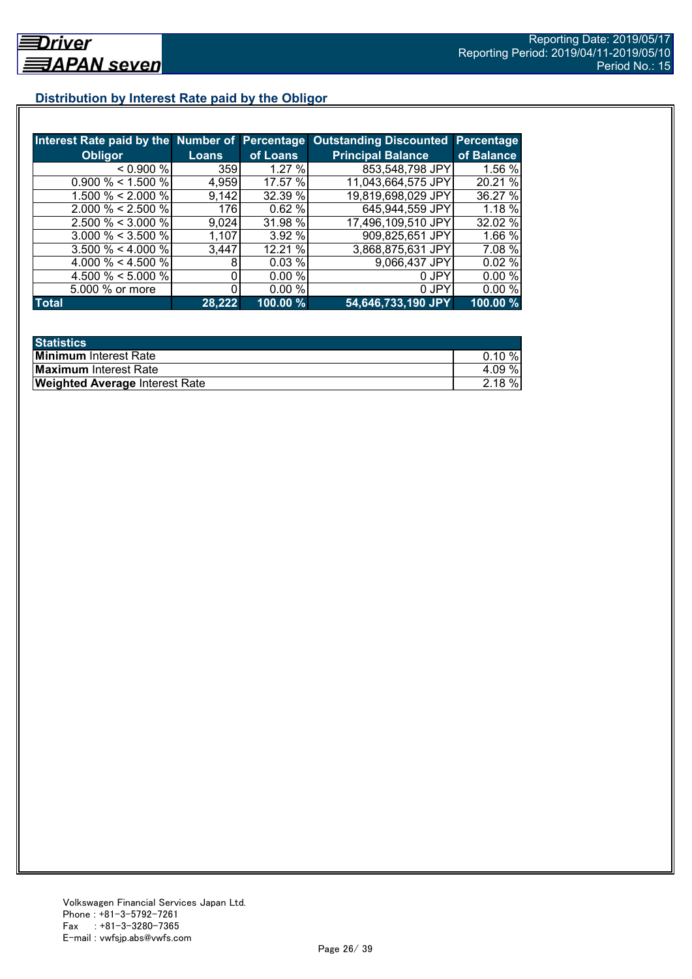## **Distribution by Interest Rate paid by the Obligor**

| Interest Rate paid by the Number of Percentage |              |          | <b>Outstanding Discounted</b> | Percentage |
|------------------------------------------------|--------------|----------|-------------------------------|------------|
| <b>Obligor</b>                                 | <b>Loans</b> | of Loans | <b>Principal Balance</b>      | of Balance |
| $0.900\%$                                      | 359          | 1.27%    | 853,548,798 JPY               | 1.56 %     |
| $0.900\% < 1.500\%$                            | 4,959        | 17.57 %  | 11,043,664,575 JPY            | 20.21 %    |
| 1.500 % < 2.000 %                              | 9,142        | 32.39 %  | 19,819,698,029 JPY            | 36.27 %    |
| $2.000 \% < 2.500 \%$                          | 176          | 0.62%    | 645,944,559 JPY               | 1.18 %     |
| $2.500 \% < 3.000 \%$                          | 9.024        | 31.98 %  | 17,496,109,510 JPY            | 32.02 %    |
| $3.000 \% < 3.500 \%$                          | 1,107        | 3.92%    | 909,825,651 JPY               | 1.66 %     |
| $3.500 \% < 4.000 \%$                          | 3,447        | 12.21 %  | 3,868,875,631 JPY             | 7.08 %     |
| 4.000 % < 4.500 %                              |              | 0.03%    | 9,066,437 JPY                 | 0.02%      |
| 4.500 % < 5.000 %                              |              | 0.00%    | 0 JPY                         | 0.00%      |
| 5.000 % or more                                |              | 0.00%    | 0 JPY                         | 0.00%      |
| Total                                          | 28,222       | 100.00%  | 54,646,733,190 JPY            | 100.00 %   |

| <b>Statistics</b>                     |           |
|---------------------------------------|-----------|
| <b>Minimum</b> Interest Rate          | $0.10 \%$ |
| <b>Maximum</b> Interest Rate          | 4.09%     |
| <b>Weighted Average Interest Rate</b> | $2.18 \%$ |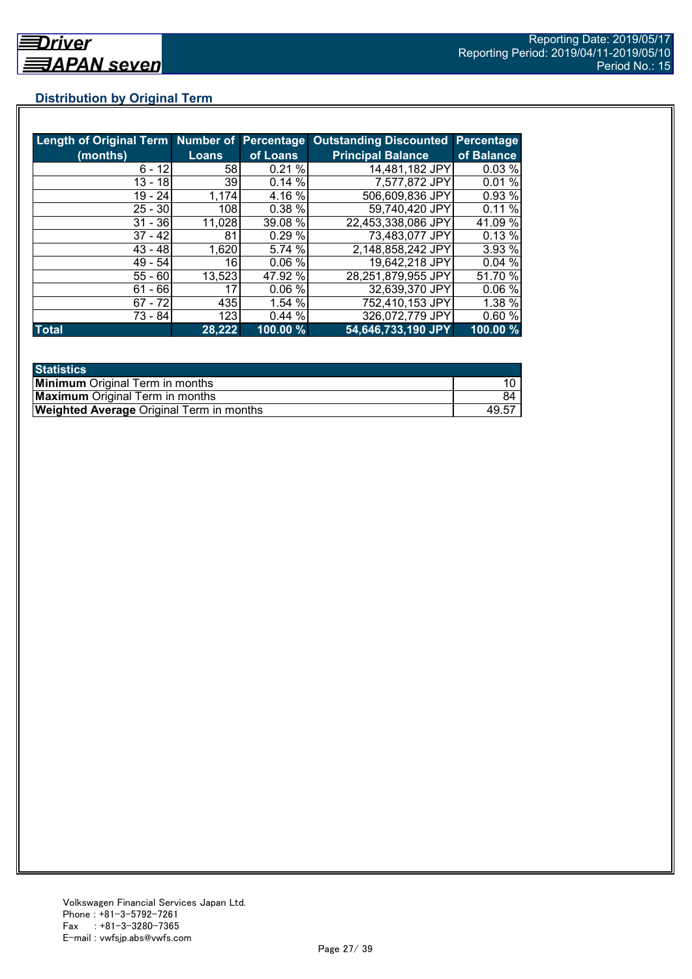## **Distribution by Original Term**

| Length of Original Term Number of Percentage |              |          | <b>Outstanding Discounted Percentage</b> |            |
|----------------------------------------------|--------------|----------|------------------------------------------|------------|
| (months)                                     | <b>Loans</b> | of Loans | <b>Principal Balance</b>                 | of Balance |
| $6 - 12$                                     | 581          | 0.21%    | 14,481,182 JPY                           | 0.03%      |
| 13 - 18                                      | 39           | 0.14%    | 7,577,872 JPY                            | 0.01%      |
| $19 - 24$                                    | 1,174        | 4.16 %   | 506,609,836 JPY                          | 0.93 %     |
| $25 - 30$                                    | 108          | 0.38%    | 59,740,420 JPY                           | 0.11%      |
| $31 - 36$                                    | 11,028       | 39.08 %  | 22,453,338,086 JPY                       | 41.09 %    |
| $37 - 42$                                    | 81           | 0.29%    | 73,483,077 JPY                           | 0.13%      |
| $43 - 48$                                    | 1,620        | 5.74 %   | 2,148,858,242 JPY                        | 3.93 %     |
| $49 - 54$                                    | 16           | 0.06%    | 19,642,218 JPY                           | 0.04%      |
| $55 - 60$                                    | 13,523       | 47.92 %  | 28,251,879,955 JPY                       | 51.70 %    |
| $61 - 66$                                    | 17           | 0.06%    | 32,639,370 JPY                           | 0.06%      |
| $67 - 72$                                    | 435          | 1.54 %   | 752,410,153 JPY                          | 1.38%      |
| 73 - 84                                      | 123          | 0.44%    | 326,072,779 JPY                          | 0.60%      |
| <b>Total</b>                                 | 28,222       | 100.00 % | 54,646,733,190 JPY                       | 100.00 %   |

| <b>Statistics</b>                               |       |
|-------------------------------------------------|-------|
| <b>Minimum</b> Original Term in months          |       |
| <b>Maximum</b> Original Term in months          | 84    |
| <b>Weighted Average Original Term in months</b> | 49.57 |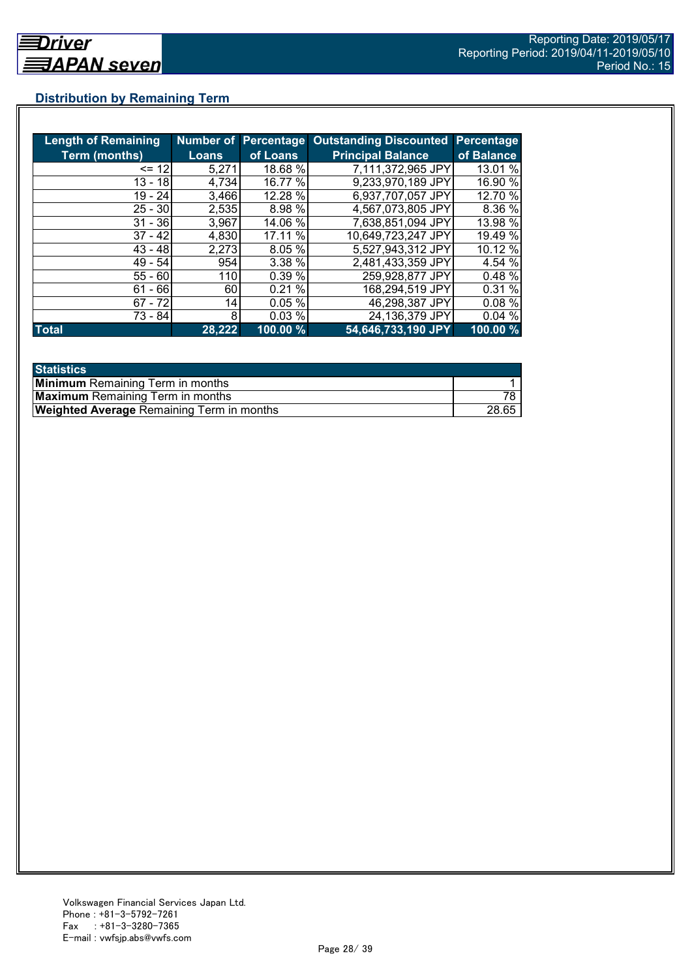## **Distribution by Remaining Term**

| <b>Length of Remaining</b> |        |          | Number of Percentage Outstanding Discounted | <b>Percentage</b> |
|----------------------------|--------|----------|---------------------------------------------|-------------------|
| <b>Term (months)</b>       | Loans  | of Loans | <b>Principal Balance</b>                    | of Balance        |
| $= 12$                     | 5,271  | 18.68 %  | 7,111,372,965 JPY                           | 13.01 %           |
| $13 - 18$                  | 4,734  | 16.77 %  | 9,233,970,189 JPY                           | 16.90 %           |
| $19 - 24$                  | 3,466  | 12.28 %  | 6,937,707,057 JPY                           | 12.70 %           |
| $25 - 30$                  | 2,535  | 8.98 %   | 4,567,073,805 JPY                           | 8.36 %            |
| $31 - 36$                  | 3,967  | 14.06 %  | 7,638,851,094 JPY                           | 13.98 %           |
| $37 - 42$                  | 4,830  | 17.11 %  | 10,649,723,247 JPY                          | 19.49 %           |
| $43 - 48$                  | 2,273  | 8.05 %   | 5,527,943,312 JPY                           | 10.12 %           |
| $49 - 54$                  | 954    | 3.38%    | 2,481,433,359 JPY                           | 4.54 %            |
| $55 - 60$                  | 110    | 0.39%    | 259,928,877 JPY                             | 0.48%             |
| $61 - 66$                  | 60     | 0.21%    | 168,294,519 JPY                             | 0.31 %            |
| $67 - 72$                  | 14     | 0.05%    | 46,298,387 JPY                              | 0.08%             |
| 73 - 84                    | 8      | 0.03%    | 24,136,379 JPY                              | 0.04%             |
| <b>Total</b>               | 28,222 | 100.00 % | 54,646,733,190 JPY                          | 100.00 %          |

| <b>Statistics</b>                                |       |
|--------------------------------------------------|-------|
| <b>Minimum</b> Remaining Term in months          |       |
| <b>Maximum</b> Remaining Term in months          |       |
| <b>Weighted Average Remaining Term in months</b> | 28.65 |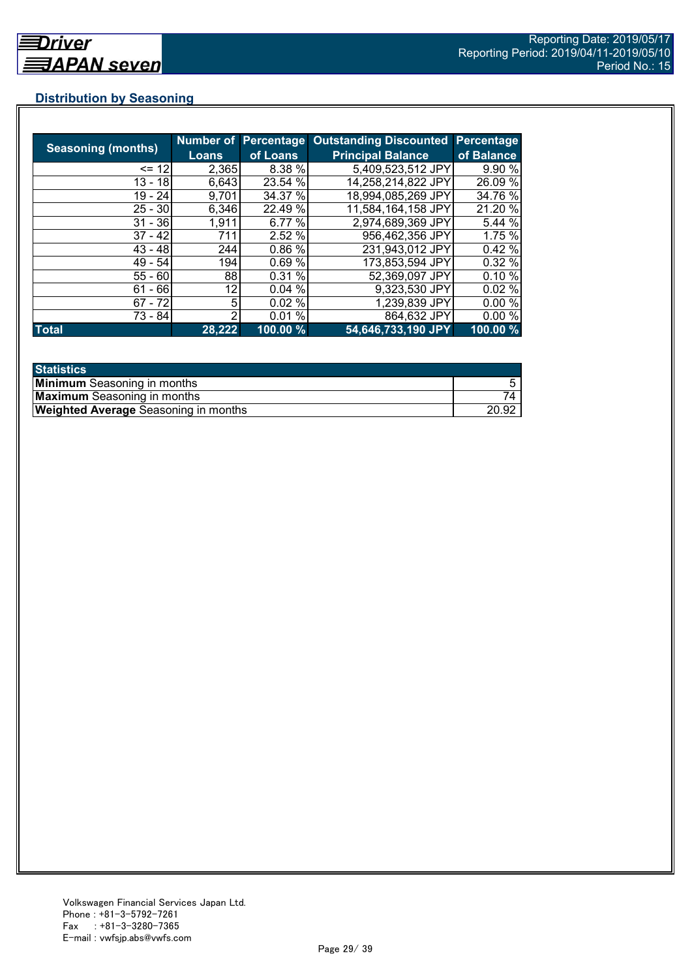## **Distribution by Seasoning**

|                           |        |          | Number of Percentage Outstanding Discounted | Percentage  |
|---------------------------|--------|----------|---------------------------------------------|-------------|
| <b>Seasoning (months)</b> | Loans  | of Loans | <b>Principal Balance</b>                    | of Balance  |
| $= 12$                    | 2,365  | 8.38 %   | 5,409,523,512 JPY                           | 9.90 %      |
| $13 - 18$                 | 6,643  | 23.54 %  | 14,258,214,822 JPY                          | 26.09 %     |
| $19 - 24$                 | 9,701  | 34.37 %  | 18,994,085,269 JPY                          | 34.76 %     |
| $25 - 30$                 | 6,346  | 22.49 %  | 11,584,164,158 JPY                          | 21.20 %     |
| $31 - 36$                 | 1,911  | 6.77 %   | 2,974,689,369 JPY                           | 5.44 %      |
| $37 - 42$                 | 711    | 2.52%    | 956,462,356 JPY                             | 1.75 %      |
| $43 - 48$                 | 244    | 0.86 %   | 231,943,012 JPY                             | 0.42%       |
| $49 - 54$                 | 194    | 0.69%    | 173,853,594 JPY                             | 0.32%       |
| $55 - 60$                 | 88     | 0.31%    | 52,369,097 JPY                              | 0.10%       |
| $61 - 66$                 | 12     | 0.04%    | 9,323,530 JPY                               | 0.02%       |
| $67 - 72$                 | 5      | 0.02%    | 1,239,839 JPY                               | 0.00%       |
| 73 - 84                   | 2      | 0.01%    | 864,632 JPY                                 | 0.00%       |
| <b>Total</b>              | 28,222 | 100.00 % | 54,646,733,190 JPY                          | $100.00 \%$ |

| <b>Statistics</b>                           |       |
|---------------------------------------------|-------|
| <b>Minimum</b> Seasoning in months          |       |
| <b>Maximum</b> Seasoning in months          |       |
| <b>Weighted Average</b> Seasoning in months | 20.92 |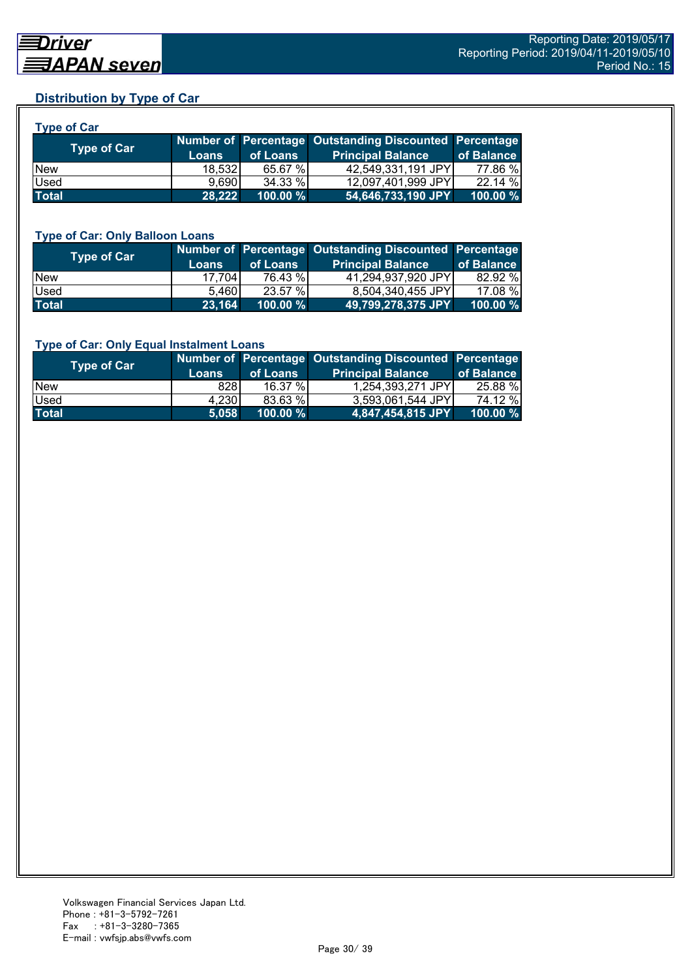## **Distribution by Type of Car**

| <b>Type of Car</b> |        |          |                                                        |            |
|--------------------|--------|----------|--------------------------------------------------------|------------|
| <b>Type of Car</b> |        |          | Number of Percentage Outstanding Discounted Percentage |            |
|                    | Loans  | of Loans | <b>Principal Balance</b>                               | of Balance |
| <b>New</b>         | 18,532 | 65.67 %  | 42,549,331,191 JPY                                     | 77.86 %    |
| Used               | 9.690  | 34.33 %  | 12,097,401,999 JPY                                     | 22.14 %    |
| <b>Total</b>       | 28.222 | 100.00 % | 54,646,733,190 JPY                                     | 100.00 %   |

#### **Type of Car: Only Balloon Loans**

| Type of Car | <b>Loans</b> | of Loans    | Number of Percentage Outstanding Discounted Percentage<br><b>Principal Balance</b> | of Balance  |
|-------------|--------------|-------------|------------------------------------------------------------------------------------|-------------|
| <b>New</b>  | 17.704       | 76.43 %     | 41.294.937.920 JPYI                                                                | 82.92 %     |
| Used        | 5.460        | 23.57 %     | 8,504,340,455 JPY                                                                  | 17.08 %     |
| Total       | 23,164       | $100.00 \%$ | 49,799,278,375 JPY                                                                 | $100.00 \%$ |

#### **Type of Car: Only Equal Instalment Loans**

| Type of Car  |              |             | Number of Percentage Outstanding Discounted Percentage |            |
|--------------|--------------|-------------|--------------------------------------------------------|------------|
|              | <b>Loans</b> | of Loans    | <b>Principal Balance</b>                               | of Balance |
| <b>New</b>   | 828I         | $16.37\%$   | 1,254,393,271 JPY                                      | 25.88 %    |
| <b>Used</b>  | 4,230        | 83.63 %     | 3,593,061,544 JPY                                      | 74.12 %    |
| <b>Total</b> | 5,058        | $100.00 \%$ | $ 4,847,454,815$ JPY                                   | 100.00 %   |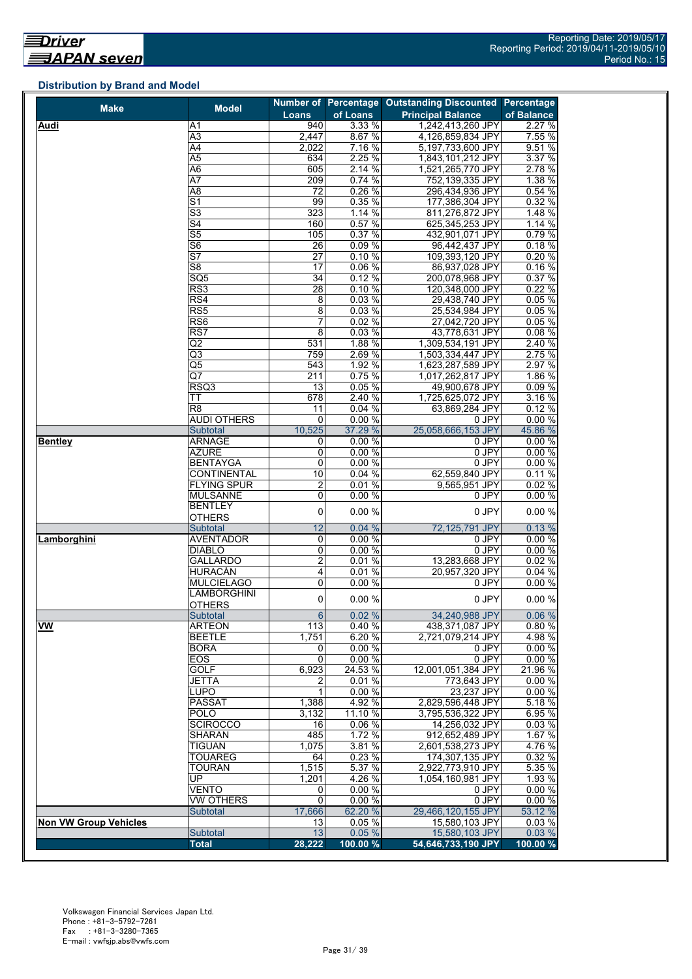## **Distribution by Brand and Model**

| <b>Make</b>                  | <b>Model</b>                                       |                        |                   | Number of Percentage Outstanding Discounted Percentage |                 |
|------------------------------|----------------------------------------------------|------------------------|-------------------|--------------------------------------------------------|-----------------|
|                              |                                                    | Loans                  | of Loans          | <b>Principal Balance</b>                               | of Balance      |
| Audi                         | Α1                                                 | 940                    | 3.33 %            | 1,242,413,260 JPY                                      | 2.27 %          |
|                              | $\overline{A3}$                                    | 2,447                  | 8.67 %            | 4,126,859,834 JPY                                      | 7.55 %          |
|                              | A4                                                 | 2,022                  | 7.16%             | 5,197,733,600 JPY                                      | 9.51%           |
|                              | A5                                                 | 634                    | 2.25%             | 1,843,101,212 JPY                                      | 3.37 %          |
|                              | $\overline{A6}$                                    | 605                    | 2.14%             | 1,521,265,770 JPY                                      | 2.78 %          |
|                              | A7                                                 | 209                    | 0.74%             | 752,139,335 JPY                                        | 1.38 %          |
|                              | $\overline{AB}$                                    | 72                     | 0.26%             | 296,434,936 JPY                                        | 0.54%           |
|                              | $\overline{\mathsf{S}1}$                           | 99                     | 0.35%             | 177,386,304 JPY                                        | 0.32%           |
|                              | $\overline{\mathsf{S}3}$                           | 323                    | 1.14%             | 811,276,872 JPY                                        | 1.48 %          |
|                              | S4                                                 | 160                    | 0.57%             | 625,345,253 JPY                                        | 1.14 %          |
|                              | $\overline{\text{S5}}$<br>$\overline{\mathsf{S6}}$ | 105<br>$\overline{26}$ | 0.37%<br>0.09%    | 432,901,071 JPY<br>96,442,437 JPY                      | 0.79%<br>0.18%  |
|                              | $\overline{\mathsf{S}7}$                           | $\overline{27}$        | 0.10%             | 109,393,120 JPY                                        |                 |
|                              | S <sub>8</sub>                                     | 17                     | 0.06 %            | 86,937,028 JPY                                         | 0.20%<br>0.16%  |
|                              | SQ <sub>5</sub>                                    | 34                     | 0.12%             | 200,078,968 JPY                                        | 0.37%           |
|                              | RS3                                                | 28                     | 0.10%             | 120,348,000 JPY                                        | 0.22%           |
|                              | RS4                                                | 8                      | 0.03%             | 29,438,740 JPY                                         | 0.05%           |
|                              | RS5                                                | 8                      | 0.03%             | 25,534,984 JPY                                         | 0.05 %          |
|                              | RS <sub>6</sub>                                    | 7                      | 0.02%             | 27,042,720 JPY                                         | 0.05%           |
|                              | RS7                                                | 8                      | 0.03%             | 43,778,631 JPY                                         | 0.08%           |
|                              | Q <sub>2</sub>                                     | 531                    | 1.88 %            | 1,309,534,191 JPY                                      | 2.40 %          |
|                              | Q3                                                 | 759                    | 2.69%             | 1,503,334,447 JPY                                      | 2.75 %          |
|                              | $\overline{\text{Q5}}$                             | 543                    | 1.92 %            | 1,623,287,589 JPY                                      | 2.97 %          |
|                              | Q7                                                 | 211                    | 0.75%             | 1,017,262,817 JPY                                      | 1.86 %          |
|                              | RSQ3                                               | 13                     | 0.05 %            | 49,900,678 JPY                                         | 0.09%           |
|                              | ТT                                                 | 678                    | 2.40 %            | 1,725,625,072 JPY                                      | 3.16 %          |
|                              | R <sub>8</sub>                                     | 11                     | 0.04%             | 63,869,284 JPY                                         | 0.12%           |
|                              | <b>AUDI OTHERS</b>                                 | 0                      | 0.00%             | 0 JPY                                                  | 0.00%           |
|                              | Subtotal                                           | 10,525                 | 37.29 %           | 25.058.666.153 JPY                                     | 45.86 %         |
| <b>Bentley</b>               | <b>ARNAGE</b>                                      | 0                      | 0.00%             | 0 JPY                                                  | 0.00%           |
|                              | <b>AZURE</b>                                       | $\mathbf 0$            | 0.00%             | 0 JPY                                                  | 0.00%           |
|                              | <b>BENTAYGA</b>                                    | 0                      | 0.00%             | $0$ JPY                                                | 0.00%           |
|                              | <b>CONTINENTAL</b>                                 | 10                     | 0.04%             | 62,559,840 JPY                                         | 0.11%           |
|                              | <b>FLYING SPUR</b>                                 | $\overline{c}$         | 0.01%             | 9,565,951 JPY                                          | 0.02%           |
|                              | <b>MULSANNE</b>                                    | 0                      | 0.00%             | 0 JPY                                                  | 0.00%           |
|                              | <b>BENTLEY</b>                                     | 0                      | 0.00 %            | 0 JPY                                                  | 0.00%           |
|                              | <b>OTHERS</b>                                      |                        |                   |                                                        |                 |
|                              | Subtotal                                           | 12                     | 0.04%             | 72,125,791 JPY                                         | 0.13%           |
| Lamborghini                  | <b>AVENTADOR</b>                                   | 0                      | 0.00%             | 0 JPY                                                  | 0.00%           |
|                              | <b>DIABLO</b>                                      | 0                      | 0.00%             | 0 JPY                                                  | 0.00%           |
|                              | <b>GALLARDO</b>                                    | $\overline{2}$         | 0.01%             | 13,283,668 JPY                                         | 0.02%           |
|                              | <b>HURACÁN</b>                                     | 4                      | 0.01%             | 20,957,320 JPY                                         | 0.04%           |
|                              | <b>MULCIELAGO</b>                                  | 0                      | 0.00%             | 0 JPY                                                  | 0.00%           |
|                              | <b>LAMBORGHINI</b>                                 | 0                      | 0.00%             | 0 JPY                                                  | 0.00%           |
|                              | OTHERS                                             |                        |                   |                                                        |                 |
|                              | Subtotal                                           | $6 \overline{6}$       | 0.02%             | 34,240,988 JPY                                         | 0.06%           |
| <b>VW</b>                    | <b>ARTEON</b>                                      | 113                    | 0.40%             | 438,371,087 JPY                                        | 0.80%           |
|                              | <b>BEETLE</b>                                      | 1,751                  | 6.20 %            | 2,721,079,214 JPY                                      | 4.98 %          |
|                              | BORA                                               | 0                      | 0.00%             | 0 JPY                                                  | 0.00%           |
|                              | <b>EOS</b>                                         | $\mathbf 0$            | 0.00 %            | 0 JPY                                                  | 0.00%           |
|                              | <b>GOLF</b>                                        | 6,923                  | 24.53 %           | 12,001,051,384 JPY                                     | 21.96 %         |
|                              | <b>JETTA</b>                                       | 2                      | 0.01%             | 773,643 JPY                                            | 0.00%           |
|                              | <b>LUPO</b><br><b>PASSAT</b>                       | 1                      | 0.00%             | 23,237 JPY                                             | 0.00%<br>5.18 % |
|                              | <b>POLO</b>                                        | 1,388<br>3,132         | 4.92 %<br>11.10 % | 2,829,596,448 JPY<br>3,795,536,322 JPY                 | 6.95 %          |
|                              | <b>SCIROCCO</b>                                    | 16                     | 0.06%             | 14,256,032 JPY                                         | 0.03%           |
|                              | SHARAN                                             | 485                    | 1.72 %            | 912,652,489 JPY                                        | 1.67 %          |
|                              | <b>TIGUAN</b>                                      | 1,075                  | 3.81 %            | 2,601,538,273 JPY                                      | 4.76%           |
|                              | <b>TOUAREG</b>                                     | 64                     | 0.23%             | 174,307,135 JPY                                        | 0.32 %          |
|                              | <b>TOURAN</b>                                      | 1,515                  | 5.37 %            | 2,922,773,910 JPY                                      | 5.35 %          |
|                              | UP.                                                | 1,201                  | 4.26 %            | 1,054,160,981 JPY                                      | 1.93 %          |
|                              |                                                    |                        |                   | 0 JPY                                                  | 0.00%           |
|                              |                                                    |                        |                   |                                                        |                 |
|                              | <b>VENTO</b>                                       | 0                      | 0.00 %            |                                                        |                 |
|                              | VW OTHERS                                          | $\mathbf 0$            | 0.00 %            | 0 JPY                                                  | 0.00%           |
|                              | <b>Subtotal</b>                                    | 17,666                 | 62.20 %           | 29,466,120,155 JPY                                     | 53.12 %         |
| <b>Non VW Group Vehicles</b> | Subtotal                                           | 13<br>13               | 0.05%<br>0.05%    | 15,580,103 JPY<br>15,580,103 JPY                       | 0.03%<br>0.03%  |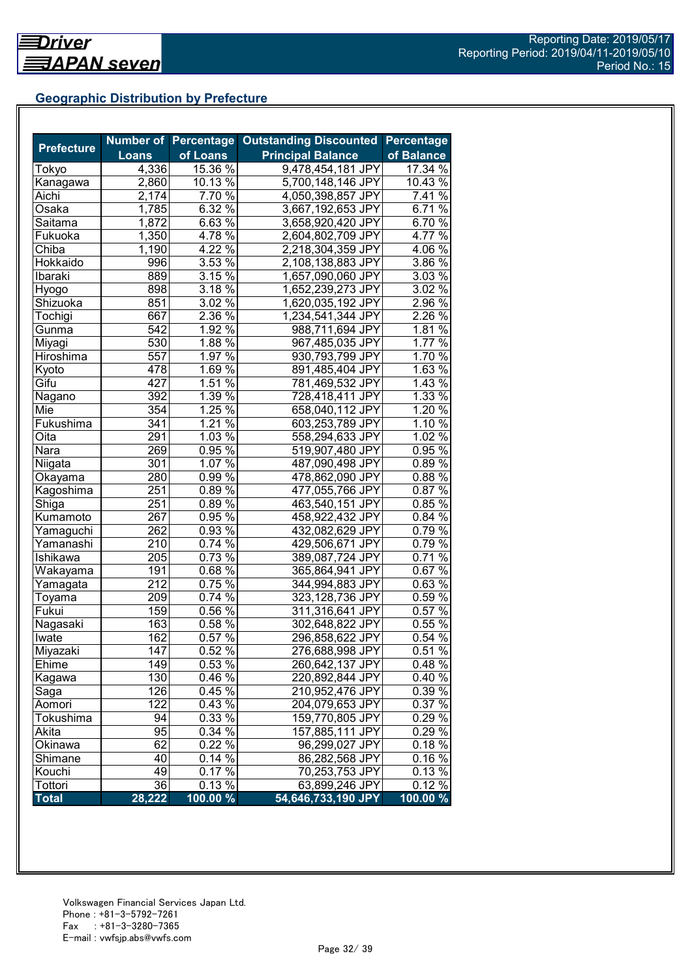## **Geographic Distribution by Prefecture**

| <b>Prefecture</b> |              |                     | Number of Percentage Outstanding Discounted | <b>Percentage</b> |
|-------------------|--------------|---------------------|---------------------------------------------|-------------------|
|                   | <b>Loans</b> | of Loans            | <b>Principal Balance</b>                    | of Balance        |
| Tokyo             | 4,336        | 15.36 %             | 9,478,454,181 JPY                           | 17.34 %           |
| Kanagawa          | 2,860        | 10.13 %             | 5,700,148,146 JPY                           | 10.43 %           |
| Aichi             | 2,174        | 7.70 %              | 4,050,398,857 JPY                           | 7.41 %            |
| Osaka             | 1,785        | 6.32 $\frac{1}{6}$  | 3,667,192,653 JPY                           | 6.71%             |
| Saitama           | 1,872        | $6.63\%$            | 3,658,920,420 JPY                           | 6.70 $\sqrt{2}$   |
| Fukuoka           | 1,350        | $4.78\%$            | 2,604,802,709 JPY                           | 4.77 %            |
| Chiba             | 1,190        | $4.22\%$            | 2,218,304,359 JPY                           | $4.06\%$          |
| Hokkaido          | 996          | $3.53\%$            | 2,108,138,883 JPY                           | 3.86 %            |
| Ibaraki           | 889          | 3.15%               | 1,657,090,060 JPY                           | $3.03\%$          |
| Hyogo             | 898          | 3.18%               | 1,652,239,273 JPY                           | 3.02%             |
| Shizuoka          | 851          | $3.02\%$            | 1,620,035,192 JPY                           | $2.96\%$          |
| Tochigi           | 667          | $2.36\%$            | 1,234,541,344 JPY                           | 2.26 %            |
| Gunma             | 542          | 1.92%               | 988,711,694 JPY                             | 1.81%             |
| Miyagi            | 530          | 1.88 $\sqrt{8}$     | 967,485,035 JPY                             | 1.77 %            |
| Hiroshima         | 557          | 1.97 $\sqrt{8}$     | 930,793,799 JPY                             | 1.70 %            |
| Kyoto             | 478          | 1.69 $\frac{1}{6}$  | 891,485,404 JPY                             | 1.63 %            |
| Gifu              | 427          | 1.51%               | 781,469,532 JPY                             | 1.43%             |
| Nagano            | 392          | $1.39\%$            | 728,418,411 JPY                             | $1.33\%$          |
| Mie               | 354          | $1.\overline{25\%}$ | 658,040,112 JPY                             | 1.20%             |
| Fukushima         | 341          | $1.21\%$            | 603,253,789 JPY                             | $1.10\%$          |
| Oita              | 291          | $1.03\%$            | 558,294,633 JPY                             | 1.02%             |
| Nara              | 269          | $0.95\%$            | 519,907,480 JPY                             | $0.95\%$          |
| Niigata           | 301          | $1.07\%$            | 487,090,498 JPY                             | 0.89%             |
| Okayama           | 280          | 0.99%               | 478,862,090 JPY                             | 0.88%             |
| Kagoshima         | 251          | $0.89\%$            | 477,055,766 JPY                             | 0.87%             |
| Shiga             | 251          | $0.89\%$            | 463,540,151 JPY                             | 0.85%             |
| Kumamoto          | 267          | $0.95\%$            | 458,922,432 JPY                             | $0.84\%$          |
| Yamaguchi         | 262          | 0.93 %              | 432,082,629 JPY                             | 0.79%             |
| Yamanashi         | 210          | $0.74\sqrt{26}$     | 429,506,671 JPY                             | 0.79%             |
| Ishikawa          | 205          | $0.73\sqrt{6}$      | 389,087,724 JPY                             | $0.71\%$          |
| Wakayama          | 191          | $0.68\sqrt{6}$      | 365,864,941 JPY                             | $0.67\%$          |
| Yamagata          | 212          | $0.75\%$            | 344,994,883 JPY                             | $0.63\%$          |
| Toyama            | 209          | $0.74\sqrt[6]{ }$   | 323,128,736 JPY                             | $0.59\%$          |
| Fukui             | 159          | $0.56\%$            | 311,316,641 JPY                             | 0.57%             |
| Nagasaki          | 163          | 0.58%               | 302,648,822 JPY                             | 0.55%             |
| Iwate             | 162          | 0.57%               | 296,858,622 JPY                             | 0.54%             |
| Miyazaki          | 147          | 0.52%               | 276,688,998 JPY                             | 0.51%             |
| Ehime             | 149          | 0.53 %              | 260,642,137 JPY                             | 0.48%             |
| Kagawa            | 130          | 0.46 %              | 220,892,844 JPY                             | 0.40%             |
| Saga              | 126          | 0.45 %              | 210,952,476 JPY                             | 0.39 %            |
| Aomori            | 122          | 0.43 %              | 204,079,653 JPY                             | 0.37%             |
| Tokushima         | 94           | 0.33 %              | 159,770,805 JPY                             | 0.29 %            |
| Akita             | 95           | 0.34 %              | 157,885,111 JPY                             | 0.29 %            |
| Okinawa           | 62           | 0.22 %              | 96,299,027 JPY                              | 0.18%             |
| Shimane           | 40           | $0.14\%$            | 86,282,568 JPY                              | 0.16%             |
| Kouchi            | 49           | $0.17\%$            | 70,253,753 JPY                              | 0.13%             |
| Tottori           | 36           | 0.13%               | 63,899,246 JPY                              | 0.12%             |
| <b>Total</b>      | 28,222       | 100.00 %            | 54,646,733,190 JPY                          | 100.00 %          |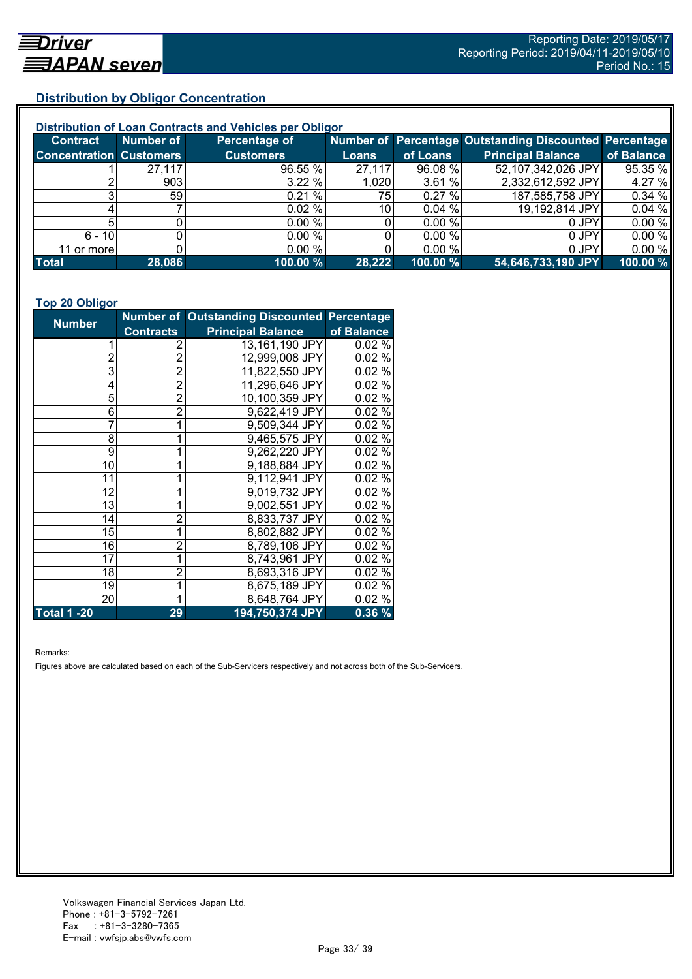## **Distribution by Obligor Concentration**

| Distribution of Loan Contracts and Vehicles per Obligor |                 |                  |        |           |                                                        |            |  |
|---------------------------------------------------------|-----------------|------------------|--------|-----------|--------------------------------------------------------|------------|--|
| <b>Contract</b>                                         | Number of       | Percentage of    |        |           | Number of Percentage Outstanding Discounted Percentage |            |  |
| <b>Concentration Customers</b>                          |                 | <b>Customers</b> | Loans  | of Loans  | <b>Principal Balance</b>                               | of Balance |  |
|                                                         | 27,117          | 96.55 %          | 27,117 | 96.08 %   | 52,107,342,026 JPY                                     | 95.35 %    |  |
|                                                         | 903             | 3.22%            | 1,020  | 3.61%     | 2,332,612,592 JPY                                      | 4.27 %     |  |
|                                                         | 59 <sub>l</sub> | 0.21%            | 75     | $0.27 \%$ | 187,585,758 JPY                                        | 0.34%      |  |
|                                                         |                 | 0.02%            | 10I    | 0.04%     | 19,192,814 JPY                                         | 0.04%      |  |
|                                                         |                 | 0.00 %           |        | 0.00 %    | 0 JPY                                                  | 0.00%      |  |
| $6 - 10$                                                |                 | 0.00%            |        | 0.00 %    | 0 JPY                                                  | 0.00%      |  |
| 11 or more                                              |                 | $0.00\%$         |        | 0.00 %    | 0 JPY                                                  | 0.00%      |  |
| <b>Total</b>                                            | 28,086          | 100.00 %         | 28,222 | 100.00 %  | 54,646,733,190 JPY                                     | 100.00 %   |  |

#### **Top 20 Obligor**

| <b>Number</b>      |                | Number of Outstanding Discounted Percentage |            |
|--------------------|----------------|---------------------------------------------|------------|
| <b>Contracts</b>   |                | <b>Principal Balance</b>                    | of Balance |
|                    | 2              | 13,161,190 JPY                              | 0.02%      |
| $\overline{2}$     | $\overline{2}$ | 12,999,008 JPY                              | 0.02%      |
| 3                  | $\overline{2}$ | 11,822,550 JPY                              | 0.02%      |
| 4                  | $\overline{2}$ | 11,296,646 JPY                              | 0.02%      |
| 5                  | $\overline{2}$ | 10,100,359 JPY                              | 0.02%      |
| 6                  | $\overline{2}$ | 9,622,419 JPY                               | 0.02%      |
| 7                  |                | 9,509,344 JPY                               | 0.02%      |
| 8                  |                | 9,465,575 JPY                               | 0.02%      |
| 9                  |                | 9,262,220 JPY                               | 0.02%      |
| 10                 |                | 9,188,884 JPY                               | 0.02%      |
| 11                 | 1              | 9,112,941 JPY                               | 0.02%      |
| 12                 |                | 9,019,732 JPY                               | 0.02%      |
| 13                 |                | 9,002,551 JPY                               | 0.02%      |
| 14                 | 2              | 8,833,737 JPY                               | 0.02%      |
| 15                 | 1              | 8,802,882 JPY                               | 0.02%      |
| 16                 | $\overline{c}$ | 8,789,106 JPY                               | 0.02%      |
| 17                 | 1              | 8,743,961 JPY                               | 0.02%      |
| 18                 | 2              | 8,693,316 JPY                               | 0.02%      |
| 19                 | 1              | 8,675,189 JPY                               | 0.02%      |
| 20                 | 1              | 8,648,764 JPY                               | 0.02%      |
| <b>Total 1 -20</b> | 29             | 194,750,374 JPY                             | 0.36%      |

Remarks:

Figures above are calculated based on each of the Sub-Servicers respectively and not across both of the Sub-Servicers.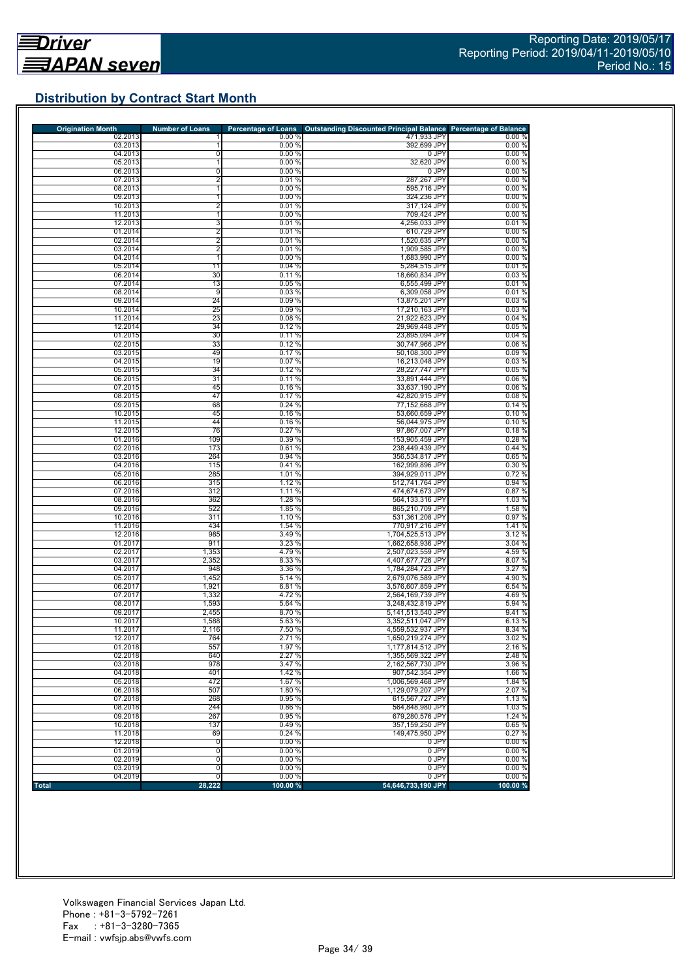## **Distribution by Contract Start Month**

| <b>Origination Month</b> | <b>Number of Loans</b>  | <b>Percentage of Loans</b> | Outstanding Discounted Principal Balance Percentage of Balance |                 |
|--------------------------|-------------------------|----------------------------|----------------------------------------------------------------|-----------------|
| 02.2013                  |                         | 0.00%                      | 471,933 JPY                                                    | $0.00\ \%$      |
| 03.2013<br>04.2013       | 0                       | 0.00%<br>0.00%             | 392,699 JPY<br>0 JPY                                           | 0.00%<br>0.00%  |
| 05.2013                  | 1                       | 0.00%                      | 32,620 JPY                                                     | 0.00%           |
| 06.2013                  | 0                       | 0.00%                      | 0 JPY                                                          | 0.00%           |
| 07.2013                  | $\overline{2}$          | 0.01%                      | 287,267 JPY                                                    | 0.00%           |
| 08.2013                  | 1                       | 0.00%                      | 595,716 JPY                                                    | 0.00%           |
| 09.2013                  | 1                       | 0.00%                      | 324,236 JPY                                                    | 0.00%           |
| 10.2013                  | $\overline{\mathbf{c}}$ | 0.01%                      | 317,124 JPY                                                    | 0.00%           |
| 11.2013                  | 1                       | 0.00%                      | 709,424 JPY                                                    | 0.00%           |
| 12.2013                  | 3                       | 0.01%                      | 4,256,033 JPY                                                  | 0.01%           |
| 01.2014                  | 2                       | 0.01%                      | 610,729 JPY                                                    | 0.00%           |
| 02.2014<br>03.2014       | 2<br>2                  | 0.01%<br>0.01%             | 1,520,635 JPY<br>1,909,585 JPY                                 | 0.00%<br>0.00%  |
| 04.2014                  | 1                       | 0.00%                      | 1,683,990 JPY                                                  | 0.00%           |
| 05.2014                  | 11                      | 0.04%                      | 5,284,515 JPY                                                  | 0.01%           |
| 06.2014                  | 30                      | 0.11%                      | 18,660,834 JPY                                                 | 0.03%           |
| 07.2014                  | 13                      | 0.05%                      | 6,555,499 JPY                                                  | 0.01%           |
| 08.2014                  | 9                       | 0.03%                      | 6,309,058 JPY                                                  | 0.01%           |
| 09.2014                  | 24                      | 0.09%                      | 13,875,201 JPY                                                 | 0.03%           |
| 10.2014                  | 25                      | 0.09%                      | 17,210,163 JPY                                                 | 0.03%           |
| 11.2014                  | 23                      | 0.08%                      | 21,922,623 JPY                                                 | 0.04%           |
| 12.2014                  | 34                      | 0.12%                      | 29,969,448 JPY                                                 | 0.05%           |
| 01.2015                  | 30                      | 0.11%                      | 23,895,094 JPY                                                 | 0.04%           |
| 02.2015<br>03.2015       | 33<br>49                | 0.12%<br>0.17%             | 30,747,966 JPY<br>50,108,300 JPY                               | 0.06%<br>0.09%  |
| 04.2015                  | 19                      |                            |                                                                |                 |
| 05.2015                  | 34                      | 0.07%<br>0.12%             | 16,213,048 JPY<br>28,227,747 JPY                               | 0.03%<br>0.05%  |
| 06.2015                  | 31                      | 0.11%                      | 33,891,444 JPY                                                 | 0.06%           |
| 07.2015                  | 45                      | 0.16%                      | 33,637,190 JPY                                                 | 0.06%           |
| 08.2015                  | 47                      | 0.17%                      | 42.820.915 JPY                                                 | 0.08%           |
| 09.2015                  | 68                      | 0.24%                      | 77,152,668 JPY                                                 | 0.14%           |
| 10.2015                  | 45                      | 0.16%                      | 53,660,659 JPY                                                 | 0.10%           |
| 11.2015                  | 44                      | 0.16%                      | 56,044,975 JPY                                                 | 0.10%           |
| 12.2015                  | 76                      | 0.27%                      | 97,867,007 JPY                                                 | 0.18%           |
| 01.2016                  | 109                     | 0.39 %                     | 153,905,459 JPY                                                | 0.28%           |
| 02.2016                  | 173                     | 0.61%                      | 238,449,439 JPY                                                | 0.44%           |
| 03.2016                  | 264                     | 0.94%                      | 356,534,817 JPY                                                | 0.65%           |
| 04.2016<br>05.2016       | 115                     | 0.41%                      | 162,999,896 JPY                                                | 0.30%<br>0.72%  |
| 06.2016                  | 285<br>315              | 1.01 %<br>1.12 %           | 394,929,011 JPY<br>512,741,764 JPY                             | 0.94%           |
| 07.2016                  | 312                     | 1.11 %                     | 474,674,673 JPY                                                | 0.87%           |
| 08.2016                  | 362                     | 1.28 %                     | 564,133,316 JPY                                                | 1.03 %          |
| 09.2016                  | 522                     | 1.85 %                     | 865,210,709 JPY                                                | 1.58 %          |
| 10.2016                  | 311                     | 1.10 %                     | 531,361,208 JPY                                                | 0.97%           |
| 11.2016                  | 434                     | 1.54 %                     | 770,917,216 JPY                                                | 1.41%           |
| 12.2016                  | 985                     | 3.49%                      | 1,704,525,513 JPY                                              | 3.12 %          |
| 01.2017                  | 911                     | 3.23%                      | 1,662,658,936 JPY                                              | 3.04 %          |
| 02.2017                  | 1,353                   | 4.79 %                     | 2,507,023,559 JPY                                              | 4.59 %          |
| 03.2017                  | 2,352                   | 8.33 %                     | 4,407,677,726 JPY                                              | 8.07%           |
| 04.2017                  | 948                     | 3.36 %                     | 1,784,284,723 JPY                                              | 3.27%           |
| 05.2017<br>06.2017       | 1,452<br>1,921          | 5.14 %<br>6.81%            | 2,679,076,589 JPY<br>3,576,607,859 JPY                         | 4.90 %<br>6.54% |
| 07.2017                  | 1,332                   | 4.72 %                     | 2,564,169,739 JPY                                              | 4.69%           |
| 08.2017                  | 1,593                   | 5.64 %                     | 3,248,432,819 JPY                                              | 5.94 %          |
| 09.2017                  | 2,455                   | 8.70 %                     | 5,141,513,540 JPY                                              | 9.41%           |
| 10.2017                  | 1,588                   | 5.63 %                     | 3,352,511,047 JPY                                              | 6.13%           |
| 11.2017                  | 2,116                   | 7.50 %                     | 4,559,532,937 JPY                                              | 8.34 %          |
| 12.2017                  | 764                     | 2.71%                      | 1,650,219,274 JPY                                              | 3.02%           |
| 01.2018                  | 55/                     | 1.97%                      | 1,177,814,512 JPY                                              | 2.16 %          |
| 02.2018                  | 640                     | 2.27 %                     | 1,355,569,322 JPY                                              | 2.48%           |
| 03.2018                  | 978                     | 3.47 %                     | 2.162.567.730 JPY                                              | 3.96 %          |
| 04.2018                  | 401                     | 1.42 %                     | 907,542,354 JPY                                                | 1.66 %          |
| 05.2018                  | 472                     | 1.67 %                     | 1,006,569,468 JPY                                              | 1.84 %          |
| 06.2018<br>07.2018       | 507<br>268              | 1.80 %<br>0.95%            | 1,129,079,207 JPY<br>615,567,727 JPY                           | 2.07 %<br>1.13% |
| 08.2018                  | 244                     | 0.86%                      | 564,848,980 JPY                                                | 1.03 %          |
| 09.2018                  | 267                     | 0.95 %                     | 679,280,576 JPY                                                | 1.24 %          |
| 10.2018                  | 137                     | 0.49 %                     | 357,159,250 JPY                                                | 0.65%           |
| 11.2018                  | 69                      | 0.24%                      | 149,475,950 JPY                                                | 0.27%           |
| 12.2018                  | 0                       | 0.00%                      | 0 JPY                                                          | 0.00%           |
| 01.2019                  | 0                       | 0.00%                      | 0 JPY                                                          | 0.00%           |
| 02.2019                  | $\overline{0}$          | 0.00%                      | 0 JPY                                                          | 0.00%           |
| 03.2019                  | 0                       | 0.00%                      | 0 JPY                                                          | 0.00%           |
| 04.2019                  | $\mathbf 0$             | 0.00%                      | 0 JPY                                                          | 0.00%           |
| <b>Total</b>             | 28,222                  | 100.00 %                   | 54,646,733,190 JPY                                             | 100.00%         |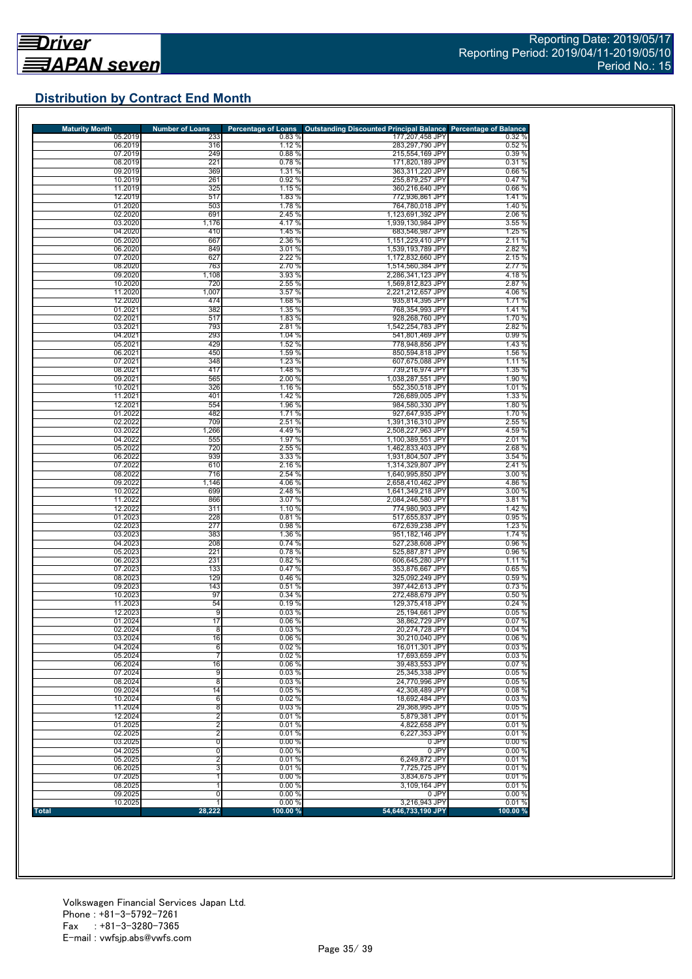## **Distribution by Contract End Month**

| <b>Maturity Month</b> | <b>Number of Loans</b> | <b>Percentage of Loans</b> | <b>Outstanding Discounted Principal Balance Percentage of Balance</b> |                  |
|-----------------------|------------------------|----------------------------|-----------------------------------------------------------------------|------------------|
| 05.2019               | 233                    | 0.83%                      | 177,207,458 JPY                                                       | 0.32%            |
| 06.2019               | 316                    | 1.12 %                     | 283,297,790 JPY                                                       | 0.52%            |
| 07.2019               | 249                    | 0.88 %                     | 215,554,169 JPY                                                       | 0.39%            |
| 08.2019<br>09.2019    | 221<br>369             | 0.78%<br>1.31 %            | 171,820,189 JPY<br>363,311,220 JPY                                    | 0.31%<br>0.66%   |
| 10.2019               | 261                    | 0.92%                      | 255,879,257 JPY                                                       | 0.47%            |
| 11.2019               | 325                    | 1.15 %                     | 360,216,640 JPY                                                       | 0.66%            |
| 12.2019               | 517                    | 1.83 %                     | 772,936,861 JPY                                                       | 1.41%            |
| 01.2020               | 503                    | 1.78 %                     | 764,780,018 JPY                                                       | 1.40 %           |
| 02.2020               | 691                    | 2.45 %                     | 1,123,691,392 JPY                                                     | 2.06 %           |
| 03.2020               | 1,176                  | 4.17 %                     | 1,939,130,984 JPY                                                     | 3.55 %           |
| 04.2020<br>05.2020    | 410<br>667             | 1.45 %<br>2.36 %           | 683,546,987 JPY<br>1.151.229.410 JPY                                  | 1.25 %           |
| 06.2020               | 849                    | 3.01%                      | 1,539,193,789 JPY                                                     | 2.11 %<br>2.82 % |
| 07.2020               | 627                    | 2.22 %                     | 1,172,832,660 JPY                                                     | 2.15 %           |
| 08.2020               | 763                    | 2.70 %                     | 1,514,560,384 JPY                                                     | 2.77 %           |
| 09.2020               | 1,108                  | 3.93 %                     | 2.286.341.123 JPY                                                     | 4.18%            |
| 10.2020               | 720                    | 2.55 %                     | 1,569,812,823 JPY                                                     | 2.87 %           |
| 11.2020               | 1,007                  | 3.57 %                     | 2,221,212,657 JPY                                                     | 4.06 %           |
| 12.2020               | 474                    | 1.68%                      | 935,814,395 JPY                                                       | 1.71%            |
| 01.2021<br>02.2021    | 382<br>517             | 1.35 %<br>1.83 %           | 768,354,993 JPY<br>928,268,760 JPY                                    | 1.41%<br>1.70 %  |
| 03.2021               | 793                    | 2.81 %                     | 1,542,254,783 JPY                                                     | 2.82 %           |
| 04.2021               | 293                    | 1.04 %                     | 541,801,469 JPY                                                       | 0.99%            |
| 05.2021               | 429                    | 1.52 %                     | 778,948,856 JPY                                                       | 1.43%            |
| 06.2021               | 450                    | 1.59 %                     | 850,594,818 JPY                                                       | 1.56 %           |
| 07.2021               | 348                    | 1.23 %                     | 607,675,088 JPY                                                       | 1.11%            |
| 08.2021               | 417                    | 1.48 %                     | 739,216,974 JPY                                                       | 1.35 %           |
| 09.2021               | 565                    | 2.00 %                     | 1,038,287,551 JPY                                                     | 1.90 %           |
| 10.2021<br>11.2021    | 326<br>401             | 1.16 %<br>1.42 %           | 552,350,518 JPY<br>726.689.005 JPY                                    | 1.01%<br>1.33 %  |
| 12.2021               | 554                    | 1.96 %                     | 984,580,330 JPY                                                       | 1.80 %           |
| 01.2022               | 482                    | 1.71 %                     | 927,647,935 JPY                                                       | 1.70 %           |
| 02.2022               | 709                    | 2.51 %                     | 1,391,316,310 JPY                                                     | 2.55 %           |
| 03.2022               | 1,266                  | 4.49 %                     | 2,508,227,963 JPY                                                     | 4.59 %           |
| 04.2022               | 555                    | 1.97 %                     | 1,100,389,551 JPY                                                     | 2.01%            |
| 05.2022               | 720                    | 2.55 %                     | 1,462,833,403 JPY                                                     | 2.68%            |
| 06.2022<br>07.2022    | 939<br>610             | 3.33 %<br>2.16 %           | 1,931,804,507 JPY<br>1,314,329,807 JPY                                | 3.54 %<br>2.41%  |
| 08.2022               | 716                    | 2.54 %                     | 1,640,995,850 JPY                                                     | 3.00%            |
| 09.2022               | 1,146                  | 4.06 %                     | 2,658,410,462 JPY                                                     | 4.86%            |
| 10.2022               | 699                    | 2.48 %                     | 1,641,349,218 JPY                                                     | 3.00 %           |
| 11.2022               | 866                    | 3.07 %                     | 2,084,246,580 JPY                                                     | 3.81%            |
| 12.2022               | 311                    | 1.10 %                     | 774,980,903 JPY                                                       | 1.42 %           |
| 01.2023               | 228                    | 0.81%                      | 517,655,837 JPY                                                       | 0.95%            |
| 02.2023<br>03.2023    | 277<br>383             | 0.98%<br>1.36 %            | 672,639,238 JPY<br>951,182,146 JPY                                    | 1.23 %<br>1.74 % |
| 04.2023               | 208                    | 0.74 %                     | 527,238,608 JPY                                                       | 0.96%            |
| 05.2023               | 221                    | 0.78%                      | 525,887,871 JPY                                                       | 0.96%            |
| 06.2023               | 231                    | 0.82%                      | 606,645,280 JPY                                                       | 1.11%            |
| 07.2023               | 133                    | 0.47%                      | 353,876,667 JPY                                                       | 0.65%            |
| 08.2023               | 129                    | 0.46%                      | 325,092,249 JPY                                                       | 0.59%            |
| 09.2023               | 143                    | 0.51%                      | 397,442,613 JPY                                                       | 0.73%            |
| 10.2023<br>11.2023    | 97<br>54               | 0.34%<br>0.19%             | 272,488,679 JPY<br>129,375,418 JPY                                    | 0.50%<br>0.24%   |
| 12.2023               | 9                      | 0.03%                      | 25,194,661 JPY                                                        | 0.05%            |
| 01.2024               | 17                     | 0.06%                      | 38,862,729 JPY                                                        | 0.07%            |
| 02.2024               | 8                      | 0.03%                      | 20,274,728 JPY                                                        | 0.04%            |
| 03.2024               | 16                     | 0.06%                      | 30,210,040 JPY                                                        | 0.06%            |
| 04.2024               | 6                      | 0.02%                      | 16,011,301 JPY                                                        | 0.03%            |
| 05.2024               | 7                      | 0.02%                      | 17,693,659 JPY                                                        | 0.03%            |
| 06.2024<br>07.2024    | 16<br>9                | 0.06%<br>0.03%             | 39.483.553 JPY<br>25,345,338 JPY                                      | 0.07%<br>0.05%   |
| 08.2024               | $\overline{8}$         | 0.03%                      | 24.770.996 JPY                                                        | 0.05%            |
| 09.2024               | 14                     | 0.05%                      | 42,308,489 JPY                                                        | 0.08%            |
| 10.2024               | 6                      | 0.02%                      | 18,692,484 JPY                                                        | 0.03%            |
| 11.2024               | $\overline{8}$         | 0.03%                      | 29,368,995 JPY                                                        | 0.05%            |
| 12.2024               | $\overline{2}$         | 0.01%                      | 5,879,381 JPY                                                         | 0.01%            |
| 01.2025               | $\overline{2}$         | 0.01%                      | 4,822,658 JPY                                                         | 0.01%            |
| 02.2025               | $\overline{2}$         | 0.01%                      | 6,227,353 JPY                                                         | 0.01%            |
| 03.2025<br>04.2025    | 0<br>0                 | 0.00%<br>0.00%             | 0 JPY<br>0 JPY                                                        | 0.00%<br>0.00%   |
| 05.2025               | $\overline{2}$         | 0.01%                      | 6,249,872 JPY                                                         | 0.01%            |
| 06.2025               | 3                      | 0.01%                      | 7,725,725 JPY                                                         | 0.01%            |
| 07.2025               | 1                      | 0.00%                      | 3,834,675 JPY                                                         | 0.01%            |
| 08.2025               | 1                      | 0.00%                      | 3,109,164 JPY                                                         | 0.01%            |
| 09.2025               | 0                      | 0.00%                      | 0 JPY                                                                 | 0.00%            |
| 10.2025               |                        | 0.00%                      | 3,216,943 JPY                                                         | 0.01%            |
| Total                 | 28,222                 | 100.00 %                   | 54,646,733,190 JPY                                                    | 100.00 %         |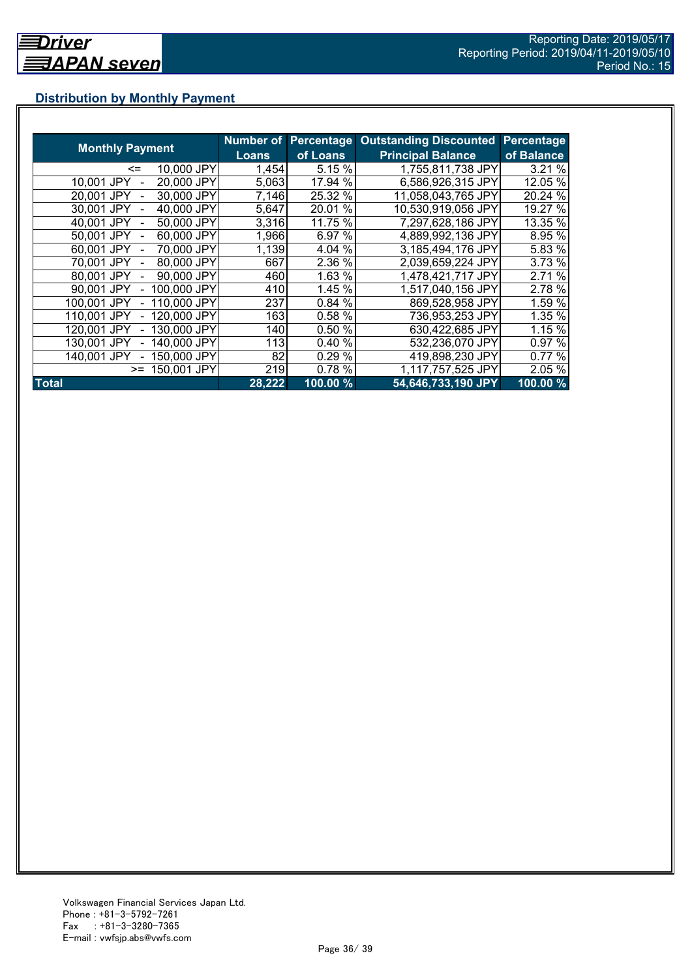## **Distribution by Monthly Payment**

|                            | Number of    | <b>Percentage</b> | <b>Outstanding Discounted</b> | <b>Percentage</b> |
|----------------------------|--------------|-------------------|-------------------------------|-------------------|
| <b>Monthly Payment</b>     | <b>Loans</b> | of Loans          | <b>Principal Balance</b>      | of Balance        |
| 10,000 JPY<br><=           | 1,454        | 5.15 %            | 1,755,811,738 JPY             | 3.21%             |
| 20,000 JPY<br>10.001 JPY   | 5,063        | 17.94 %           | 6,586,926,315 JPY             | 12.05 %           |
| 30,000 JPY<br>20.001 JPY   | 7,146        | 25.32 %           | 11,058,043,765 JPY            | 20.24 %           |
| 40,000 JPY<br>30,001 JPY   | 5,647        | 20.01%            | 10,530,919,056 JPY            | 19.27 %           |
| 50,000 JPY<br>40.001 JPY   | 3,316        | 11.75 %           | 7,297,628,186 JPY             | 13.35 %           |
| 60,000 JPY<br>50,001 JPY   | 1,966        | 6.97 %            | 4,889,992,136 JPY             | 8.95 %            |
| 70,000 JPY<br>60.001 JPY   | 1,139        | 4.04 %            | 3,185,494,176 JPY             | 5.83 %            |
| 80,000 JPY<br>70.001 JPY   | 667          | 2.36 %            | 2,039,659,224 JPY             | 3.73 %            |
| 90,000 JPY<br>80.001 JPY   | 460          | 1.63 %            | 1,478,421,717 JPY             | 2.71 %            |
| 100,000 JPY<br>90.001 JPY  | 410          | 1.45 %            | 1,517,040,156 JPY             | 2.78 %            |
| 110,000 JPY<br>100,001 JPY | 237          | 0.84 %            | 869,528,958 JPY               | 1.59 %            |
| 120,000 JPY<br>110.001 JPY | 163          | 0.58 %            | 736,953,253 JPY               | 1.35 %            |
| 130,000 JPY<br>120.001 JPY | 140          | 0.50 %            | 630,422,685 JPY               | 1.15 %            |
| 140,000 JPY<br>130.001 JPY | 113          | 0.40%             | 532,236,070 JPY               | 0.97 %            |
| 150,000 JPY<br>140.001 JPY | 82           | 0.29 %            | 419,898,230 JPY               | 0.77 %            |
| 150,001 JPY<br>$>=$        | 219          | 0.78%             | 1,117,757,525 JPY             | 2.05 %            |
| <b>Total</b>               | 28,222       | 100.00 %          | 54,646,733,190 JPY            | $100.00\%$        |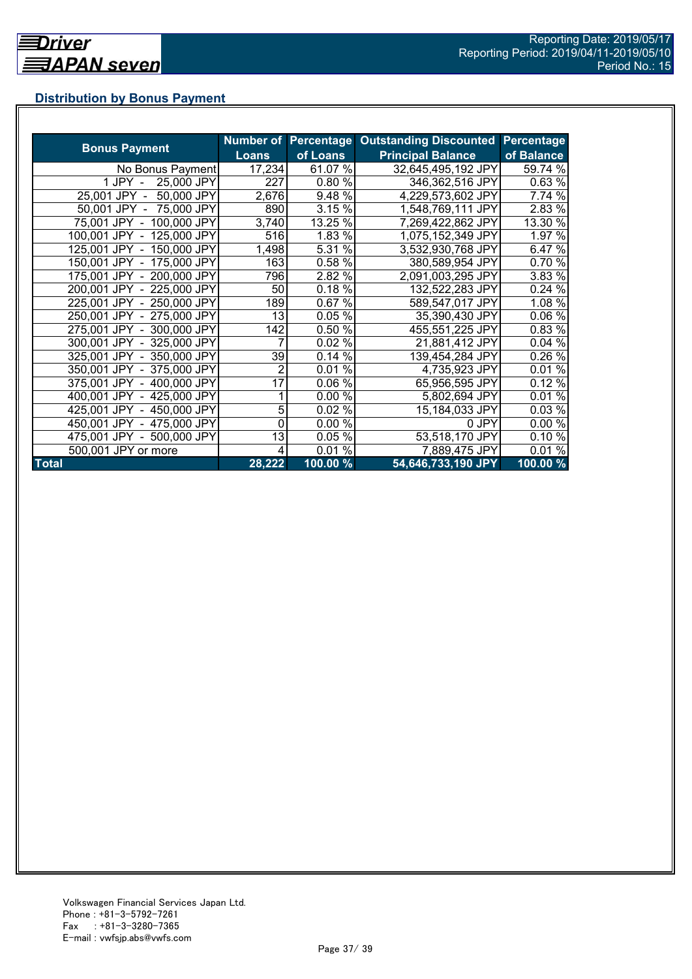## **Distribution by Bonus Payment**

|                            |                |          | Number of Percentage Outstanding Discounted | Percentage |
|----------------------------|----------------|----------|---------------------------------------------|------------|
| <b>Bonus Payment</b>       | <b>Loans</b>   | of Loans | <b>Principal Balance</b>                    | of Balance |
| No Bonus Payment           | 17,234         | 61.07 %  | 32,645,495,192 JPY                          | 59.74 %    |
| 25,000 JPY<br>1 JPY -      | 227            | 0.80%    | 346,362,516 JPY                             | 0.63%      |
| 25,001 JPY -<br>50,000 JPY | 2,676          | 9.48 %   | 4,229,573,602 JPY                           | 7.74 %     |
| 50,001 JPY - 75,000 JPY    | 890            | 3.15 %   | 1,548,769,111 JPY                           | 2.83 %     |
| 75,001 JPY - 100,000 JPY   | 3,740          | 13.25 %  | 7,269,422,862 JPY                           | 13.30 %    |
| 100,001 JPY - 125,000 JPY  | 516            | 1.83 %   | 1,075,152,349 JPY                           | 1.97 %     |
| 125,001 JPY - 150,000 JPY  | 1,498          | 5.31 %   | 3,532,930,768 JPY                           | 6.47 %     |
| 150,001 JPY - 175,000 JPY  | 163            | 0.58 %   | 380,589,954 JPY                             | 0.70 %     |
| 175,001 JPY - 200,000 JPY  | 796            | 2.82 %   | 2,091,003,295 JPY                           | 3.83 %     |
| 200,001 JPY - 225,000 JPY  | 50             | 0.18%    | 132,522,283 JPY                             | 0.24%      |
| 225,001 JPY - 250,000 JPY  | 189            | 0.67%    | 589,547,017 JPY                             | 1.08 %     |
| 250,001 JPY - 275,000 JPY  | 13             | 0.05%    | 35,390,430 JPY                              | 0.06 %     |
| 275,001 JPY - 300,000 JPY  | 142            | 0.50 %   | 455,551,225 JPY                             | 0.83 %     |
| 300,001 JPY - 325,000 JPY  |                | 0.02 %   | 21,881,412 JPY                              | 0.04%      |
| 325,001 JPY - 350,000 JPY  | 39             | 0.14%    | 139,454,284 JPY                             | 0.26 %     |
| 350,001 JPY - 375,000 JPY  | $\overline{2}$ | 0.01%    | 4,735,923 JPY                               | 0.01%      |
| 375,001 JPY - 400,000 JPY  | 17             | 0.06%    | 65,956,595 JPY                              | 0.12%      |
| 400,001 JPY - 425,000 JPY  |                | 0.00%    | 5,802,694 JPY                               | 0.01%      |
| 425,001 JPY - 450,000 JPY  | 5              | 0.02%    | 15,184,033 JPY                              | 0.03%      |
| 450,001 JPY - 475,000 JPY  | 0              | 0.00 %   | 0 JPY                                       | 0.00%      |
| 475,001 JPY - 500,000 JPY  | 13             | 0.05%    | 53,518,170 JPY                              | 0.10%      |
| 500,001 JPY or more        | 4              | $0.01\%$ | 7,889,475 JPY                               | 0.01%      |
| <b>Total</b>               | 28,222         | 100.00 % | 54,646,733,190 JPY                          | 100.00 %   |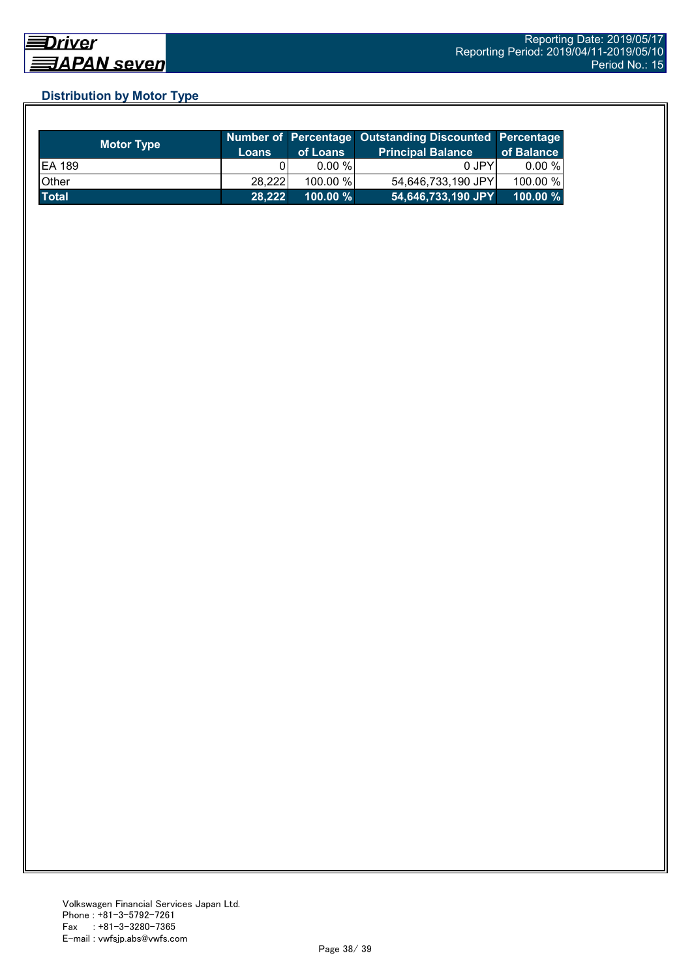## **Distribution by Motor Type**

| <b>Motor Type</b> | Loans  | of Loans    | Number of Percentage Outstanding Discounted Percentage<br><b>Principal Balance</b> | of Balance  |
|-------------------|--------|-------------|------------------------------------------------------------------------------------|-------------|
| <b>EA 189</b>     |        | $0.00 \%$   | 0 JPY                                                                              | $0.00 \%$   |
| Other             | 28,222 | 100.00 %    | 54,646,733,190 JPY                                                                 | 100.00 %    |
| <b>Total</b>      | 28.222 | $100.00 \%$ | 54,646,733,190 JPY                                                                 | $100.00 \%$ |